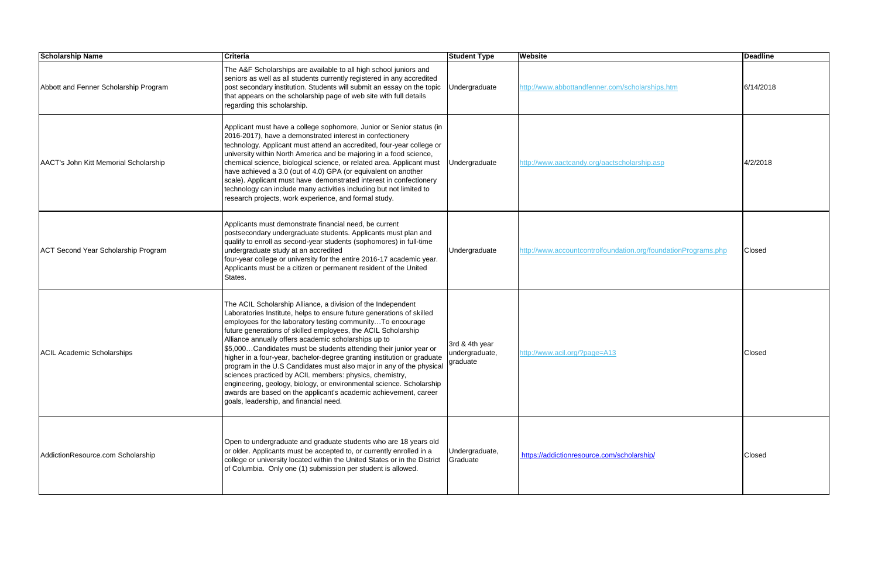| <b>Scholarship Name</b>                      | <b>Criteria</b>                                                                                                                                                                                                                                                                                                                                                                                                                                                                                                                                                                                                                                                                                                                                                                                        | <b>Student Type</b>                          | Website                                                        | <b>Deadline</b> |
|----------------------------------------------|--------------------------------------------------------------------------------------------------------------------------------------------------------------------------------------------------------------------------------------------------------------------------------------------------------------------------------------------------------------------------------------------------------------------------------------------------------------------------------------------------------------------------------------------------------------------------------------------------------------------------------------------------------------------------------------------------------------------------------------------------------------------------------------------------------|----------------------------------------------|----------------------------------------------------------------|-----------------|
| Abbott and Fenner Scholarship Program        | The A&F Scholarships are available to all high school juniors and<br>seniors as well as all students currently registered in any accredited<br>post secondary institution. Students will submit an essay on the topic<br>that appears on the scholarship page of web site with full details<br>regarding this scholarship.                                                                                                                                                                                                                                                                                                                                                                                                                                                                             | Undergraduate                                | http://www.abbottandfenner.com/scholarships.htm                | 6/14/2018       |
| <b>AACT's John Kitt Memorial Scholarship</b> | Applicant must have a college sophomore, Junior or Senior status (in<br>2016-2017), have a demonstrated interest in confectionery<br>technology. Applicant must attend an accredited, four-year college or<br>university within North America and be majoring in a food science,<br>chemical science, biological science, or related area. Applicant must<br>have achieved a 3.0 (out of 4.0) GPA (or equivalent on another<br>scale). Applicant must have demonstrated interest in confectionery<br>technology can include many activities including but not limited to<br>research projects, work experience, and formal study.                                                                                                                                                                      | Undergraduate                                | http://www.aactcandy.org/aactscholarship.asp                   | 4/2/2018        |
| <b>ACT Second Year Scholarship Program</b>   | Applicants must demonstrate financial need, be current<br>postsecondary undergraduate students. Applicants must plan and<br>qualify to enroll as second-year students (sophomores) in full-time<br>undergraduate study at an accredited<br>four-year college or university for the entire 2016-17 academic year.<br>Applicants must be a citizen or permanent resident of the United<br>States.                                                                                                                                                                                                                                                                                                                                                                                                        | Undergraduate                                | http://www.accountcontrolfoundation.org/foundationPrograms.php | Closed          |
| <b>ACIL Academic Scholarships</b>            | The ACIL Scholarship Alliance, a division of the Independent<br>Laboratories Institute, helps to ensure future generations of skilled<br>employees for the laboratory testing community To encourage<br>future generations of skilled employees, the ACIL Scholarship<br>Alliance annually offers academic scholarships up to<br>\$5,000Candidates must be students attending their junior year or<br>higher in a four-year, bachelor-degree granting institution or graduate<br>program in the U.S Candidates must also major in any of the physical<br>sciences practiced by ACIL members: physics, chemistry,<br>engineering, geology, biology, or environmental science. Scholarship<br>awards are based on the applicant's academic achievement, career<br>goals, leadership, and financial need. | 3rd & 4th year<br>undergraduate,<br>graduate | http://www.acil.org/?page=A13                                  | Closed          |
| AddictionResource.com Scholarship            | Open to undergraduate and graduate students who are 18 years old<br>or older. Applicants must be accepted to, or currently enrolled in a<br>college or university located within the United States or in the District<br>of Columbia. Only one (1) submission per student is allowed.                                                                                                                                                                                                                                                                                                                                                                                                                                                                                                                  | Undergraduate,<br>Graduate                   | https://addictionresource.com/scholarship/                     | Closed          |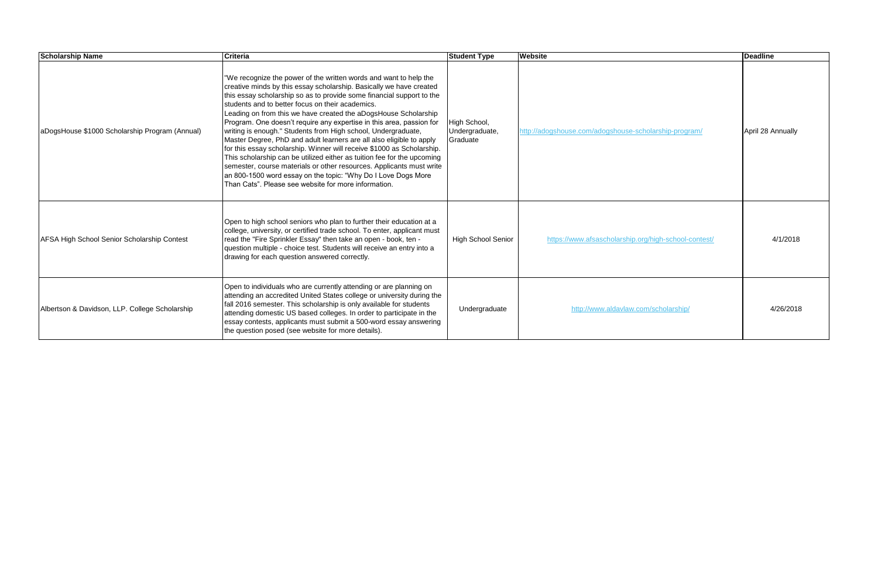| <b>Scholarship Name</b>                        | <b>Criteria</b>                                                                                                                                                                                                                                                                                                                                                                                                                                                                                                                                                                                                                                                                                                                                                                                                                                                                                                 | <b>Student Type</b>                        | Website                                               | <b>Deadline</b>   |
|------------------------------------------------|-----------------------------------------------------------------------------------------------------------------------------------------------------------------------------------------------------------------------------------------------------------------------------------------------------------------------------------------------------------------------------------------------------------------------------------------------------------------------------------------------------------------------------------------------------------------------------------------------------------------------------------------------------------------------------------------------------------------------------------------------------------------------------------------------------------------------------------------------------------------------------------------------------------------|--------------------------------------------|-------------------------------------------------------|-------------------|
| aDogsHouse \$1000 Scholarship Program (Annual) | 'We recognize the power of the written words and want to help the<br>creative minds by this essay scholarship. Basically we have created<br>this essay scholarship so as to provide some financial support to the<br>students and to better focus on their academics.<br>Leading on from this we have created the aDogsHouse Scholarship<br>Program. One doesn't require any expertise in this area, passion for<br>writing is enough." Students from High school, Undergraduate,<br>Master Degree, PhD and adult learners are all also eligible to apply<br>for this essay scholarship. Winner will receive \$1000 as Scholarship.<br>This scholarship can be utilized either as tuition fee for the upcoming<br>semester, course materials or other resources. Applicants must write<br>an 800-1500 word essay on the topic: "Why Do I Love Dogs More<br>Than Cats". Please see website for more information. | High School,<br>Undergraduate,<br>Graduate | http://adogshouse.com/adogshouse-scholarship-program/ | April 28 Annually |
| AFSA High School Senior Scholarship Contest    | Open to high school seniors who plan to further their education at a<br>college, university, or certified trade school. To enter, applicant must<br>read the "Fire Sprinkler Essay" then take an open - book, ten -<br>question multiple - choice test. Students will receive an entry into a<br>drawing for each question answered correctly.                                                                                                                                                                                                                                                                                                                                                                                                                                                                                                                                                                  | <b>High School Senior</b>                  | https://www.afsascholarship.org/high-school-contest/  | 4/1/2018          |
| Albertson & Davidson, LLP. College Scholarship | Open to individuals who are currently attending or are planning on<br>attending an accredited United States college or university during the<br>fall 2016 semester. This scholarship is only available for students<br>attending domestic US based colleges. In order to participate in the<br>essay contests, applicants must submit a 500-word essay answering<br>the question posed (see website for more details).                                                                                                                                                                                                                                                                                                                                                                                                                                                                                          | Undergraduate                              | http://www.aldavlaw.com/scholarship/                  | 4/26/2018         |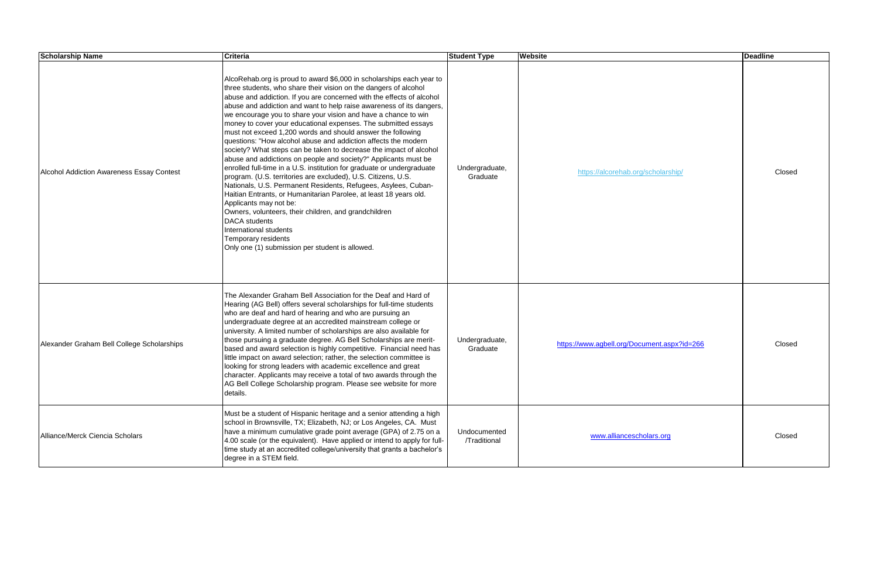| <b>Scholarship Name</b>                    | <b>Criteria</b>                                                                                                                                                                                                                                                                                                                                                                                                                                                                                                                                                                                                                                                                                                                                                                                                                                                                                                                                                                                                                                                                                                                                                                                          | <b>Student Type</b>          | <b>Website</b>                              | <b>Deadline</b> |
|--------------------------------------------|----------------------------------------------------------------------------------------------------------------------------------------------------------------------------------------------------------------------------------------------------------------------------------------------------------------------------------------------------------------------------------------------------------------------------------------------------------------------------------------------------------------------------------------------------------------------------------------------------------------------------------------------------------------------------------------------------------------------------------------------------------------------------------------------------------------------------------------------------------------------------------------------------------------------------------------------------------------------------------------------------------------------------------------------------------------------------------------------------------------------------------------------------------------------------------------------------------|------------------------------|---------------------------------------------|-----------------|
| Alcohol Addiction Awareness Essay Contest  | AlcoRehab.org is proud to award \$6,000 in scholarships each year to<br>three students, who share their vision on the dangers of alcohol<br>abuse and addiction. If you are concerned with the effects of alcohol<br>abuse and addiction and want to help raise awareness of its dangers,<br>we encourage you to share your vision and have a chance to win<br>money to cover your educational expenses. The submitted essays<br>must not exceed 1,200 words and should answer the following<br>questions: "How alcohol abuse and addiction affects the modern<br>society? What steps can be taken to decrease the impact of alcohol<br>abuse and addictions on people and society?" Applicants must be<br>enrolled full-time in a U.S. institution for graduate or undergraduate<br>program. (U.S. territories are excluded), U.S. Citizens, U.S.<br>Nationals, U.S. Permanent Residents, Refugees, Asylees, Cuban-<br>Haitian Entrants, or Humanitarian Parolee, at least 18 years old.<br>Applicants may not be:<br>Owners, volunteers, their children, and grandchildren<br><b>DACA</b> students<br>International students<br>Temporary residents<br>Only one (1) submission per student is allowed. | Undergraduate,<br>Graduate   | https://alcorehab.org/scholarship/          | Closed          |
| Alexander Graham Bell College Scholarships | The Alexander Graham Bell Association for the Deaf and Hard of<br>Hearing (AG Bell) offers several scholarships for full-time students<br>who are deaf and hard of hearing and who are pursuing an<br>undergraduate degree at an accredited mainstream college or<br>university. A limited number of scholarships are also available for<br>those pursuing a graduate degree. AG Bell Scholarships are merit-<br>based and award selection is highly competitive. Financial need has<br>little impact on award selection; rather, the selection committee is<br>looking for strong leaders with academic excellence and great<br>character. Applicants may receive a total of two awards through the<br>AG Bell College Scholarship program. Please see website for more<br>details.                                                                                                                                                                                                                                                                                                                                                                                                                     | Undergraduate,<br>Graduate   | https://www.agbell.org/Document.aspx?id=266 | Closed          |
| Alliance/Merck Ciencia Scholars            | Must be a student of Hispanic heritage and a senior attending a high<br>school in Brownsville, TX; Elizabeth, NJ; or Los Angeles, CA. Must<br>have a minimum cumulative grade point average (GPA) of 2.75 on a<br>4.00 scale (or the equivalent). Have applied or intend to apply for full-<br>time study at an accredited college/university that grants a bachelor's<br>degree in a STEM field.                                                                                                                                                                                                                                                                                                                                                                                                                                                                                                                                                                                                                                                                                                                                                                                                        | Undocumented<br>/Traditional | www.alliancescholars.org                    | Closed          |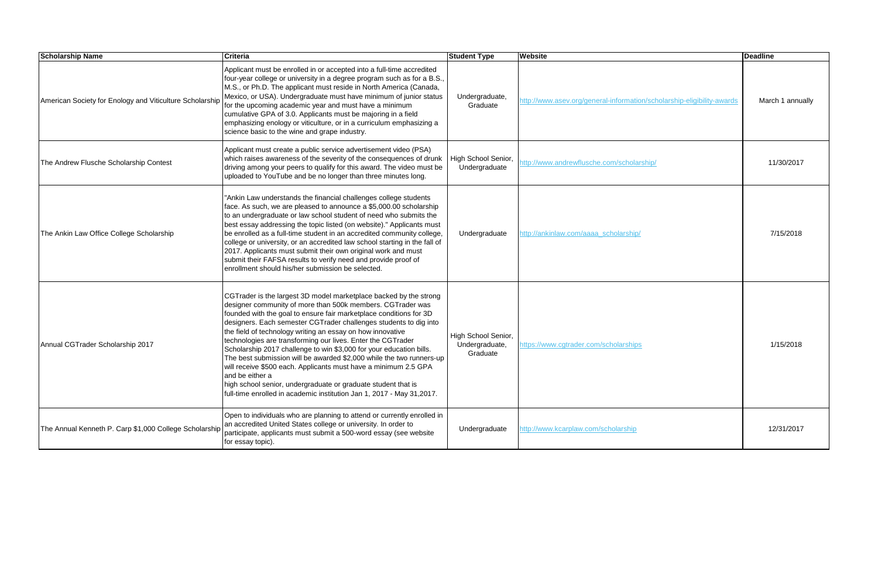| <b>Scholarship Name</b>                                  | <b>Criteria</b>                                                                                                                                                                                                                                                                                                                                                                                                                                                                                                                                                                                                                                                                                                                                                                        | <b>Student Type</b>                               | <b>Website</b>                                                         | <b>Deadline</b>  |
|----------------------------------------------------------|----------------------------------------------------------------------------------------------------------------------------------------------------------------------------------------------------------------------------------------------------------------------------------------------------------------------------------------------------------------------------------------------------------------------------------------------------------------------------------------------------------------------------------------------------------------------------------------------------------------------------------------------------------------------------------------------------------------------------------------------------------------------------------------|---------------------------------------------------|------------------------------------------------------------------------|------------------|
| American Society for Enology and Viticulture Scholarship | Applicant must be enrolled in or accepted into a full-time accredited<br>four-year college or university in a degree program such as for a B.S.,<br>M.S., or Ph.D. The applicant must reside in North America (Canada,<br>Mexico, or USA). Undergraduate must have minimum of junior status<br>for the upcoming academic year and must have a minimum<br>cumulative GPA of 3.0. Applicants must be majoring in a field<br>emphasizing enology or viticulture, or in a curriculum emphasizing a<br>science basic to the wine and grape industry.                                                                                                                                                                                                                                        | Undergraduate,<br>Graduate                        | http://www.asev.org/general-information/scholarship-eligibility-awards | March 1 annually |
| The Andrew Flusche Scholarship Contest                   | Applicant must create a public service advertisement video (PSA)<br>which raises awareness of the severity of the consequences of drunk<br>driving among your peers to qualify for this award. The video must be<br>uploaded to YouTube and be no longer than three minutes long.                                                                                                                                                                                                                                                                                                                                                                                                                                                                                                      | High School Senior,<br>Undergraduate              | http://www.andrewflusche.com/scholarship/                              | 11/30/2017       |
| The Ankin Law Office College Scholarship                 | "Ankin Law understands the financial challenges college students<br>face. As such, we are pleased to announce a \$5,000.00 scholarship<br>to an undergraduate or law school student of need who submits the<br>best essay addressing the topic listed (on website)." Applicants must<br>be enrolled as a full-time student in an accredited community college,<br>college or university, or an accredited law school starting in the fall of<br>2017. Applicants must submit their own original work and must<br>submit their FAFSA results to verify need and provide proof of<br>enrollment should his/her submission be selected.                                                                                                                                                   | Undergraduate                                     | http://ankinlaw.com/aaaa scholarship/                                  | 7/15/2018        |
| Annual CGTrader Scholarship 2017                         | CGTrader is the largest 3D model marketplace backed by the strong<br>designer community of more than 500k members. CGTrader was<br>founded with the goal to ensure fair marketplace conditions for 3D<br>designers. Each semester CGTrader challenges students to dig into<br>the field of technology writing an essay on how innovative<br>technologies are transforming our lives. Enter the CGTrader<br>Scholarship 2017 challenge to win \$3,000 for your education bills.<br>The best submission will be awarded \$2,000 while the two runners-up<br>will receive \$500 each. Applicants must have a minimum 2.5 GPA<br>and be either a<br>high school senior, undergraduate or graduate student that is<br>full-time enrolled in academic institution Jan 1, 2017 - May 31,2017. | High School Senior,<br>Undergraduate,<br>Graduate | https://www.cgtrader.com/scholarships                                  | 1/15/2018        |
| The Annual Kenneth P. Carp \$1,000 College Scholarship   | Open to individuals who are planning to attend or currently enrolled in<br>an accredited United States college or university. In order to<br>participate, applicants must submit a 500-word essay (see website<br>for essay topic).                                                                                                                                                                                                                                                                                                                                                                                                                                                                                                                                                    | Undergraduate                                     | http://www.kcarplaw.com/scholarship                                    | 12/31/2017       |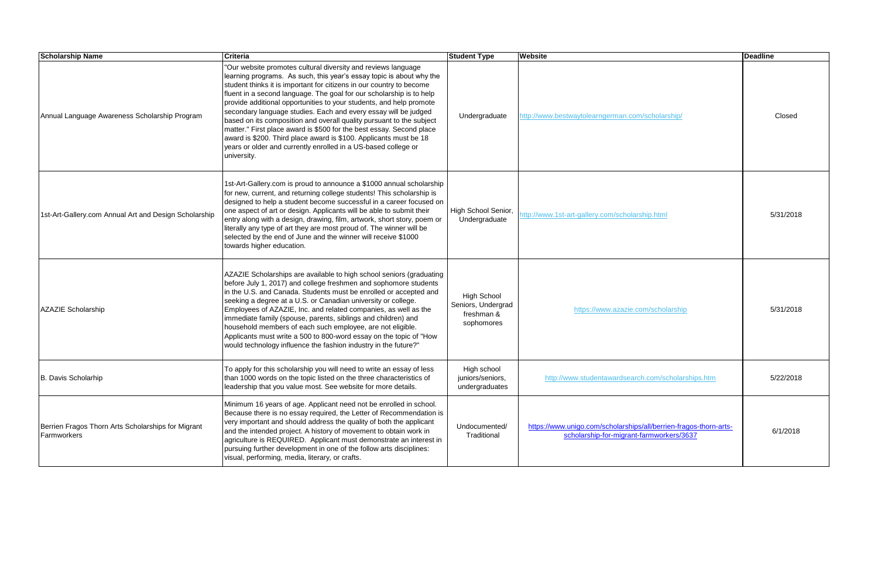| <b>Scholarship Name</b>                                           | <b>Criteria</b>                                                                                                                                                                                                                                                                                                                                                                                                                                                                                                                                                                                                                                                                                                                       | <b>Student Type</b>                                                  | <b>Website</b>                                                                                                | <b>Deadline</b> |
|-------------------------------------------------------------------|---------------------------------------------------------------------------------------------------------------------------------------------------------------------------------------------------------------------------------------------------------------------------------------------------------------------------------------------------------------------------------------------------------------------------------------------------------------------------------------------------------------------------------------------------------------------------------------------------------------------------------------------------------------------------------------------------------------------------------------|----------------------------------------------------------------------|---------------------------------------------------------------------------------------------------------------|-----------------|
| Annual Language Awareness Scholarship Program                     | 'Our website promotes cultural diversity and reviews language<br>learning programs. As such, this year's essay topic is about why the<br>student thinks it is important for citizens in our country to become<br>fluent in a second language. The goal for our scholarship is to help<br>provide additional opportunities to your students, and help promote<br>secondary language studies. Each and every essay will be judged<br>based on its composition and overall quality pursuant to the subject<br>matter." First place award is \$500 for the best essay. Second place<br>award is \$200. Third place award is \$100. Applicants must be 18<br>years or older and currently enrolled in a US-based college or<br>university. | Undergraduate                                                        | http://www.bestwaytolearngerman.com/scholarship/                                                              | Closed          |
| 1st-Art-Gallery.com Annual Art and Design Scholarship             | 1st-Art-Gallery.com is proud to announce a \$1000 annual scholarship<br>for new, current, and returning college students! This scholarship is<br>designed to help a student become successful in a career focused on<br>one aspect of art or design. Applicants will be able to submit their<br>entry along with a design, drawing, film, artwork, short story, poem or<br>literally any type of art they are most proud of. The winner will be<br>selected by the end of June and the winner will receive \$1000<br>towards higher education.                                                                                                                                                                                        | High School Senior,<br>Undergraduate                                 | http://www.1st-art-gallery.com/scholarship.html                                                               | 5/31/2018       |
| AZAZIE Scholarship                                                | AZAZIE Scholarships are available to high school seniors (graduating<br>before July 1, 2017) and college freshmen and sophomore students<br>in the U.S. and Canada. Students must be enrolled or accepted and<br>seeking a degree at a U.S. or Canadian university or college.<br>Employees of AZAZIE, Inc. and related companies, as well as the<br>immediate family (spouse, parents, siblings and children) and<br>household members of each such employee, are not eligible.<br>Applicants must write a 500 to 800-word essay on the topic of "How<br>would technology influence the fashion industry in the future?"                                                                                                             | <b>High School</b><br>Seniors, Undergrad<br>freshman &<br>sophomores | https://www.azazie.com/scholarship                                                                            | 5/31/2018       |
| B. Davis Scholarhip                                               | To apply for this scholarship you will need to write an essay of less<br>than 1000 words on the topic listed on the three characteristics of<br>leadership that you value most. See website for more details.                                                                                                                                                                                                                                                                                                                                                                                                                                                                                                                         | High school<br>juniors/seniors,<br>undergraduates                    | http://www.studentawardsearch.com/scholarships.htm                                                            | 5/22/2018       |
| Berrien Fragos Thorn Arts Scholarships for Migrant<br>Farmworkers | Minimum 16 years of age. Applicant need not be enrolled in school.<br>Because there is no essay required, the Letter of Recommendation is<br>very important and should address the quality of both the applicant<br>and the intended project. A history of movement to obtain work in<br>agriculture is REQUIRED. Applicant must demonstrate an interest in<br>pursuing further development in one of the follow arts disciplines:<br>visual, performing, media, literary, or crafts.                                                                                                                                                                                                                                                 | Undocumented/<br>Traditional                                         | https://www.unigo.com/scholarships/all/berrien-fragos-thorn-arts-<br>scholarship-for-migrant-farmworkers/3637 | 6/1/2018        |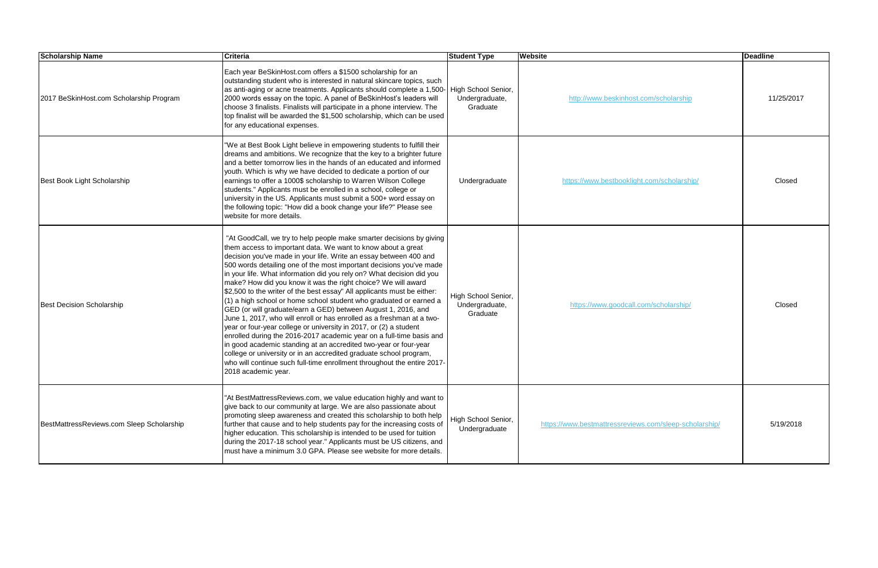| <b>Scholarship Name</b>                   | <b>Criteria</b>                                                                                                                                                                                                                                                                                                                                                                                                                                                                                                                                                                                                                                                                                                                                                                                                                                                                                                                                                                                                                                                                                                | <b>Student Type</b>                               | <b>Website</b>                                         | <b>Deadline</b> |
|-------------------------------------------|----------------------------------------------------------------------------------------------------------------------------------------------------------------------------------------------------------------------------------------------------------------------------------------------------------------------------------------------------------------------------------------------------------------------------------------------------------------------------------------------------------------------------------------------------------------------------------------------------------------------------------------------------------------------------------------------------------------------------------------------------------------------------------------------------------------------------------------------------------------------------------------------------------------------------------------------------------------------------------------------------------------------------------------------------------------------------------------------------------------|---------------------------------------------------|--------------------------------------------------------|-----------------|
| 2017 BeSkinHost.com Scholarship Program   | Each year BeSkinHost.com offers a \$1500 scholarship for an<br>outstanding student who is interested in natural skincare topics, such<br>as anti-aging or acne treatments. Applicants should complete a 1,500- High School Senior,<br>2000 words essay on the topic. A panel of BeSkinHost's leaders will<br>choose 3 finalists. Finalists will participate in a phone interview. The<br>top finalist will be awarded the \$1,500 scholarship, which can be used<br>for any educational expenses.                                                                                                                                                                                                                                                                                                                                                                                                                                                                                                                                                                                                              | Undergraduate,<br>Graduate                        | http://www.beskinhost.com/scholarship                  | 11/25/2017      |
| Best Book Light Scholarship               | 'We at Best Book Light believe in empowering students to fulfill their<br>dreams and ambitions. We recognize that the key to a brighter future<br>and a better tomorrow lies in the hands of an educated and informed<br>youth. Which is why we have decided to dedicate a portion of our<br>earnings to offer a 1000\$ scholarship to Warren Wilson College<br>students." Applicants must be enrolled in a school, college or<br>university in the US. Applicants must submit a 500+ word essay on<br>the following topic: "How did a book change your life?" Please see<br>website for more details.                                                                                                                                                                                                                                                                                                                                                                                                                                                                                                         | Undergraduate                                     | https://www.bestbooklight.com/scholarship/             | Closed          |
| <b>Best Decision Scholarship</b>          | "At GoodCall, we try to help people make smarter decisions by giving<br>them access to important data. We want to know about a great<br>decision you've made in your life. Write an essay between 400 and<br>500 words detailing one of the most important decisions you've made<br>in your life. What information did you rely on? What decision did you<br>make? How did you know it was the right choice? We will award<br>\$2,500 to the writer of the best essay" All applicants must be either:<br>(1) a high school or home school student who graduated or earned a<br>GED (or will graduate/earn a GED) between August 1, 2016, and<br>June 1, 2017, who will enroll or has enrolled as a freshman at a two-<br>year or four-year college or university in 2017, or (2) a student<br>enrolled during the 2016-2017 academic year on a full-time basis and<br>in good academic standing at an accredited two-year or four-year<br>college or university or in an accredited graduate school program,<br>who will continue such full-time enrollment throughout the entire 2017-<br>2018 academic year. | High School Senior,<br>Undergraduate,<br>Graduate | https://www.goodcall.com/scholarship/                  | Closed          |
| BestMattressReviews.com Sleep Scholarship | "At BestMattressReviews.com, we value education highly and want to<br>give back to our community at large. We are also passionate about<br>promoting sleep awareness and created this scholarship to both help<br>further that cause and to help students pay for the increasing costs of<br>higher education. This scholarship is intended to be used for tuition<br>during the 2017-18 school year." Applicants must be US citizens, and<br>must have a minimum 3.0 GPA. Please see website for more details.                                                                                                                                                                                                                                                                                                                                                                                                                                                                                                                                                                                                | High School Senior,<br>Undergraduate              | https://www.bestmattressreviews.com/sleep-scholarship/ | 5/19/2018       |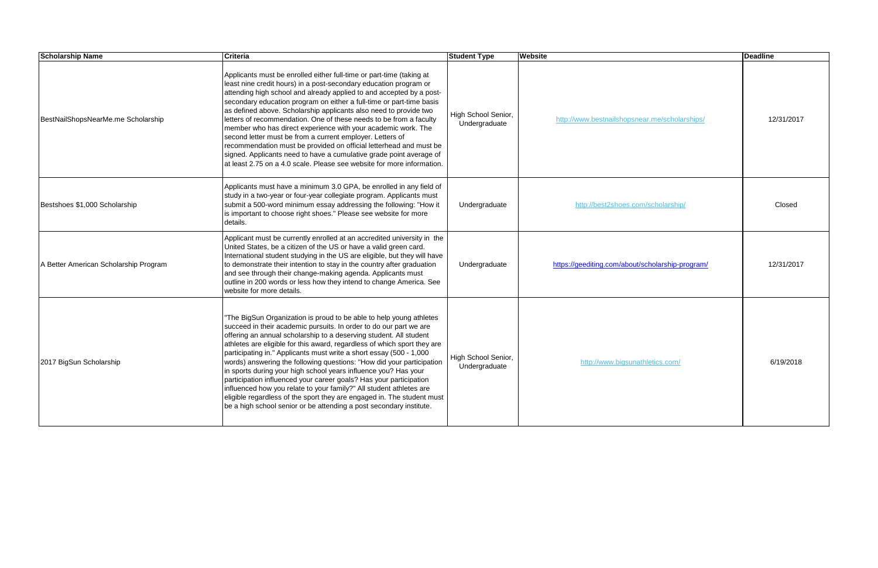| <b>Scholarship Name</b>               | <b>Criteria</b>                                                                                                                                                                                                                                                                                                                                                                                                                                                                                                                                                                                                                                                                                                                                                                                                | <b>Student Type</b>                  | <b>Website</b>                                   | <b>Deadline</b> |
|---------------------------------------|----------------------------------------------------------------------------------------------------------------------------------------------------------------------------------------------------------------------------------------------------------------------------------------------------------------------------------------------------------------------------------------------------------------------------------------------------------------------------------------------------------------------------------------------------------------------------------------------------------------------------------------------------------------------------------------------------------------------------------------------------------------------------------------------------------------|--------------------------------------|--------------------------------------------------|-----------------|
| BestNailShopsNearMe.me Scholarship    | Applicants must be enrolled either full-time or part-time (taking at<br>least nine credit hours) in a post-secondary education program or<br>attending high school and already applied to and accepted by a post-<br>secondary education program on either a full-time or part-time basis<br>as defined above. Scholarship applicants also need to provide two<br>letters of recommendation. One of these needs to be from a faculty<br>member who has direct experience with your academic work. The<br>second letter must be from a current employer. Letters of<br>recommendation must be provided on official letterhead and must be<br>signed. Applicants need to have a cumulative grade point average of<br>at least 2.75 on a 4.0 scale. Please see website for more information.                      | High School Senior,<br>Undergraduate | http://www.bestnailshopsnear.me/scholarships/    | 12/31/2017      |
| Bestshoes \$1,000 Scholarship         | Applicants must have a minimum 3.0 GPA, be enrolled in any field of<br>study in a two-year or four-year collegiate program. Applicants must<br>submit a 500-word minimum essay addressing the following: "How it<br>is important to choose right shoes." Please see website for more<br>details.                                                                                                                                                                                                                                                                                                                                                                                                                                                                                                               | Undergraduate                        | http://best2shoes.com/scholarship/               | Closed          |
| A Better American Scholarship Program | Applicant must be currently enrolled at an accredited university in the<br>United States, be a citizen of the US or have a valid green card.<br>International student studying in the US are eligible, but they will have<br>to demonstrate their intention to stay in the country after graduation<br>and see through their change-making agenda. Applicants must<br>outline in 200 words or less how they intend to change America. See<br>website for more details.                                                                                                                                                                                                                                                                                                                                         | Undergraduate                        | https://geediting.com/about/scholarship-program/ | 12/31/2017      |
| 2017 BigSun Scholarship               | 'The BigSun Organization is proud to be able to help young athletes<br>succeed in their academic pursuits. In order to do our part we are<br>offering an annual scholarship to a deserving student. All student<br>athletes are eligible for this award, regardless of which sport they are<br>participating in." Applicants must write a short essay (500 - 1,000<br>words) answering the following questions: "How did your participation<br>in sports during your high school years influence you? Has your<br>participation influenced your career goals? Has your participation<br>influenced how you relate to your family?" All student athletes are<br>eligible regardless of the sport they are engaged in. The student must  <br>be a high school senior or be attending a post secondary institute. | High School Senior,<br>Undergraduate | http://www.bigsunathletics.com/                  | 6/19/2018       |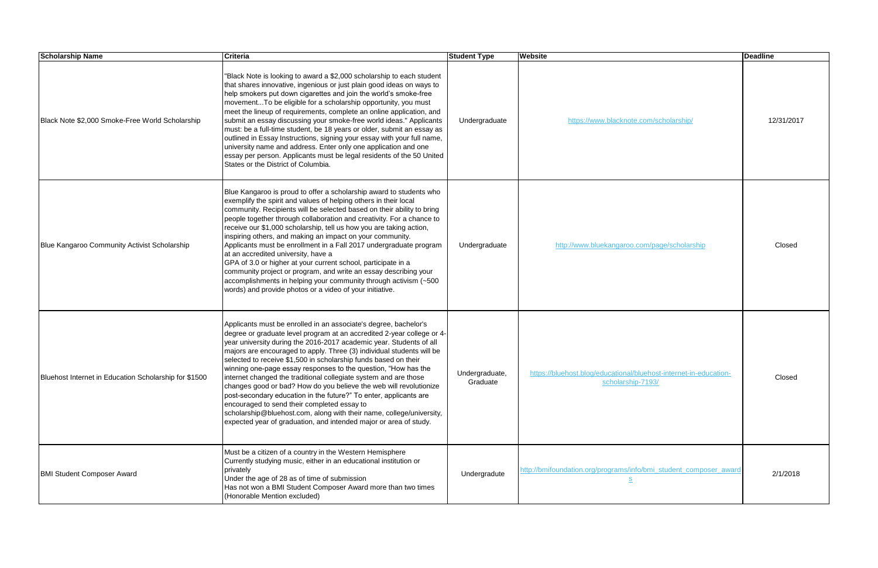| <b>Scholarship Name</b>                               | <b>Criteria</b>                                                                                                                                                                                                                                                                                                                                                                                                                                                                                                                                                                                                                                                                                                                                                                                                                            | <b>Student Type</b>        | <b>Website</b>                                                                         | <b>Deadline</b> |
|-------------------------------------------------------|--------------------------------------------------------------------------------------------------------------------------------------------------------------------------------------------------------------------------------------------------------------------------------------------------------------------------------------------------------------------------------------------------------------------------------------------------------------------------------------------------------------------------------------------------------------------------------------------------------------------------------------------------------------------------------------------------------------------------------------------------------------------------------------------------------------------------------------------|----------------------------|----------------------------------------------------------------------------------------|-----------------|
| Black Note \$2,000 Smoke-Free World Scholarship       | "Black Note is looking to award a \$2,000 scholarship to each student<br>that shares innovative, ingenious or just plain good ideas on ways to<br>help smokers put down cigarettes and join the world's smoke-free<br>movementTo be eligible for a scholarship opportunity, you must<br>meet the lineup of requirements, complete an online application, and<br>submit an essay discussing your smoke-free world ideas." Applicants<br>must: be a full-time student, be 18 years or older, submit an essay as<br>outlined in Essay Instructions, signing your essay with your full name,<br>university name and address. Enter only one application and one<br>essay per person. Applicants must be legal residents of the 50 United<br>States or the District of Columbia.                                                                | Undergraduate              | https://www.blacknote.com/scholarship/                                                 | 12/31/2017      |
| Blue Kangaroo Community Activist Scholarship          | Blue Kangaroo is proud to offer a scholarship award to students who<br>exemplify the spirit and values of helping others in their local<br>community. Recipients will be selected based on their ability to bring<br>people together through collaboration and creativity. For a chance to<br>receive our \$1,000 scholarship, tell us how you are taking action,<br>inspiring others, and making an impact on your community.<br>Applicants must be enrollment in a Fall 2017 undergraduate program<br>at an accredited university, have a<br>GPA of 3.0 or higher at your current school, participate in a<br>community project or program, and write an essay describing your<br>accomplishments in helping your community through activism (~500<br>words) and provide photos or a video of your initiative.                           | Undergraduate              | http://www.bluekangaroo.com/page/scholarship                                           | Closed          |
| Bluehost Internet in Education Scholarship for \$1500 | Applicants must be enrolled in an associate's degree, bachelor's<br>degree or graduate level program at an accredited 2-year college or 4-<br>year university during the 2016-2017 academic year. Students of all<br>majors are encouraged to apply. Three (3) individual students will be<br>selected to receive \$1,500 in scholarship funds based on their<br>winning one-page essay responses to the question, "How has the<br>internet changed the traditional collegiate system and are those<br>changes good or bad? How do you believe the web will revolutionize<br>post-secondary education in the future?" To enter, applicants are<br>encouraged to send their completed essay to<br>scholarship@bluehost.com, along with their name, college/university,<br>expected year of graduation, and intended major or area of study. | Undergraduate,<br>Graduate | https://bluehost.blog/educational/bluehost-internet-in-education-<br>scholarship-7193/ | Closed          |
| <b>BMI Student Composer Award</b>                     | Must be a citizen of a country in the Western Hemisphere<br>Currently studying music, either in an educational institution or<br>privately<br>Under the age of 28 as of time of submission<br>Has not won a BMI Student Composer Award more than two times<br>(Honorable Mention excluded)                                                                                                                                                                                                                                                                                                                                                                                                                                                                                                                                                 | Undergradute               | http://bmifoundation.org/programs/info/bmi student composer award                      | 2/1/2018        |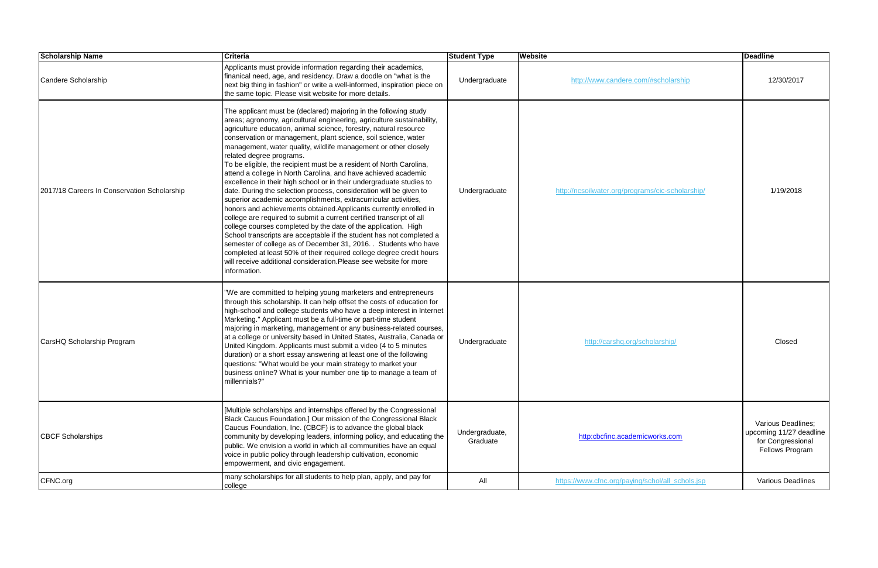| <b>Scholarship Name</b>                     | <b>Criteria</b>                                                                                                                                                                                                                                                                                                                                                                                                                                                                                                                                                                                                                                                                                                                                                                                                                                                                                                                                                                                                                                                                                                                                                                                                                                                   | <b>Student Type</b>        | <b>Website</b>                                   | <b>Deadline</b>                                                                       |
|---------------------------------------------|-------------------------------------------------------------------------------------------------------------------------------------------------------------------------------------------------------------------------------------------------------------------------------------------------------------------------------------------------------------------------------------------------------------------------------------------------------------------------------------------------------------------------------------------------------------------------------------------------------------------------------------------------------------------------------------------------------------------------------------------------------------------------------------------------------------------------------------------------------------------------------------------------------------------------------------------------------------------------------------------------------------------------------------------------------------------------------------------------------------------------------------------------------------------------------------------------------------------------------------------------------------------|----------------------------|--------------------------------------------------|---------------------------------------------------------------------------------------|
| Candere Scholarship                         | Applicants must provide information regarding their academics,<br>finanical need, age, and residency. Draw a doodle on "what is the<br>next big thing in fashion" or write a well-informed, inspiration piece on<br>the same topic. Please visit website for more details.                                                                                                                                                                                                                                                                                                                                                                                                                                                                                                                                                                                                                                                                                                                                                                                                                                                                                                                                                                                        | Undergraduate              | http://www.candere.com/#scholarship              | 12/30/2017                                                                            |
| 2017/18 Careers In Conservation Scholarship | The applicant must be (declared) majoring in the following study<br>areas; agronomy, agricultural engineering, agriculture sustainability,<br>agriculture education, animal science, forestry, natural resource<br>conservation or management, plant science, soil science, water<br>management, water quality, wildlife management or other closely<br>related degree programs.<br>To be eligible, the recipient must be a resident of North Carolina,<br>attend a college in North Carolina, and have achieved academic<br>excellence in their high school or in their undergraduate studies to<br>date. During the selection process, consideration will be given to<br>superior academic accomplishments, extracurricular activities,<br>honors and achievements obtained. Applicants currently enrolled in<br>college are required to submit a current certified transcript of all<br>college courses completed by the date of the application. High<br>School transcripts are acceptable if the student has not completed a<br>semester of college as of December 31, 2016. Students who have<br>completed at least 50% of their required college degree credit hours<br>will receive additional consideration. Please see website for more<br>information. | Undergraduate              | http://ncsoilwater.org/programs/cic-scholarship/ | 1/19/2018                                                                             |
| CarsHQ Scholarship Program                  | "We are committed to helping young marketers and entrepreneurs<br>through this scholarship. It can help offset the costs of education for<br>high-school and college students who have a deep interest in Internet<br>Marketing." Applicant must be a full-time or part-time student<br>majoring in marketing, management or any business-related courses,<br>at a college or university based in United States, Australia, Canada or<br>United Kingdom. Applicants must submit a video (4 to 5 minutes<br>duration) or a short essay answering at least one of the following<br>questions: "What would be your main strategy to market your<br>business online? What is your number one tip to manage a team of<br>millennials?"                                                                                                                                                                                                                                                                                                                                                                                                                                                                                                                                 | Undergraduate              | http://carshq.org/scholarship/                   | Closed                                                                                |
| <b>CBCF Scholarships</b>                    | [Multiple scholarships and internships offered by the Congressional<br>Black Caucus Foundation.] Our mission of the Congressional Black<br>Caucus Foundation, Inc. (CBCF) is to advance the global black<br>community by developing leaders, informing policy, and educating the<br>public. We envision a world in which all communities have an equal<br>voice in public policy through leadership cultivation, economic<br>empowerment, and civic engagement.                                                                                                                                                                                                                                                                                                                                                                                                                                                                                                                                                                                                                                                                                                                                                                                                   | Undergraduate,<br>Graduate | http:cbcfinc.academicworks.com                   | Various Deadlines;<br>upcoming 11/27 deadline<br>for Congressional<br>Fellows Program |
| CFNC.org                                    | many scholarships for all students to help plan, apply, and pay for<br>college                                                                                                                                                                                                                                                                                                                                                                                                                                                                                                                                                                                                                                                                                                                                                                                                                                                                                                                                                                                                                                                                                                                                                                                    | All                        | https://www.cfnc.org/paying/schol/all_schols.jsp | Various Deadlines                                                                     |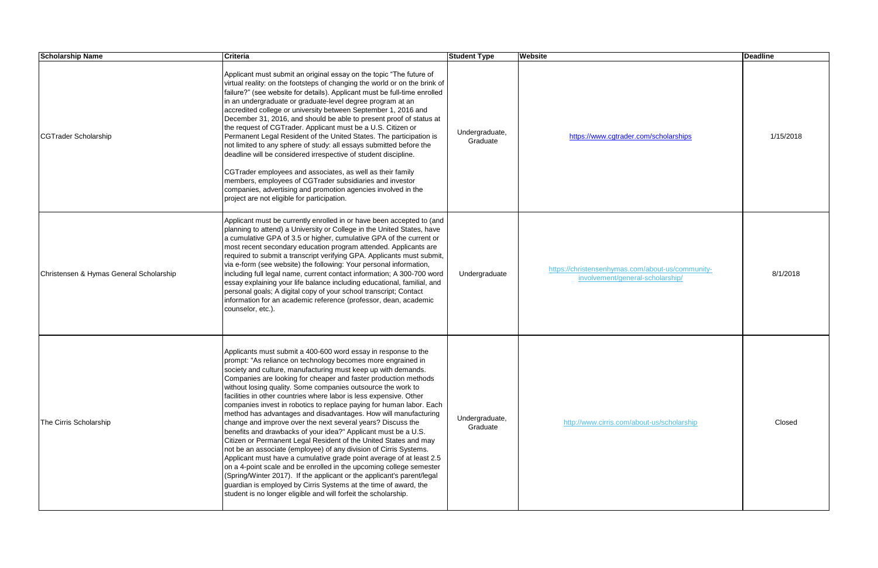| <b>Scholarship Name</b>                 | <b>Criteria</b>                                                                                                                                                                                                                                                                                                                                                                                                                                                                                                                                                                                                                                                                                                                                                                                                                                                                                                                                                                                                                                                                                                                                                                               | <b>Student Type</b>        | <b>Website</b>                                                                       | <b>Deadline</b> |
|-----------------------------------------|-----------------------------------------------------------------------------------------------------------------------------------------------------------------------------------------------------------------------------------------------------------------------------------------------------------------------------------------------------------------------------------------------------------------------------------------------------------------------------------------------------------------------------------------------------------------------------------------------------------------------------------------------------------------------------------------------------------------------------------------------------------------------------------------------------------------------------------------------------------------------------------------------------------------------------------------------------------------------------------------------------------------------------------------------------------------------------------------------------------------------------------------------------------------------------------------------|----------------------------|--------------------------------------------------------------------------------------|-----------------|
| <b>CGTrader Scholarship</b>             | Applicant must submit an original essay on the topic "The future of<br>virtual reality: on the footsteps of changing the world or on the brink of<br>failure?" (see website for details). Applicant must be full-time enrolled<br>in an undergraduate or graduate-level degree program at an<br>accredited college or university between September 1, 2016 and<br>December 31, 2016, and should be able to present proof of status at<br>the request of CGTrader. Applicant must be a U.S. Citizen or<br>Permanent Legal Resident of the United States. The participation is<br>not limited to any sphere of study: all essays submitted before the<br>deadline will be considered irrespective of student discipline.<br>CGTrader employees and associates, as well as their family<br>members, employees of CGTrader subsidiaries and investor<br>companies, advertising and promotion agencies involved in the<br>project are not eligible for participation.                                                                                                                                                                                                                              | Undergraduate,<br>Graduate | https://www.cgtrader.com/scholarships                                                | 1/15/2018       |
| Christensen & Hymas General Scholarship | Applicant must be currently enrolled in or have been accepted to (and<br>planning to attend) a University or College in the United States, have<br>a cumulative GPA of 3.5 or higher, cumulative GPA of the current or<br>most recent secondary education program attended. Applicants are<br>required to submit a transcript verifying GPA. Applicants must submit,<br>via e-form (see website) the following: Your personal information,<br>including full legal name, current contact information; A 300-700 word<br>essay explaining your life balance including educational, familial, and<br>personal goals; A digital copy of your school transcript; Contact<br>information for an academic reference (professor, dean, academic<br>counselor, etc.).                                                                                                                                                                                                                                                                                                                                                                                                                                 | Undergraduate              | https://christensenhymas.com/about-us/community-<br>involvement/general-scholarship/ | 8/1/2018        |
| The Cirris Scholarship                  | Applicants must submit a 400-600 word essay in response to the<br>prompt: "As reliance on technology becomes more engrained in<br>society and culture, manufacturing must keep up with demands.<br>Companies are looking for cheaper and faster production methods<br>without losing quality. Some companies outsource the work to<br>facilities in other countries where labor is less expensive. Other<br>companies invest in robotics to replace paying for human labor. Each<br>method has advantages and disadvantages. How will manufacturing<br>change and improve over the next several years? Discuss the<br>benefits and drawbacks of your idea?" Applicant must be a U.S.<br>Citizen or Permanent Legal Resident of the United States and may<br>not be an associate (employee) of any division of Cirris Systems.<br>Applicant must have a cumulative grade point average of at least 2.5<br>on a 4-point scale and be enrolled in the upcoming college semester<br>(Spring/Winter 2017). If the applicant or the applicant's parent/legal<br>guardian is employed by Cirris Systems at the time of award, the<br>student is no longer eligible and will forfeit the scholarship. | Undergraduate,<br>Graduate | http://www.cirris.com/about-us/scholarship                                           | Closed          |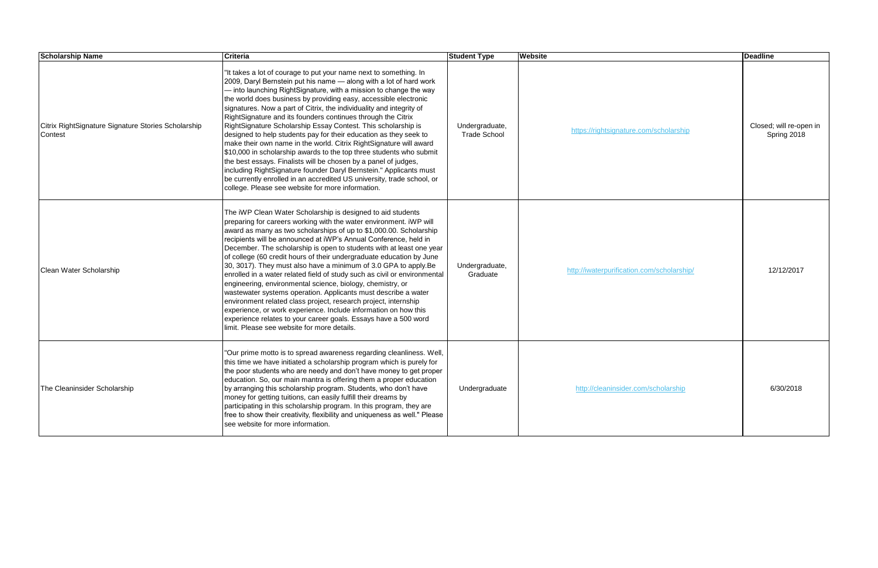| <b>Scholarship Name</b>                                        | <b>Criteria</b>                                                                                                                                                                                                                                                                                                                                                                                                                                                                                                                                                                                                                                                                                                                                                                                                                                                                                                                                                                     | <b>Student Type</b>                   | <b>Website</b>                             | <b>Deadline</b>                        |
|----------------------------------------------------------------|-------------------------------------------------------------------------------------------------------------------------------------------------------------------------------------------------------------------------------------------------------------------------------------------------------------------------------------------------------------------------------------------------------------------------------------------------------------------------------------------------------------------------------------------------------------------------------------------------------------------------------------------------------------------------------------------------------------------------------------------------------------------------------------------------------------------------------------------------------------------------------------------------------------------------------------------------------------------------------------|---------------------------------------|--------------------------------------------|----------------------------------------|
| Citrix RightSignature Signature Stories Scholarship<br>Contest | "It takes a lot of courage to put your name next to something. In<br>2009, Daryl Bernstein put his name - along with a lot of hard work<br>- into launching RightSignature, with a mission to change the way<br>the world does business by providing easy, accessible electronic<br>signatures. Now a part of Citrix, the individuality and integrity of<br>RightSignature and its founders continues through the Citrix<br>RightSignature Scholarship Essay Contest. This scholarship is<br>designed to help students pay for their education as they seek to<br>make their own name in the world. Citrix RightSignature will award<br>\$10,000 in scholarship awards to the top three students who submit<br>the best essays. Finalists will be chosen by a panel of judges,<br>including RightSignature founder Daryl Bernstein." Applicants must<br>be currently enrolled in an accredited US university, trade school, or<br>college. Please see website for more information. | Undergraduate,<br><b>Trade School</b> | https://rightsignature.com/scholarship     | Closed; will re-open in<br>Spring 2018 |
| Clean Water Scholarship                                        | The iWP Clean Water Scholarship is designed to aid students<br>preparing for careers working with the water environment. iWP will<br>award as many as two scholarships of up to \$1,000.00. Scholarship<br>recipients will be announced at iWP's Annual Conference, held in<br>December. The scholarship is open to students with at least one year<br>of college (60 credit hours of their undergraduate education by June<br>30, 3017). They must also have a minimum of 3.0 GPA to apply. Be<br>enrolled in a water related field of study such as civil or environmental<br>engineering, environmental science, biology, chemistry, or<br>wastewater systems operation. Applicants must describe a water<br>environment related class project, research project, internship<br>experience, or work experience. Include information on how this<br>experience relates to your career goals. Essays have a 500 word<br>limit. Please see website for more details.                | Undergraduate,<br>Graduate            | http://iwaterpurification.com/scholarship/ | 12/12/2017                             |
| The Cleaninsider Scholarship                                   | 'Our prime motto is to spread awareness regarding cleanliness. Well,<br>this time we have initiated a scholarship program which is purely for<br>the poor students who are needy and don't have money to get proper<br>education. So, our main mantra is offering them a proper education<br>by arranging this scholarship program. Students, who don't have<br>money for getting tuitions, can easily fulfill their dreams by<br>participating in this scholarship program. In this program, they are<br>free to show their creativity, flexibility and uniqueness as well." Please<br>see website for more information.                                                                                                                                                                                                                                                                                                                                                           | Undergraduate                         | http://cleaninsider.com/scholarship        | 6/30/2018                              |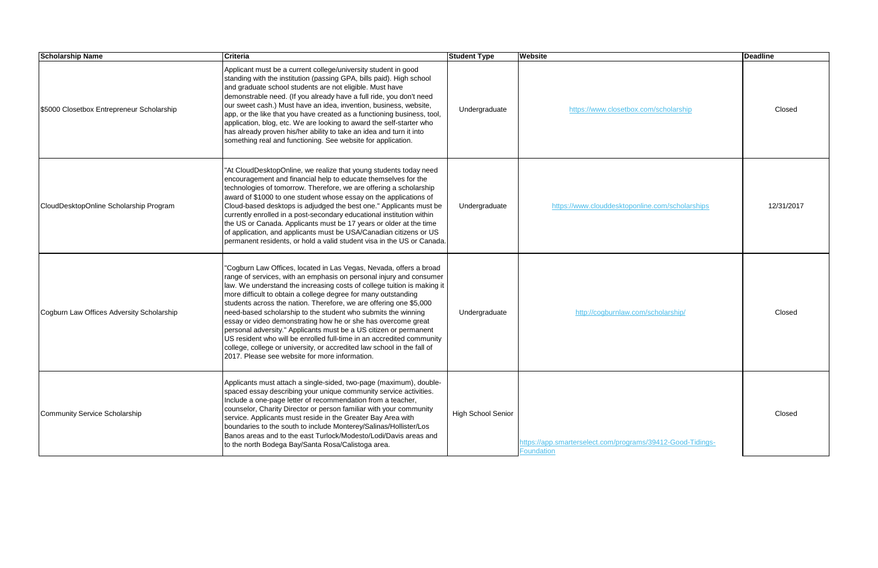| <b>Scholarship Name</b>                   | <b>Criteria</b>                                                                                                                                                                                                                                                                                                                                                                                                                                                                                                                                                                                                                                                                                                                                                           | <b>Student Type</b>       | Website                                                                         | <b>Deadline</b> |
|-------------------------------------------|---------------------------------------------------------------------------------------------------------------------------------------------------------------------------------------------------------------------------------------------------------------------------------------------------------------------------------------------------------------------------------------------------------------------------------------------------------------------------------------------------------------------------------------------------------------------------------------------------------------------------------------------------------------------------------------------------------------------------------------------------------------------------|---------------------------|---------------------------------------------------------------------------------|-----------------|
| \$5000 Closetbox Entrepreneur Scholarship | Applicant must be a current college/university student in good<br>standing with the institution (passing GPA, bills paid). High school<br>and graduate school students are not eligible. Must have<br>demonstrable need. (If you already have a full ride, you don't need<br>our sweet cash.) Must have an idea, invention, business, website,<br>app, or the like that you have created as a functioning business, tool,<br>application, blog, etc. We are looking to award the self-starter who<br>has already proven his/her ability to take an idea and turn it into<br>something real and functioning. See website for application.                                                                                                                                  | Undergraduate             | https://www.closetbox.com/scholarship                                           | Closed          |
| CloudDesktopOnline Scholarship Program    | "At CloudDesktopOnline, we realize that young students today need<br>encouragement and financial help to educate themselves for the<br>technologies of tomorrow. Therefore, we are offering a scholarship<br>award of \$1000 to one student whose essay on the applications of<br>Cloud-based desktops is adjudged the best one." Applicants must be<br>currently enrolled in a post-secondary educational institution within<br>the US or Canada. Applicants must be 17 years or older at the time<br>of application, and applicants must be USA/Canadian citizens or US<br>permanent residents, or hold a valid student visa in the US or Canada.                                                                                                                       | Undergraduate             | https://www.clouddesktoponline.com/scholarships                                 | 12/31/2017      |
| Cogburn Law Offices Adversity Scholarship | "Cogburn Law Offices, located in Las Vegas, Nevada, offers a broad<br>range of services, with an emphasis on personal injury and consumer<br>law. We understand the increasing costs of college tuition is making it<br>more difficult to obtain a college degree for many outstanding<br>students across the nation. Therefore, we are offering one \$5,000<br>need-based scholarship to the student who submits the winning<br>essay or video demonstrating how he or she has overcome great<br>personal adversity." Applicants must be a US citizen or permanent<br>US resident who will be enrolled full-time in an accredited community<br>college, college or university, or accredited law school in the fall of<br>2017. Please see website for more information. | Undergraduate             | http://cogburnlaw.com/scholarship/                                              | Closed          |
| Community Service Scholarship             | Applicants must attach a single-sided, two-page (maximum), double-<br>spaced essay describing your unique community service activities.<br>Include a one-page letter of recommendation from a teacher,<br>counselor, Charity Director or person familiar with your community<br>service. Applicants must reside in the Greater Bay Area with<br>boundaries to the south to include Monterey/Salinas/Hollister/Los<br>Banos areas and to the east Turlock/Modesto/Lodi/Davis areas and<br>to the north Bodega Bay/Santa Rosa/Calistoga area.                                                                                                                                                                                                                               | <b>High School Senior</b> | https://app.smarterselect.com/programs/39412-Good-Tidings-<br><b>Foundation</b> | Closed          |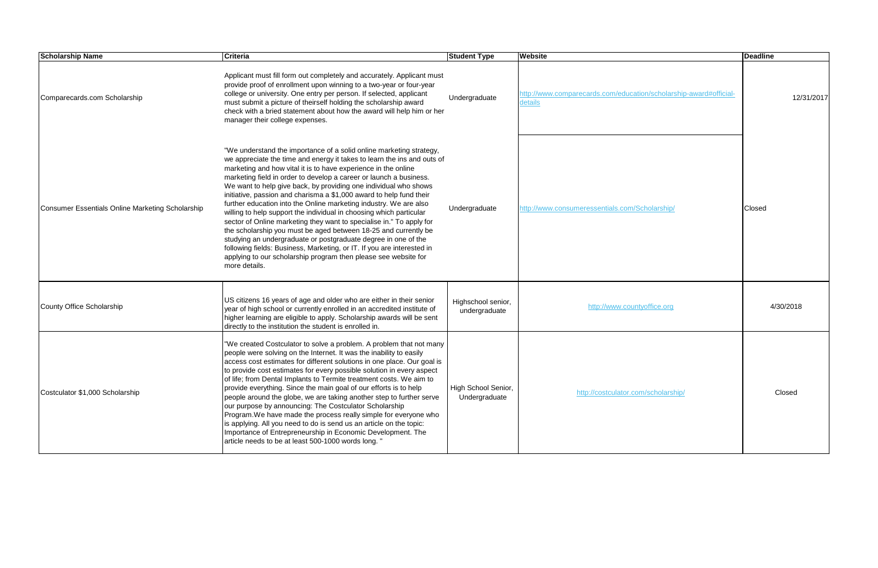| <b>Scholarship Name</b>                          | Criteria                                                                                                                                                                                                                                                                                                                                                                                                                                                                                                                                                                                                                                                                                                                                                                                                                                                                                                                                                 | <b>Student Type</b>                  | Website                                                                      |
|--------------------------------------------------|----------------------------------------------------------------------------------------------------------------------------------------------------------------------------------------------------------------------------------------------------------------------------------------------------------------------------------------------------------------------------------------------------------------------------------------------------------------------------------------------------------------------------------------------------------------------------------------------------------------------------------------------------------------------------------------------------------------------------------------------------------------------------------------------------------------------------------------------------------------------------------------------------------------------------------------------------------|--------------------------------------|------------------------------------------------------------------------------|
| Comparecards.com Scholarship                     | Applicant must fill form out completely and accurately. Applicant must<br>provide proof of enrollment upon winning to a two-year or four-year<br>college or university. One entry per person. If selected, applicant<br>must submit a picture of theirself holding the scholarship award<br>check with a bried statement about how the award will help him or her<br>manager their college expenses.                                                                                                                                                                                                                                                                                                                                                                                                                                                                                                                                                     | Undergraduate                        | http://www.comparecards.com/education/scholarship-award#official-<br>details |
| Consumer Essentials Online Marketing Scholarship | "We understand the importance of a solid online marketing strategy,<br>we appreciate the time and energy it takes to learn the ins and outs of<br>marketing and how vital it is to have experience in the online<br>marketing field in order to develop a career or launch a business.<br>We want to help give back, by providing one individual who shows<br>initiative, passion and charisma a \$1,000 award to help fund their<br>further education into the Online marketing industry. We are also<br>willing to help support the individual in choosing which particular<br>sector of Online marketing they want to specialise in." To apply for<br>the scholarship you must be aged between 18-25 and currently be<br>studying an undergraduate or postgraduate degree in one of the<br>following fields: Business, Marketing, or IT. If you are interested in<br>applying to our scholarship program then please see website for<br>more details. | Undergraduate                        | http://www.consumeressentials.com/Scholarship/                               |
| County Office Scholarship                        | US citizens 16 years of age and older who are either in their senior<br>year of high school or currently enrolled in an accredited institute of<br>higher learning are eligible to apply. Scholarship awards will be sent<br>directly to the institution the student is enrolled in.                                                                                                                                                                                                                                                                                                                                                                                                                                                                                                                                                                                                                                                                     | Highschool senior,<br>undergraduate  | http://www.countyoffice.org                                                  |
| Costculator \$1,000 Scholarship                  | "We created Costculator to solve a problem. A problem that not many<br>people were solving on the Internet. It was the inability to easily<br>access cost estimates for different solutions in one place. Our goal is<br>to provide cost estimates for every possible solution in every aspect<br>of life; from Dental Implants to Termite treatment costs. We aim to<br>provide everything. Since the main goal of our efforts is to help<br>people around the globe, we are taking another step to further serve<br>our purpose by announcing: The Costculator Scholarship<br>Program. We have made the process really simple for everyone who<br>is applying. All you need to do is send us an article on the topic:<br>Importance of Entrepreneurship in Economic Development. The<br>article needs to be at least 500-1000 words long."                                                                                                             | High School Senior,<br>Undergraduate | http://costculator.com/scholarship/                                          |

|                                                        | <b>Deadline</b> |
|--------------------------------------------------------|-----------------|
| comparecards.com/education/scholarship-award#official- | 12/31/2017      |
| consumeressentials.com/Scholarship/                    | Closed          |
| http://www.countyoffice.org                            | 4/30/2018       |
| http://costculator.com/scholarship/                    | Closed          |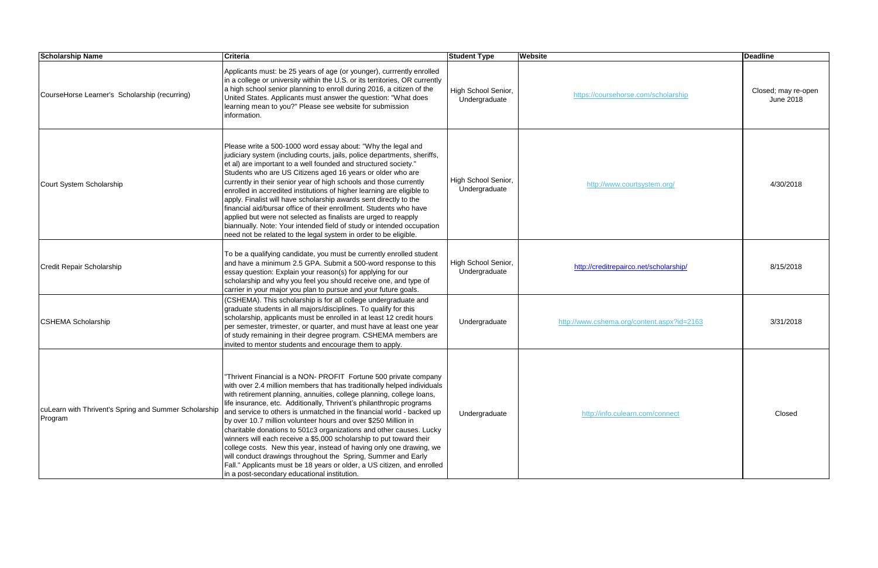| <b>Scholarship Name</b>                                          | <b>Criteria</b>                                                                                                                                                                                                                                                                                                                                                                                                                                                                                                                                                                                                                                                                                                                                                                                                                                           | <b>Student Type</b>                  | <b>Website</b>                             | <b>Deadline</b>                  |
|------------------------------------------------------------------|-----------------------------------------------------------------------------------------------------------------------------------------------------------------------------------------------------------------------------------------------------------------------------------------------------------------------------------------------------------------------------------------------------------------------------------------------------------------------------------------------------------------------------------------------------------------------------------------------------------------------------------------------------------------------------------------------------------------------------------------------------------------------------------------------------------------------------------------------------------|--------------------------------------|--------------------------------------------|----------------------------------|
| CourseHorse Learner's Scholarship (recurring)                    | Applicants must: be 25 years of age (or younger), currrently enrolled<br>in a college or university within the U.S. or its territories, OR currently<br>a high school senior planning to enroll during 2016, a citizen of the<br>United States. Applicants must answer the question: "What does<br>learning mean to you?" Please see website for submission<br>information.                                                                                                                                                                                                                                                                                                                                                                                                                                                                               | High School Senior,<br>Undergraduate | https://coursehorse.com/scholarship        | Closed; may re-open<br>June 2018 |
| Court System Scholarship                                         | Please write a 500-1000 word essay about: "Why the legal and<br>judiciary system (including courts, jails, police departments, sheriffs,<br>et al) are important to a well founded and structured society."<br>Students who are US Citizens aged 16 years or older who are<br>currently in their senior year of high schools and those currently<br>enrolled in accredited institutions of higher learning are eligible to<br>apply. Finalist will have scholarship awards sent directly to the<br>financial aid/bursar office of their enrollment. Students who have<br>applied but were not selected as finalists are urged to reapply<br>biannually. Note: Your intended field of study or intended occupation<br>need not be related to the legal system in order to be eligible.                                                                     | High School Senior,<br>Undergraduate | http://www.courtsystem.org/                | 4/30/2018                        |
| Credit Repair Scholarship                                        | To be a qualifying candidate, you must be currently enrolled student<br>and have a minimum 2.5 GPA. Submit a 500-word response to this<br>essay question: Explain your reason(s) for applying for our<br>scholarship and why you feel you should receive one, and type of<br>carrier in your major you plan to pursue and your future goals.                                                                                                                                                                                                                                                                                                                                                                                                                                                                                                              | High School Senior,<br>Undergraduate | http://creditrepairco.net/scholarship/     | 8/15/2018                        |
| <b>CSHEMA Scholarship</b>                                        | (CSHEMA). This scholarship is for all college undergraduate and<br>graduate students in all majors/disciplines. To qualify for this<br>scholarship, applicants must be enrolled in at least 12 credit hours<br>per semester, trimester, or quarter, and must have at least one year<br>of study remaining in their degree program. CSHEMA members are<br>invited to mentor students and encourage them to apply.                                                                                                                                                                                                                                                                                                                                                                                                                                          | Undergraduate                        | http://www.cshema.org/content.aspx?id=2163 | 3/31/2018                        |
| cuLearn with Thrivent's Spring and Summer Scholarship<br>Program | "Thrivent Financial is a NON- PROFIT Fortune 500 private company<br>with over 2.4 million members that has traditionally helped individuals<br>with retirement planning, annuities, college planning, college loans,<br>life insurance, etc. Additionally, Thrivent's philanthropic programs<br>and service to others is unmatched in the financial world - backed up<br>by over 10.7 million volunteer hours and over \$250 Million in<br>charitable donations to 501c3 organizations and other causes. Lucky<br>winners will each receive a \$5,000 scholarship to put toward their<br>college costs. New this year, instead of having only one drawing, we<br>will conduct drawings throughout the Spring, Summer and Early<br>Fall." Applicants must be 18 years or older, a US citizen, and enrolled<br>in a post-secondary educational institution. | Undergraduate                        | http://info.culearn.com/connect            | Closed                           |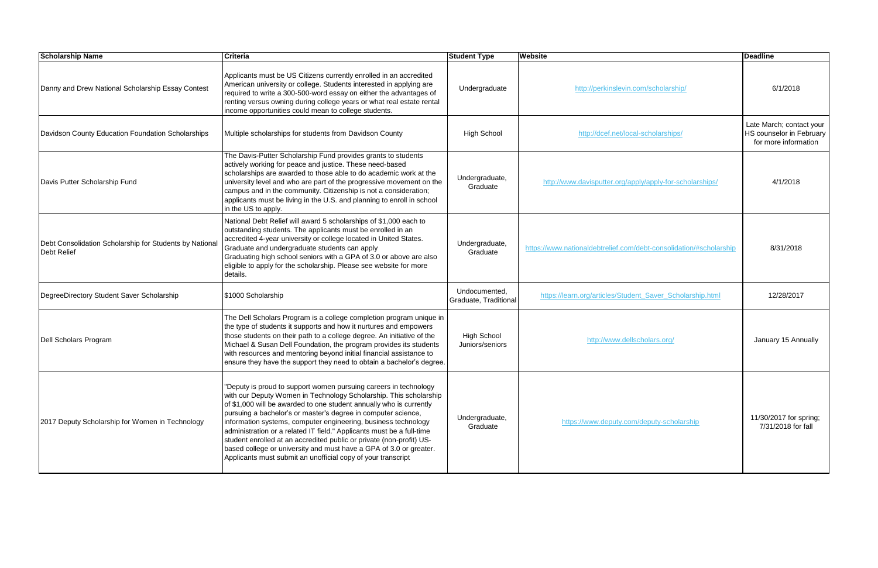| <b>Scholarship Name</b>                                                | <b>Criteria</b>                                                                                                                                                                                                                                                                                                                                                                                                                                                                                                                                                                                                                        | <b>Student Type</b>                    | <b>Website</b>                                                     | <b>Deadline</b>                                                              |
|------------------------------------------------------------------------|----------------------------------------------------------------------------------------------------------------------------------------------------------------------------------------------------------------------------------------------------------------------------------------------------------------------------------------------------------------------------------------------------------------------------------------------------------------------------------------------------------------------------------------------------------------------------------------------------------------------------------------|----------------------------------------|--------------------------------------------------------------------|------------------------------------------------------------------------------|
| Danny and Drew National Scholarship Essay Contest                      | Applicants must be US Citizens currently enrolled in an accredited<br>American university or college. Students interested in applying are<br>required to write a 300-500-word essay on either the advantages of<br>renting versus owning during college years or what real estate rental<br>income opportunities could mean to college students.                                                                                                                                                                                                                                                                                       | Undergraduate                          | http://perkinslevin.com/scholarship/                               | 6/1/2018                                                                     |
| Davidson County Education Foundation Scholarships                      | Multiple scholarships for students from Davidson County                                                                                                                                                                                                                                                                                                                                                                                                                                                                                                                                                                                | <b>High School</b>                     | http://dcef.net/local-scholarships/                                | Late March; contact your<br>HS counselor in February<br>for more information |
| Davis Putter Scholarship Fund                                          | The Davis-Putter Scholarship Fund provides grants to students<br>actively working for peace and justice. These need-based<br>scholarships are awarded to those able to do academic work at the<br>university level and who are part of the progressive movement on the<br>campus and in the community. Citizenship is not a consideration;<br>applicants must be living in the U.S. and planning to enroll in school<br>in the US to apply.                                                                                                                                                                                            | Undergraduate,<br>Graduate             | http://www.davisputter.org/apply/apply-for-scholarships/           | 4/1/2018                                                                     |
| Debt Consolidation Scholarship for Students by National<br>Debt Relief | National Debt Relief will award 5 scholarships of \$1,000 each to<br>outstanding students. The applicants must be enrolled in an<br>accredited 4-year university or college located in United States.<br>Graduate and undergraduate students can apply<br>Graduating high school seniors with a GPA of 3.0 or above are also<br>eligible to apply for the scholarship. Please see website for more<br>details.                                                                                                                                                                                                                         | Undergraduate,<br>Graduate             | https://www.nationaldebtrelief.com/debt-consolidation/#scholarship | 8/31/2018                                                                    |
| DegreeDirectory Student Saver Scholarship                              | \$1000 Scholarship                                                                                                                                                                                                                                                                                                                                                                                                                                                                                                                                                                                                                     | Undocumented,<br>Graduate, Traditional | https://learn.org/articles/Student Saver Scholarship.html          | 12/28/2017                                                                   |
| Dell Scholars Program                                                  | The Dell Scholars Program is a college completion program unique in<br>the type of students it supports and how it nurtures and empowers<br>those students on their path to a college degree. An initiative of the<br>Michael & Susan Dell Foundation, the program provides its students<br>with resources and mentoring beyond initial financial assistance to<br>ensure they have the support they need to obtain a bachelor's degree.                                                                                                                                                                                               | <b>High School</b><br>Juniors/seniors  | http://www.dellscholars.org/                                       | January 15 Annually                                                          |
| 2017 Deputy Scholarship for Women in Technology                        | "Deputy is proud to support women pursuing careers in technology<br>with our Deputy Women in Technology Scholarship. This scholarship<br>of \$1,000 will be awarded to one student annually who is currently<br>pursuing a bachelor's or master's degree in computer science,<br>information systems, computer engineering, business technology<br>administration or a related IT field." Applicants must be a full-time<br>student enrolled at an accredited public or private (non-profit) US-<br>based college or university and must have a GPA of 3.0 or greater.<br>Applicants must submit an unofficial copy of your transcript | Undergraduate,<br>Graduate             | https://www.deputy.com/deputy-scholarship                          | 11/30/2017 for spring;<br>7/31/2018 for fall                                 |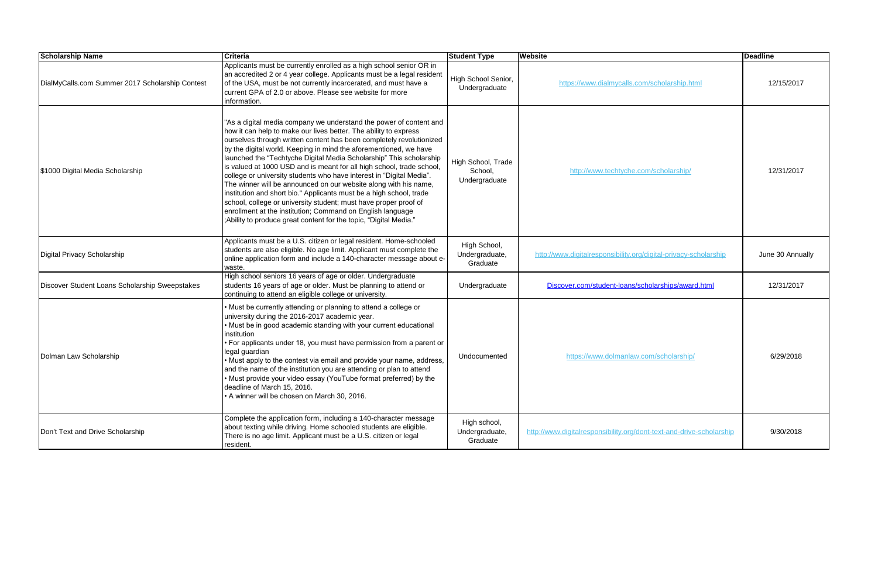| <b>Scholarship Name</b>                         | <b>Criteria</b>                                                                                                                                                                                                                                                                                                                                                                                                                                                                                                                                                                                                                                                                                                                                                                                                                                                | <b>Student Type</b>                            | <b>Website</b>                                                       | <b>Deadline</b>  |
|-------------------------------------------------|----------------------------------------------------------------------------------------------------------------------------------------------------------------------------------------------------------------------------------------------------------------------------------------------------------------------------------------------------------------------------------------------------------------------------------------------------------------------------------------------------------------------------------------------------------------------------------------------------------------------------------------------------------------------------------------------------------------------------------------------------------------------------------------------------------------------------------------------------------------|------------------------------------------------|----------------------------------------------------------------------|------------------|
| DialMyCalls.com Summer 2017 Scholarship Contest | Applicants must be currently enrolled as a high school senior OR in<br>an accredited 2 or 4 year college. Applicants must be a legal resident<br>of the USA, must be not currently incarcerated, and must have a<br>current GPA of 2.0 or above. Please see website for more<br>information.                                                                                                                                                                                                                                                                                                                                                                                                                                                                                                                                                                   | High School Senior,<br>Undergraduate           | https://www.dialmycalls.com/scholarship.html                         | 12/15/2017       |
| \$1000 Digital Media Scholarship                | "As a digital media company we understand the power of content and<br>how it can help to make our lives better. The ability to express<br>ourselves through written content has been completely revolutionized<br>by the digital world. Keeping in mind the aforementioned, we have<br>launched the "Techtyche Digital Media Scholarship" This scholarship<br>is valued at 1000 USD and is meant for all high school, trade school,<br>college or university students who have interest in "Digital Media".<br>The winner will be announced on our website along with his name,<br>institution and short bio." Applicants must be a high school, trade<br>school, college or university student; must have proper proof of<br>enrollment at the institution; Command on English language<br>; Ability to produce great content for the topic, "Digital Media." | High School, Trade<br>School,<br>Undergraduate | http://www.techtyche.com/scholarship/                                | 12/31/2017       |
| Digital Privacy Scholarship                     | Applicants must be a U.S. citizen or legal resident. Home-schooled<br>students are also eligible. No age limit. Applicant must complete the<br>online application form and include a 140-character message about e-<br>waste.                                                                                                                                                                                                                                                                                                                                                                                                                                                                                                                                                                                                                                  | High School,<br>Undergraduate,<br>Graduate     | http://www.digitalresponsibility.org/digital-privacy-scholarship     | June 30 Annually |
| Discover Student Loans Scholarship Sweepstakes  | High school seniors 16 years of age or older. Undergraduate<br>students 16 years of age or older. Must be planning to attend or<br>continuing to attend an eligible college or university.                                                                                                                                                                                                                                                                                                                                                                                                                                                                                                                                                                                                                                                                     | Undergraduate                                  | Discover.com/student-loans/scholarships/award.html                   | 12/31/2017       |
| Dolman Law Scholarship                          | Must be currently attending or planning to attend a college or<br>university during the 2016-2017 academic year.<br>Must be in good academic standing with your current educational<br>institution<br>For applicants under 18, you must have permission from a parent or<br>legal guardian<br>Must apply to the contest via email and provide your name, address,<br>and the name of the institution you are attending or plan to attend<br>Must provide your video essay (YouTube format preferred) by the<br>deadline of March 15, 2016.<br>• A winner will be chosen on March 30, 2016.                                                                                                                                                                                                                                                                     | Undocumented                                   | https://www.dolmanlaw.com/scholarship/                               | 6/29/2018        |
| Don't Text and Drive Scholarship                | Complete the application form, including a 140-character message<br>about texting while driving. Home schooled students are eligible.<br>There is no age limit. Applicant must be a U.S. citizen or legal<br>resident.                                                                                                                                                                                                                                                                                                                                                                                                                                                                                                                                                                                                                                         | High school,<br>Undergraduate,<br>Graduate     | http://www.digitalresponsibility.org/dont-text-and-drive-scholarship | 9/30/2018        |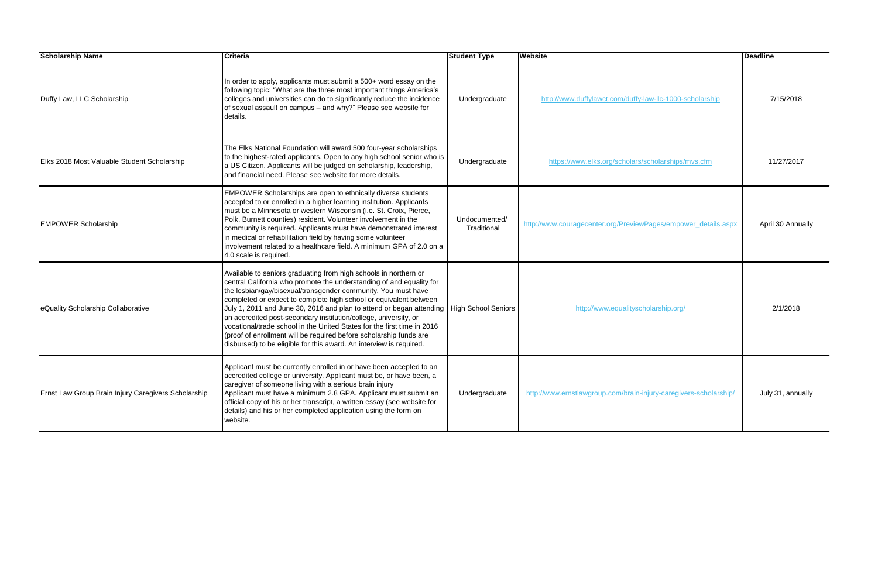| <b>Scholarship Name</b>                             | <b>Criteria</b>                                                                                                                                                                                                                                                                                                                                                                                                                                                                                                                                                                                                                                    | <b>Student Type</b>          | <b>Website</b>                                                    | <b>Deadline</b>   |
|-----------------------------------------------------|----------------------------------------------------------------------------------------------------------------------------------------------------------------------------------------------------------------------------------------------------------------------------------------------------------------------------------------------------------------------------------------------------------------------------------------------------------------------------------------------------------------------------------------------------------------------------------------------------------------------------------------------------|------------------------------|-------------------------------------------------------------------|-------------------|
| Duffy Law, LLC Scholarship                          | In order to apply, applicants must submit a 500+ word essay on the<br>following topic: "What are the three most important things America's<br>colleges and universities can do to significantly reduce the incidence<br>of sexual assault on campus - and why?" Please see website for<br>details.                                                                                                                                                                                                                                                                                                                                                 | Undergraduate                | http://www.duffylawct.com/duffy-law-llc-1000-scholarship          | 7/15/2018         |
| Elks 2018 Most Valuable Student Scholarship         | The Elks National Foundation will award 500 four-year scholarships<br>to the highest-rated applicants. Open to any high school senior who is<br>a US Citizen. Applicants will be judged on scholarship, leadership,<br>and financial need. Please see website for more details.                                                                                                                                                                                                                                                                                                                                                                    | Undergraduate                | https://www.elks.org/scholars/scholarships/mvs.cfm                | 11/27/2017        |
| <b>EMPOWER Scholarship</b>                          | EMPOWER Scholarships are open to ethnically diverse students<br>accepted to or enrolled in a higher learning institution. Applicants<br>must be a Minnesota or western Wisconsin (i.e. St. Croix, Pierce,<br>Polk, Burnett counties) resident. Volunteer involvement in the<br>community is required. Applicants must have demonstrated interest<br>in medical or rehabilitation field by having some volunteer<br>involvement related to a healthcare field. A minimum GPA of 2.0 on a<br>4.0 scale is required.                                                                                                                                  | Undocumented/<br>Traditional | http://www.couragecenter.org/PreviewPages/empower_details.aspx    | April 30 Annually |
| eQuality Scholarship Collaborative                  | Available to seniors graduating from high schools in northern or<br>central California who promote the understanding of and equality for<br>the lesbian/gay/bisexual/transgender community. You must have<br>completed or expect to complete high school or equivalent between<br>July 1, 2011 and June 30, 2016 and plan to attend or began attending<br>an accredited post-secondary institution/college, university, or<br>vocational/trade school in the United States for the first time in 2016<br>(proof of enrollment will be required before scholarship funds are<br>disbursed) to be eligible for this award. An interview is required. | High School Seniors          | http://www.equalityscholarship.org/                               | 2/1/2018          |
| Ernst Law Group Brain Injury Caregivers Scholarship | Applicant must be currently enrolled in or have been accepted to an<br>accredited college or university. Applicant must be, or have been, a<br>caregiver of someone living with a serious brain injury<br>Applicant must have a minimum 2.8 GPA. Applicant must submit an<br>official copy of his or her transcript, a written essay (see website for<br>details) and his or her completed application using the form on<br>website.                                                                                                                                                                                                               | Undergraduate                | http://www.ernstlawgroup.com/brain-injury-caregivers-scholarship/ | July 31, annually |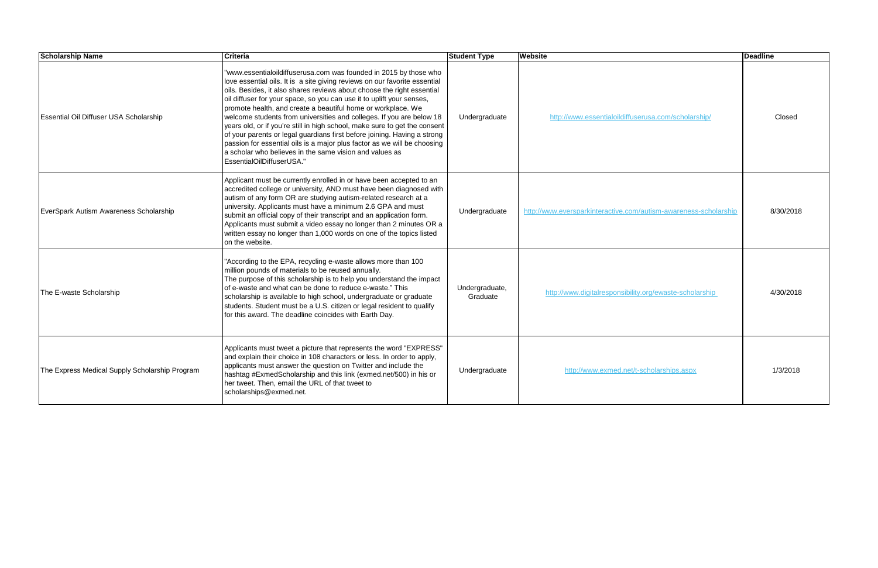| <b>Scholarship Name</b>                        | <b>Criteria</b>                                                                                                                                                                                                                                                                                                                                                                                                                                                                                                                                                                                                                                                                                                                                                          | <b>Student Type</b>        | <b>Website</b>                                                   | <b>Deadline</b> |
|------------------------------------------------|--------------------------------------------------------------------------------------------------------------------------------------------------------------------------------------------------------------------------------------------------------------------------------------------------------------------------------------------------------------------------------------------------------------------------------------------------------------------------------------------------------------------------------------------------------------------------------------------------------------------------------------------------------------------------------------------------------------------------------------------------------------------------|----------------------------|------------------------------------------------------------------|-----------------|
| <b>Essential Oil Diffuser USA Scholarship</b>  | "www.essentialoildiffuserusa.com was founded in 2015 by those who<br>love essential oils. It is a site giving reviews on our favorite essential<br>oils. Besides, it also shares reviews about choose the right essential<br>oil diffuser for your space, so you can use it to uplift your senses,<br>promote health, and create a beautiful home or workplace. We<br>welcome students from universities and colleges. If you are below 18<br>years old, or if you're still in high school, make sure to get the consent<br>of your parents or legal guardians first before joining. Having a strong<br>passion for essential oils is a major plus factor as we will be choosing<br>a scholar who believes in the same vision and values as<br>EssentialOilDiffuserUSA." | Undergraduate              | http://www.essentialoildiffuserusa.com/scholarship/              | Closed          |
| EverSpark Autism Awareness Scholarship         | Applicant must be currently enrolled in or have been accepted to an<br>accredited college or university, AND must have been diagnosed with<br>autism of any form OR are studying autism-related research at a<br>university. Applicants must have a minimum 2.6 GPA and must<br>submit an official copy of their transcript and an application form.<br>Applicants must submit a video essay no longer than 2 minutes OR a<br>written essay no longer than 1,000 words on one of the topics listed<br>on the website.                                                                                                                                                                                                                                                    | Undergraduate              | http://www.eversparkinteractive.com/autism-awareness-scholarship | 8/30/2018       |
| The E-waste Scholarship                        | "According to the EPA, recycling e-waste allows more than 100<br>million pounds of materials to be reused annually.<br>The purpose of this scholarship is to help you understand the impact<br>of e-waste and what can be done to reduce e-waste." This<br>scholarship is available to high school, undergraduate or graduate<br>students. Student must be a U.S. citizen or legal resident to qualify<br>for this award. The deadline coincides with Earth Day.                                                                                                                                                                                                                                                                                                         | Undergraduate,<br>Graduate | http://www.digitalresponsibility.org/ewaste-scholarship          | 4/30/2018       |
| The Express Medical Supply Scholarship Program | Applicants must tweet a picture that represents the word "EXPRESS"<br>and explain their choice in 108 characters or less. In order to apply,<br>applicants must answer the question on Twitter and include the<br>hashtag #ExmedScholarship and this link (exmed.net/500) in his or<br>her tweet. Then, email the URL of that tweet to<br>scholarships@exmed.net.                                                                                                                                                                                                                                                                                                                                                                                                        | Undergraduate              | http://www.exmed.net/t-scholarships.aspx                         | 1/3/2018        |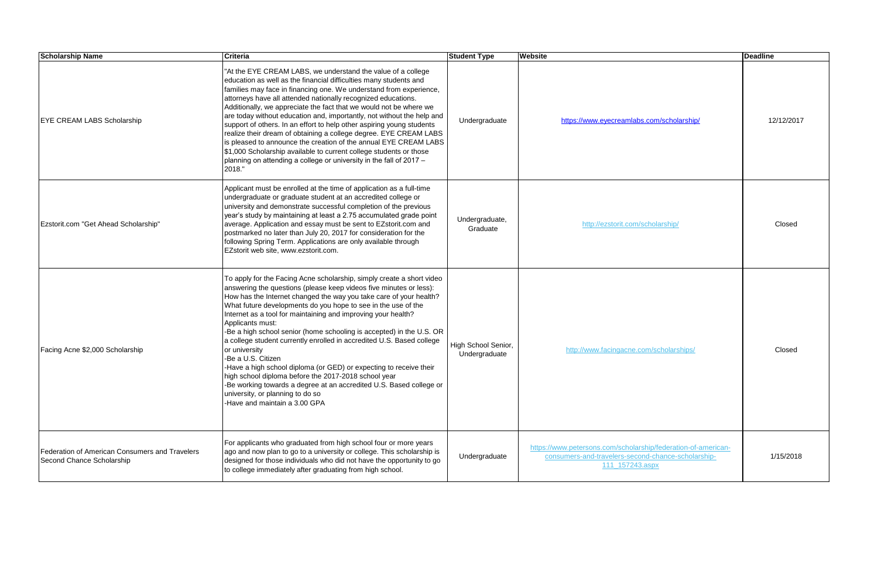| <b>Scholarship Name</b>                                                     | <b>Criteria</b>                                                                                                                                                                                                                                                                                                                                                                                                                                                                                                                                                                                                                                                                                                                                                                                                                           | <b>Student Type</b>                  | Website                                                                                                                                | <b>Deadline</b> |
|-----------------------------------------------------------------------------|-------------------------------------------------------------------------------------------------------------------------------------------------------------------------------------------------------------------------------------------------------------------------------------------------------------------------------------------------------------------------------------------------------------------------------------------------------------------------------------------------------------------------------------------------------------------------------------------------------------------------------------------------------------------------------------------------------------------------------------------------------------------------------------------------------------------------------------------|--------------------------------------|----------------------------------------------------------------------------------------------------------------------------------------|-----------------|
| <b>EYE CREAM LABS Scholarship</b>                                           | "At the EYE CREAM LABS, we understand the value of a college<br>education as well as the financial difficulties many students and<br>families may face in financing one. We understand from experience,<br>attorneys have all attended nationally recognized educations.<br>Additionally, we appreciate the fact that we would not be where we<br>are today without education and, importantly, not without the help and<br>support of others. In an effort to help other aspiring young students<br>realize their dream of obtaining a college degree. EYE CREAM LABS<br>is pleased to announce the creation of the annual EYE CREAM LABS<br>\$1,000 Scholarship available to current college students or those<br>planning on attending a college or university in the fall of 2017 -<br>2018."                                         | Undergraduate                        | https://www.eyecreamlabs.com/scholarship/                                                                                              | 12/12/2017      |
| Ezstorit.com "Get Ahead Scholarship"                                        | Applicant must be enrolled at the time of application as a full-time<br>undergraduate or graduate student at an accredited college or<br>university and demonstrate successful completion of the previous<br>year's study by maintaining at least a 2.75 accumulated grade point<br>average. Application and essay must be sent to EZstorit.com and<br>postmarked no later than July 20, 2017 for consideration for the<br>following Spring Term. Applications are only available through<br>EZstorit web site, www.ezstorit.com.                                                                                                                                                                                                                                                                                                         | Undergraduate,<br>Graduate           | http://ezstorit.com/scholarship/                                                                                                       | Closed          |
| Facing Acne \$2,000 Scholarship                                             | To apply for the Facing Acne scholarship, simply create a short video<br>answering the questions (please keep videos five minutes or less):<br>How has the Internet changed the way you take care of your health?<br>What future developments do you hope to see in the use of the<br>Internet as a tool for maintaining and improving your health?<br>Applicants must:<br>-Be a high school senior (home schooling is accepted) in the U.S. OR<br>a college student currently enrolled in accredited U.S. Based college<br>or university<br>-Be a U.S. Citizen<br>-Have a high school diploma (or GED) or expecting to receive their<br>high school diploma before the 2017-2018 school year<br>-Be working towards a degree at an accredited U.S. Based college or<br>university, or planning to do so<br>-Have and maintain a 3.00 GPA | High School Senior,<br>Undergraduate | http://www.facingacne.com/scholarships/                                                                                                | Closed          |
| Federation of American Consumers and Travelers<br>Second Chance Scholarship | For applicants who graduated from high school four or more years<br>ago and now plan to go to a university or college. This scholarship is<br>designed for those individuals who did not have the opportunity to go<br>to college immediately after graduating from high school.                                                                                                                                                                                                                                                                                                                                                                                                                                                                                                                                                          | Undergraduate                        | https://www.petersons.com/scholarship/federation-of-american-<br>consumers-and-travelers-second-chance-scholarship-<br>111_157243.aspx | 1/15/2018       |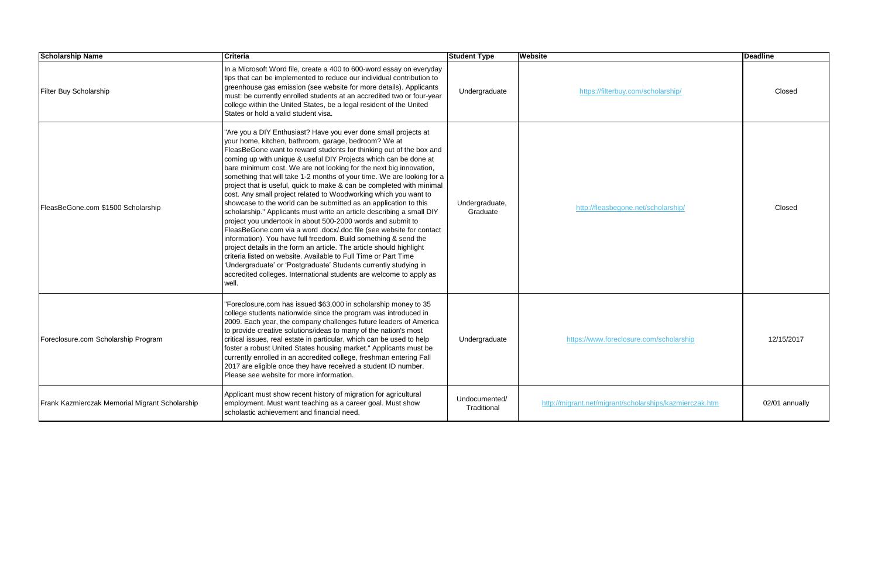| <b>Scholarship Name</b>                        | Criteria                                                                                                                                                                                                                                                                                                                                                                                                                                                                                                                                                                                                                                                                                                                                                                                                                                                                                                                                                                                                                                                                                                                                                                                                             | <b>Student Type</b>          | <b>Website</b>                                          |
|------------------------------------------------|----------------------------------------------------------------------------------------------------------------------------------------------------------------------------------------------------------------------------------------------------------------------------------------------------------------------------------------------------------------------------------------------------------------------------------------------------------------------------------------------------------------------------------------------------------------------------------------------------------------------------------------------------------------------------------------------------------------------------------------------------------------------------------------------------------------------------------------------------------------------------------------------------------------------------------------------------------------------------------------------------------------------------------------------------------------------------------------------------------------------------------------------------------------------------------------------------------------------|------------------------------|---------------------------------------------------------|
| Filter Buy Scholarship                         | In a Microsoft Word file, create a 400 to 600-word essay on everyday<br>tips that can be implemented to reduce our individual contribution to<br>greenhouse gas emission (see website for more details). Applicants<br>must: be currently enrolled students at an accredited two or four-year<br>college within the United States, be a legal resident of the United<br>States or hold a valid student visa.                                                                                                                                                                                                                                                                                                                                                                                                                                                                                                                                                                                                                                                                                                                                                                                                         | Undergraduate                | https://filterbuy.com/scholarship/                      |
| FleasBeGone.com \$1500 Scholarship             | "Are you a DIY Enthusiast? Have you ever done small projects at<br>your home, kitchen, bathroom, garage, bedroom? We at<br>FleasBeGone want to reward students for thinking out of the box and<br>coming up with unique & useful DIY Projects which can be done at<br>bare minimum cost. We are not looking for the next big innovation,<br>something that will take 1-2 months of your time. We are looking for a<br>project that is useful, quick to make & can be completed with minimal<br>cost. Any small project related to Woodworking which you want to<br>showcase to the world can be submitted as an application to this<br>scholarship." Applicants must write an article describing a small DIY<br>project you undertook in about 500-2000 words and submit to<br>FleasBeGone.com via a word .docx/.doc file (see website for contact<br>information). You have full freedom. Build something & send the<br>project details in the form an article. The article should highlight<br>criteria listed on website. Available to Full Time or Part Time<br>'Undergraduate' or 'Postgraduate' Students currently studying in<br>accredited colleges. International students are welcome to apply as<br>well. | Undergraduate,<br>Graduate   | http://fleasbegone.net/scholarship/                     |
| Foreclosure.com Scholarship Program            | "Foreclosure.com has issued \$63,000 in scholarship money to 35<br>college students nationwide since the program was introduced in<br>2009. Each year, the company challenges future leaders of America<br>to provide creative solutions/ideas to many of the nation's most<br>critical issues, real estate in particular, which can be used to help<br>foster a robust United States housing market." Applicants must be<br>currently enrolled in an accredited college, freshman entering Fall<br>2017 are eligible once they have received a student ID number.<br>Please see website for more information.                                                                                                                                                                                                                                                                                                                                                                                                                                                                                                                                                                                                       | Undergraduate                | https://www.foreclosure.com/scholarship                 |
| Frank Kazmierczak Memorial Migrant Scholarship | Applicant must show recent history of migration for agricultural<br>employment. Must want teaching as a career goal. Must show<br>scholastic achievement and financial need.                                                                                                                                                                                                                                                                                                                                                                                                                                                                                                                                                                                                                                                                                                                                                                                                                                                                                                                                                                                                                                         | Undocumented/<br>Traditional | http://migrant.net/migrant/scholarships/kazmierczak.htm |

|                                                   | <b>Deadline</b> |
|---------------------------------------------------|-----------------|
| https://filterbuy.com/scholarship/                | Closed          |
| http://fleasbegone.net/scholarship/               | Closed          |
| https://www.foreclosure.com/scholarship           | 12/15/2017      |
| /migrant.net/migrant/scholarships/kazmierczak.htm | 02/01 annually  |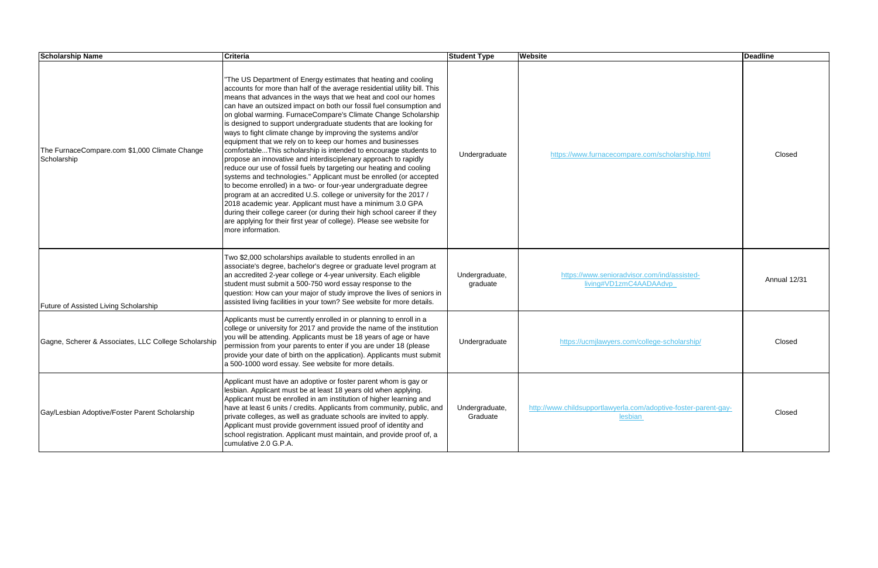| <b>Scholarship Name</b>                                      | <b>Criteria</b>                                                                                                                                                                                                                                                                                                                                                                                                                                                                                                                                                                                                                                                                                                                                                                                                                                                                                                                                                                                                                                                                                                                                                                                                                 | <b>Student Type</b>        | Website                                                                    | <b>Deadline</b> |
|--------------------------------------------------------------|---------------------------------------------------------------------------------------------------------------------------------------------------------------------------------------------------------------------------------------------------------------------------------------------------------------------------------------------------------------------------------------------------------------------------------------------------------------------------------------------------------------------------------------------------------------------------------------------------------------------------------------------------------------------------------------------------------------------------------------------------------------------------------------------------------------------------------------------------------------------------------------------------------------------------------------------------------------------------------------------------------------------------------------------------------------------------------------------------------------------------------------------------------------------------------------------------------------------------------|----------------------------|----------------------------------------------------------------------------|-----------------|
| The FurnaceCompare.com \$1,000 Climate Change<br>Scholarship | "The US Department of Energy estimates that heating and cooling<br>accounts for more than half of the average residential utility bill. This<br>means that advances in the ways that we heat and cool our homes<br>can have an outsized impact on both our fossil fuel consumption and<br>on global warming. FurnaceCompare's Climate Change Scholarship<br>is designed to support undergraduate students that are looking for<br>ways to fight climate change by improving the systems and/or<br>equipment that we rely on to keep our homes and businesses<br>comfortableThis scholarship is intended to encourage students to<br>propose an innovative and interdisciplenary approach to rapidly<br>reduce our use of fossil fuels by targeting our heating and cooling<br>systems and technologies." Applicant must be enrolled (or accepted<br>to become enrolled) in a two- or four-year undergraduate degree<br>program at an accredited U.S. college or university for the 2017 /<br>2018 academic year. Applicant must have a minimum 3.0 GPA<br>during their college career (or during their high school career if they<br>are applying for their first year of college). Please see website for<br>more information. | Undergraduate              | https://www.furnacecompare.com/scholarship.html                            | Closed          |
| <b>Future of Assisted Living Scholarship</b>                 | Two \$2,000 scholarships available to students enrolled in an<br>associate's degree, bachelor's degree or graduate level program at<br>an accredited 2-year college or 4-year university. Each eligible<br>student must submit a 500-750 word essay response to the<br>question: How can your major of study improve the lives of seniors in<br>assisted living facilities in your town? See website for more details.                                                                                                                                                                                                                                                                                                                                                                                                                                                                                                                                                                                                                                                                                                                                                                                                          | Undergraduate,<br>graduate | https://www.senioradvisor.com/ind/assisted-<br>living#VD1zmC4AADAAdvp      | Annual 12/31    |
| Gagne, Scherer & Associates, LLC College Scholarship         | Applicants must be currently enrolled in or planning to enroll in a<br>college or university for 2017 and provide the name of the institution<br>you will be attending. Applicants must be 18 years of age or have<br>permission from your parents to enter if you are under 18 (please<br>provide your date of birth on the application). Applicants must submit<br>a 500-1000 word essay. See website for more details.                                                                                                                                                                                                                                                                                                                                                                                                                                                                                                                                                                                                                                                                                                                                                                                                       | Undergraduate              | https://ucmjlawyers.com/college-scholarship/                               | Closed          |
| Gay/Lesbian Adoptive/Foster Parent Scholarship               | Applicant must have an adoptive or foster parent whom is gay or<br>lesbian. Applicant must be at least 18 years old when applying.<br>Applicant must be enrolled in am institution of higher learning and<br>have at least 6 units / credits. Applicants from community, public, and<br>private colleges, as well as graduate schools are invited to apply.<br>Applicant must provide government issued proof of identity and<br>school registration. Applicant must maintain, and provide proof of, a<br>cumulative 2.0 G.P.A.                                                                                                                                                                                                                                                                                                                                                                                                                                                                                                                                                                                                                                                                                                 | Undergraduate,<br>Graduate | http://www.childsupportlawyerla.com/adoptive-foster-parent-gay-<br>lesbian | Closed          |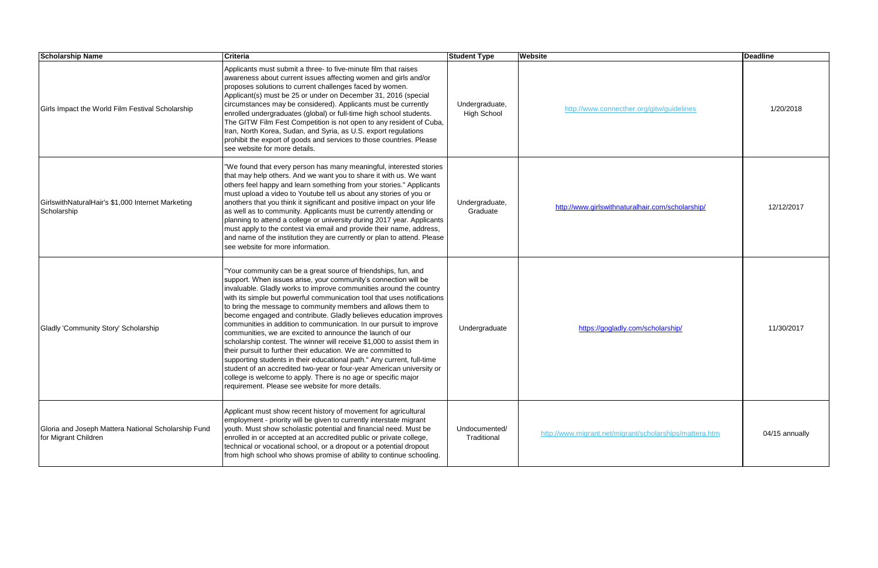| <b>Scholarship Name</b>                                                     | <b>Criteria</b>                                                                                                                                                                                                                                                                                                                                                                                                                                                                                                                                                                                                                                                                                                                                                                                                                                                                                                                                                                  | <b>Student Type</b>           | <b>Website</b>                                          | <b>Deadline</b> |
|-----------------------------------------------------------------------------|----------------------------------------------------------------------------------------------------------------------------------------------------------------------------------------------------------------------------------------------------------------------------------------------------------------------------------------------------------------------------------------------------------------------------------------------------------------------------------------------------------------------------------------------------------------------------------------------------------------------------------------------------------------------------------------------------------------------------------------------------------------------------------------------------------------------------------------------------------------------------------------------------------------------------------------------------------------------------------|-------------------------------|---------------------------------------------------------|-----------------|
| Girls Impact the World Film Festival Scholarship                            | Applicants must submit a three- to five-minute film that raises<br>awareness about current issues affecting women and girls and/or<br>proposes solutions to current challenges faced by women.<br>Applicant(s) must be 25 or under on December 31, 2016 (special<br>circumstances may be considered). Applicants must be currently<br>enrolled undergraduates (global) or full-time high school students.<br>The GITW Film Fest Competition is not open to any resident of Cuba,<br>Iran, North Korea, Sudan, and Syria, as U.S. export regulations<br>prohibit the export of goods and services to those countries. Please<br>see website for more details.                                                                                                                                                                                                                                                                                                                     | Undergraduate,<br>High School | http://www.connecther.org/gitw/guidelines               | 1/20/2018       |
| GirlswithNaturalHair's \$1,000 Internet Marketing<br>Scholarship            | "We found that every person has many meaningful, interested stories<br>that may help others. And we want you to share it with us. We want<br>others feel happy and learn something from your stories." Applicants<br>must upload a video to Youtube tell us about any stories of you or<br>anothers that you think it significant and positive impact on your life<br>as well as to community. Applicants must be currently attending or<br>planning to attend a college or university during 2017 year. Applicants<br>must apply to the contest via email and provide their name, address,<br>and name of the institution they are currently or plan to attend. Please<br>see website for more information.                                                                                                                                                                                                                                                                     | Undergraduate,<br>Graduate    | http://www.girlswithnaturalhair.com/scholarship/        | 12/12/2017      |
| Gladly 'Community Story' Scholarship                                        | 'Your community can be a great source of friendships, fun, and<br>support. When issues arise, your community's connection will be<br>invaluable. Gladly works to improve communities around the country<br>with its simple but powerful communication tool that uses notifications<br>to bring the message to community members and allows them to<br>become engaged and contribute. Gladly believes education improves<br>communities in addition to communication. In our pursuit to improve<br>communities, we are excited to announce the launch of our<br>scholarship contest. The winner will receive \$1,000 to assist them in<br>their pursuit to further their education. We are committed to<br>supporting students in their educational path." Any current, full-time<br>student of an accredited two-year or four-year American university or<br>college is welcome to apply. There is no age or specific major<br>requirement. Please see website for more details. | Undergraduate                 | https://gogladly.com/scholarship/                       | 11/30/2017      |
| Gloria and Joseph Mattera National Scholarship Fund<br>for Migrant Children | Applicant must show recent history of movement for agricultural<br>employment - priority will be given to currently interstate migrant<br>youth. Must show scholastic potential and financial need. Must be<br>enrolled in or accepted at an accredited public or private college,<br>technical or vocational school, or a dropout or a potential dropout<br>from high school who shows promise of ability to continue schooling.                                                                                                                                                                                                                                                                                                                                                                                                                                                                                                                                                | Undocumented/<br>Traditional  | http://www.migrant.net/migrant/scholarships/mattera.htm | 04/15 annually  |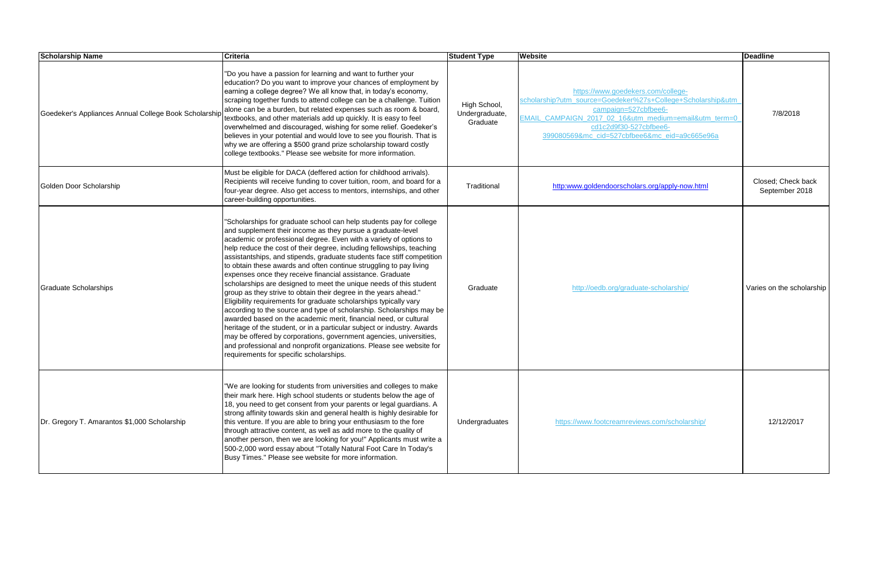| <b>Scholarship Name</b>                               | <b>Criteria</b>                                                                                                                                                                                                                                                                                                                                                                                                                                                                                                                                                                                                                                                                                                                                                                                                                                                                                                                                                                                                                                                                                                               | <b>Student Type</b>                        | <b>Website</b>                                                                                                                                                                                                                                                | <b>Deadline</b>                      |
|-------------------------------------------------------|-------------------------------------------------------------------------------------------------------------------------------------------------------------------------------------------------------------------------------------------------------------------------------------------------------------------------------------------------------------------------------------------------------------------------------------------------------------------------------------------------------------------------------------------------------------------------------------------------------------------------------------------------------------------------------------------------------------------------------------------------------------------------------------------------------------------------------------------------------------------------------------------------------------------------------------------------------------------------------------------------------------------------------------------------------------------------------------------------------------------------------|--------------------------------------------|---------------------------------------------------------------------------------------------------------------------------------------------------------------------------------------------------------------------------------------------------------------|--------------------------------------|
| Goedeker's Appliances Annual College Book Scholarship | "Do you have a passion for learning and want to further your<br>education? Do you want to improve your chances of employment by<br>earning a college degree? We all know that, in today's economy,<br>scraping together funds to attend college can be a challenge. Tuition<br>alone can be a burden, but related expenses such as room & board,<br>textbooks, and other materials add up quickly. It is easy to feel<br>overwhelmed and discouraged, wishing for some relief. Goedeker's<br>believes in your potential and would love to see you flourish. That is<br>why we are offering a \$500 grand prize scholarship toward costly<br>college textbooks." Please see website for more information.                                                                                                                                                                                                                                                                                                                                                                                                                      | High School,<br>Undergraduate,<br>Graduate | https://www.goedekers.com/college-<br>scholarship?utm_source=Goedeker%27s+College+Scholarship&utm<br>campaign=527cbfbee6-<br>EMAIL_CAMPAIGN_2017_02_16&utm_medium=email&utm_term=0<br>cd1c2d9f30-527cbfbee6-<br>399080569&mc cid=527cbfbee6&mc eid=a9c665e96a | 7/8/2018                             |
| Golden Door Scholarship                               | Must be eligible for DACA (deffered action for childhood arrivals).<br>Recipients will receive funding to cover tuition, room, and board for a<br>four-year degree. Also get access to mentors, internships, and other<br>career-building opportunities.                                                                                                                                                                                                                                                                                                                                                                                                                                                                                                                                                                                                                                                                                                                                                                                                                                                                      | Traditional                                | http:www.goldendoorscholars.org/apply-now.html                                                                                                                                                                                                                | Closed; Check back<br>September 2018 |
| <b>Graduate Scholarships</b>                          | "Scholarships for graduate school can help students pay for college<br>and supplement their income as they pursue a graduate-level<br>academic or professional degree. Even with a variety of options to<br>help reduce the cost of their degree, including fellowships, teaching<br>assistantships, and stipends, graduate students face stiff competition<br>to obtain these awards and often continue struggling to pay living<br>expenses once they receive financial assistance. Graduate<br>scholarships are designed to meet the unique needs of this student<br>group as they strive to obtain their degree in the years ahead."<br>Eligibility requirements for graduate scholarships typically vary<br>according to the source and type of scholarship. Scholarships may be<br>awarded based on the academic merit, financial need, or cultural<br>heritage of the student, or in a particular subject or industry. Awards<br>may be offered by corporations, government agencies, universities,<br>and professional and nonprofit organizations. Please see website for<br>requirements for specific scholarships. | Graduate                                   | http://oedb.org/graduate-scholarship/                                                                                                                                                                                                                         | Varies on the scholarship            |
| Dr. Gregory T. Amarantos \$1,000 Scholarship          | "We are looking for students from universities and colleges to make<br>their mark here. High school students or students below the age of<br>18, you need to get consent from your parents or legal guardians. A<br>strong affinity towards skin and general health is highly desirable for<br>this venture. If you are able to bring your enthusiasm to the fore<br>through attractive content, as well as add more to the quality of<br>another person, then we are looking for you!" Applicants must write a<br>500-2,000 word essay about "Totally Natural Foot Care In Today's<br>Busy Times." Please see website for more information.                                                                                                                                                                                                                                                                                                                                                                                                                                                                                  | Undergraduates                             | https://www.footcreamreviews.com/scholarship/                                                                                                                                                                                                                 | 12/12/2017                           |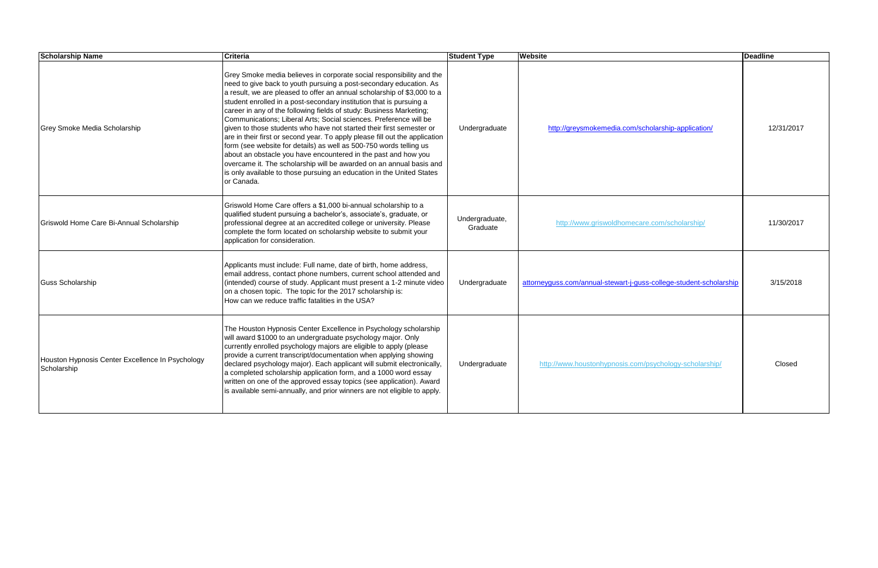| <b>Scholarship Name</b>                                         | <b>Criteria</b>                                                                                                                                                                                                                                                                                                                                                                                                                                                                                                                                                                                                                                                                                                                                                                                                                                                                                       | <b>Student Type</b>        | Website                                                            | <b>Deadline</b> |
|-----------------------------------------------------------------|-------------------------------------------------------------------------------------------------------------------------------------------------------------------------------------------------------------------------------------------------------------------------------------------------------------------------------------------------------------------------------------------------------------------------------------------------------------------------------------------------------------------------------------------------------------------------------------------------------------------------------------------------------------------------------------------------------------------------------------------------------------------------------------------------------------------------------------------------------------------------------------------------------|----------------------------|--------------------------------------------------------------------|-----------------|
| <b>Grey Smoke Media Scholarship</b>                             | Grey Smoke media believes in corporate social responsibility and the<br>need to give back to youth pursuing a post-secondary education. As<br>a result, we are pleased to offer an annual scholarship of \$3,000 to a<br>student enrolled in a post-secondary institution that is pursuing a<br>career in any of the following fields of study: Business Marketing;<br>Communications; Liberal Arts; Social sciences. Preference will be<br>given to those students who have not started their first semester or<br>are in their first or second year. To apply please fill out the application<br>form (see website for details) as well as 500-750 words telling us<br>about an obstacle you have encountered in the past and how you<br>overcame it. The scholarship will be awarded on an annual basis and<br>is only available to those pursuing an education in the United States<br>or Canada. | Undergraduate              | http://greysmokemedia.com/scholarship-application/                 | 12/31/2017      |
| Griswold Home Care Bi-Annual Scholarship                        | Griswold Home Care offers a \$1,000 bi-annual scholarship to a<br>qualified student pursuing a bachelor's, associate's, graduate, or<br>professional degree at an accredited college or university. Please<br>complete the form located on scholarship website to submit your<br>application for consideration.                                                                                                                                                                                                                                                                                                                                                                                                                                                                                                                                                                                       | Undergraduate,<br>Graduate | http://www.griswoldhomecare.com/scholarship/                       | 11/30/2017      |
| <b>Guss Scholarship</b>                                         | Applicants must include: Full name, date of birth, home address,<br>email address, contact phone numbers, current school attended and<br>(intended) course of study. Applicant must present a 1-2 minute video<br>on a chosen topic. The topic for the 2017 scholarship is:<br>How can we reduce traffic fatalities in the USA?                                                                                                                                                                                                                                                                                                                                                                                                                                                                                                                                                                       | Undergraduate              | attorneyguss.com/annual-stewart-j-guss-college-student-scholarship | 3/15/2018       |
| Houston Hypnosis Center Excellence In Psychology<br>Scholarship | The Houston Hypnosis Center Excellence in Psychology scholarship<br>will award \$1000 to an undergraduate psychology major. Only<br>currently enrolled psychology majors are eligible to apply (please<br>provide a current transcript/documentation when applying showing<br>declared psychology major). Each applicant will submit electronically,<br>a completed scholarship application form, and a 1000 word essay<br>written on one of the approved essay topics (see application). Award<br>is available semi-annually, and prior winners are not eligible to apply.                                                                                                                                                                                                                                                                                                                           | Undergraduate              | http://www.houstonhypnosis.com/psychology-scholarship/             | Closed          |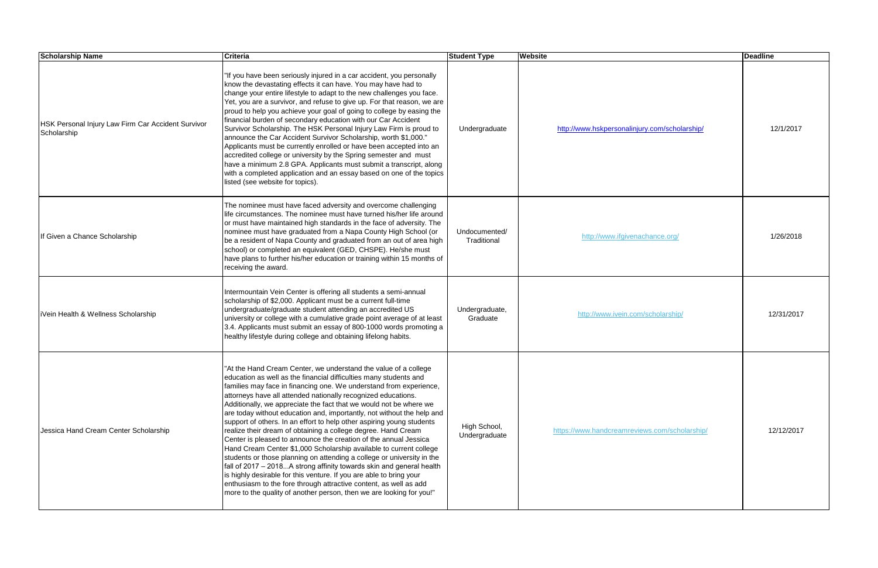| <b>Scholarship Name</b>                                           | <b>Criteria</b>                                                                                                                                                                                                                                                                                                                                                                                                                                                                                                                                                                                                                                                                                                                                                                                                                                                                                                                                                                                                                                                                       | <b>Student Type</b>           | <b>Website</b>                                | <b>Deadline</b> |
|-------------------------------------------------------------------|---------------------------------------------------------------------------------------------------------------------------------------------------------------------------------------------------------------------------------------------------------------------------------------------------------------------------------------------------------------------------------------------------------------------------------------------------------------------------------------------------------------------------------------------------------------------------------------------------------------------------------------------------------------------------------------------------------------------------------------------------------------------------------------------------------------------------------------------------------------------------------------------------------------------------------------------------------------------------------------------------------------------------------------------------------------------------------------|-------------------------------|-----------------------------------------------|-----------------|
| HSK Personal Injury Law Firm Car Accident Survivor<br>Scholarship | "If you have been seriously injured in a car accident, you personally<br>know the devastating effects it can have. You may have had to<br>change your entire lifestyle to adapt to the new challenges you face.<br>Yet, you are a survivor, and refuse to give up. For that reason, we are<br>proud to help you achieve your goal of going to college by easing the<br>financial burden of secondary education with our Car Accident<br>Survivor Scholarship. The HSK Personal Injury Law Firm is proud to<br>announce the Car Accident Survivor Scholarship, worth \$1,000."<br>Applicants must be currently enrolled or have been accepted into an<br>accredited college or university by the Spring semester and must<br>have a minimum 2.8 GPA. Applicants must submit a transcript, along<br>with a completed application and an essay based on one of the topics<br>listed (see website for topics).                                                                                                                                                                            | Undergraduate                 | http://www.hskpersonalinjury.com/scholarship/ | 12/1/2017       |
| f Given a Chance Scholarship                                      | The nominee must have faced adversity and overcome challenging<br>life circumstances. The nominee must have turned his/her life around<br>or must have maintained high standards in the face of adversity. The<br>nominee must have graduated from a Napa County High School (or<br>be a resident of Napa County and graduated from an out of area high<br>school) or completed an equivalent (GED, CHSPE). He/she must<br>have plans to further his/her education or training within 15 months of<br>receiving the award.                                                                                                                                                                                                                                                                                                                                                                                                                                                                                                                                                            | Undocumented/<br>Traditional  | http://www.ifgivenachance.org/                | 1/26/2018       |
| IVein Health & Wellness Scholarship                               | Intermountain Vein Center is offering all students a semi-annual<br>scholarship of \$2,000. Applicant must be a current full-time<br>undergraduate/graduate student attending an accredited US<br>university or college with a cumulative grade point average of at least<br>3.4. Applicants must submit an essay of 800-1000 words promoting a<br>healthy lifestyle during college and obtaining lifelong habits.                                                                                                                                                                                                                                                                                                                                                                                                                                                                                                                                                                                                                                                                    | Undergraduate,<br>Graduate    | http://www.ivein.com/scholarship/             | 12/31/2017      |
| Jessica Hand Cream Center Scholarship                             | "At the Hand Cream Center, we understand the value of a college<br>education as well as the financial difficulties many students and<br>families may face in financing one. We understand from experience,<br>attorneys have all attended nationally recognized educations.<br>Additionally, we appreciate the fact that we would not be where we<br>are today without education and, importantly, not without the help and<br>support of others. In an effort to help other aspiring young students<br>realize their dream of obtaining a college degree. Hand Cream<br>Center is pleased to announce the creation of the annual Jessica<br>Hand Cream Center \$1,000 Scholarship available to current college<br>students or those planning on attending a college or university in the<br>fall of 2017 – 2018A strong affinity towards skin and general health<br>is highly desirable for this venture. If you are able to bring your<br>enthusiasm to the fore through attractive content, as well as add<br>more to the quality of another person, then we are looking for you!" | High School,<br>Undergraduate | https://www.handcreamreviews.com/scholarship/ | 12/12/2017      |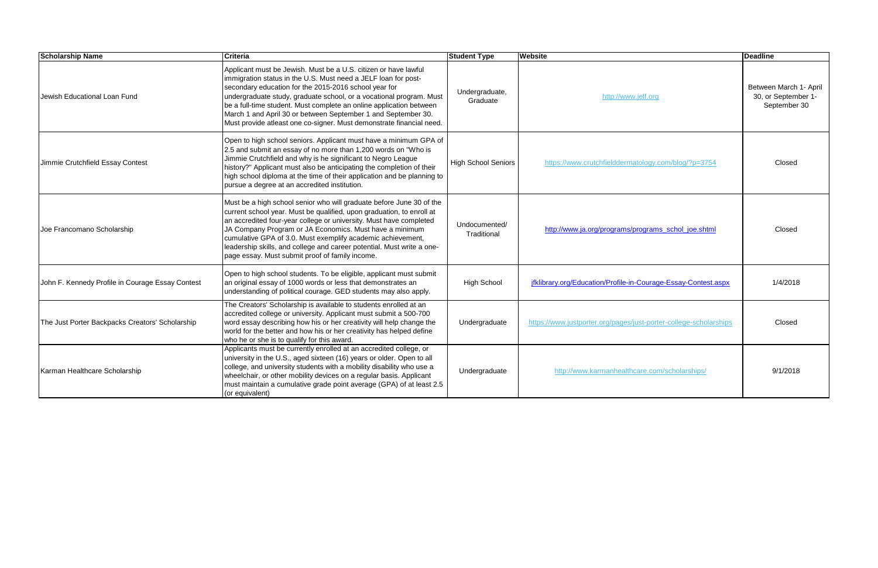| <b>Scholarship Name</b>                          | <b>Criteria</b>                                                                                                                                                                                                                                                                                                                                                                                                                                                                   | <b>Student Type</b>          | <b>Website</b>                                                    | <b>Deadline</b>                                               |
|--------------------------------------------------|-----------------------------------------------------------------------------------------------------------------------------------------------------------------------------------------------------------------------------------------------------------------------------------------------------------------------------------------------------------------------------------------------------------------------------------------------------------------------------------|------------------------------|-------------------------------------------------------------------|---------------------------------------------------------------|
| Jewish Educational Loan Fund                     | Applicant must be Jewish. Must be a U.S. citizen or have lawful<br>immigration status in the U.S. Must need a JELF loan for post-<br>secondary education for the 2015-2016 school year for<br>undergraduate study, graduate school, or a vocational program. Must<br>be a full-time student. Must complete an online application between<br>March 1 and April 30 or between September 1 and September 30.<br>Must provide atleast one co-signer. Must demonstrate financial need. | Undergraduate,<br>Graduate   | http://www.jelf.org                                               | Between March 1- April<br>30, or September 1-<br>September 30 |
| Jimmie Crutchfield Essay Contest                 | Open to high school seniors. Applicant must have a minimum GPA of<br>2.5 and submit an essay of no more than 1,200 words on "Who is<br>Jimmie Crutchfield and why is he significant to Negro League<br>history?" Applicant must also be anticipating the completion of their<br>high school diploma at the time of their application and be planning to<br>pursue a degree at an accredited institution.                                                                          | <b>High School Seniors</b>   | https://www.crutchfielddermatology.com/blog/?p=3754               | Closed                                                        |
| Joe Francomano Scholarship                       | Must be a high school senior who will graduate before June 30 of the<br>current school year. Must be qualified, upon graduation, to enroll at<br>an accredited four-year college or university. Must have completed<br>JA Company Program or JA Economics. Must have a minimum<br>cumulative GPA of 3.0. Must exemplify academic achievement,<br>leadership skills, and college and career potential. Must write a one-<br>page essay. Must submit proof of family income.        | Undocumented/<br>Traditional | http://www.ja.org/programs/programs schol joe.shtml               | Closed                                                        |
| John F. Kennedy Profile in Courage Essay Contest | Open to high school students. To be eligible, applicant must submit<br>an original essay of 1000 words or less that demonstrates an<br>understanding of political courage. GED students may also apply.                                                                                                                                                                                                                                                                           | <b>High School</b>           | jfklibrary.org/Education/Profile-in-Courage-Essay-Contest.aspx    | 1/4/2018                                                      |
| The Just Porter Backpacks Creators' Scholarship  | The Creators' Scholarship is available to students enrolled at an<br>accredited college or university. Applicant must submit a 500-700<br>word essay describing how his or her creativity will help change the<br>world for the better and how his or her creativity has helped define<br>who he or she is to qualify for this award.                                                                                                                                             | Undergraduate                | https://www.justporter.org/pages/just-porter-college-scholarships | Closed                                                        |
| Karman Healthcare Scholarship                    | Applicants must be currently enrolled at an accredited college, or<br>university in the U.S., aged sixteen (16) years or older. Open to all<br>college, and university students with a mobility disability who use a<br>wheelchair, or other mobility devices on a regular basis. Applicant<br>must maintain a cumulative grade point average (GPA) of at least 2.5<br>(or equivalent)                                                                                            | Undergraduate                | http://www.karmanhealthcare.com/scholarships/                     | 9/1/2018                                                      |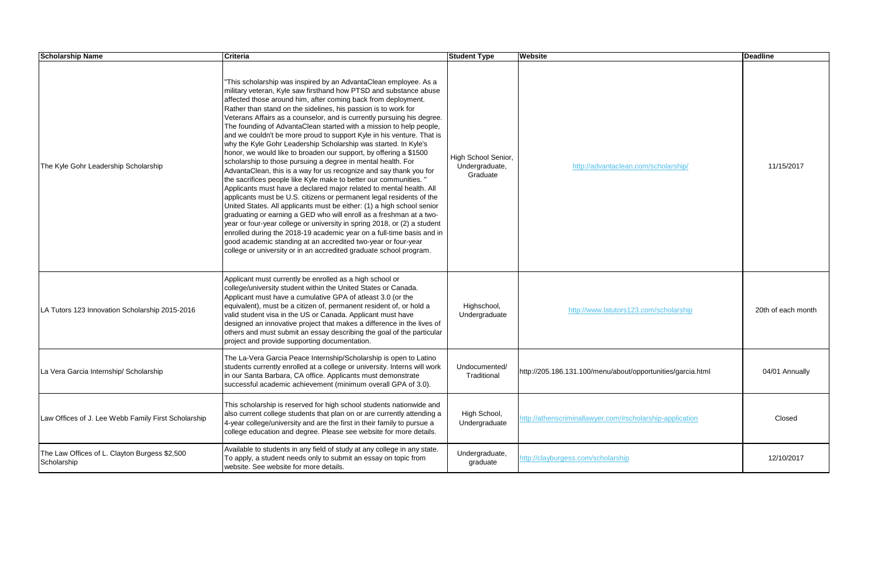| <b>Scholarship Name</b>                                      | <b>Criteria</b>                                                                                                                                                                                                                                                                                                                                                                                                                                                                                                                                                                                                                                                                                                                                                                                                                                                                                                                                                                                                                                                                                                                                                                                                                                                                                                                                                                                                                                 | <b>Student Type</b>                               | Website                                                     | <b>Deadline</b>    |
|--------------------------------------------------------------|-------------------------------------------------------------------------------------------------------------------------------------------------------------------------------------------------------------------------------------------------------------------------------------------------------------------------------------------------------------------------------------------------------------------------------------------------------------------------------------------------------------------------------------------------------------------------------------------------------------------------------------------------------------------------------------------------------------------------------------------------------------------------------------------------------------------------------------------------------------------------------------------------------------------------------------------------------------------------------------------------------------------------------------------------------------------------------------------------------------------------------------------------------------------------------------------------------------------------------------------------------------------------------------------------------------------------------------------------------------------------------------------------------------------------------------------------|---------------------------------------------------|-------------------------------------------------------------|--------------------|
| The Kyle Gohr Leadership Scholarship                         | "This scholarship was inspired by an AdvantaClean employee. As a<br>military veteran, Kyle saw firsthand how PTSD and substance abuse<br>affected those around him, after coming back from deployment.<br>Rather than stand on the sidelines, his passion is to work for<br>Veterans Affairs as a counselor, and is currently pursuing his degree.<br>The founding of AdvantaClean started with a mission to help people,<br>and we couldn't be more proud to support Kyle in his venture. That is<br>why the Kyle Gohr Leadership Scholarship was started. In Kyle's<br>honor, we would like to broaden our support, by offering a \$1500<br>scholarship to those pursuing a degree in mental health. For<br>AdvantaClean, this is a way for us recognize and say thank you for<br>the sacrifices people like Kyle make to better our communities.<br>Applicants must have a declared major related to mental health. All<br>applicants must be U.S. citizens or permanent legal residents of the<br>United States. All applicants must be either: (1) a high school senior<br>graduating or earning a GED who will enroll as a freshman at a two-<br>year or four-year college or university in spring 2018, or (2) a student<br>enrolled during the 2018-19 academic year on a full-time basis and in<br>good academic standing at an accredited two-year or four-year<br>college or university or in an accredited graduate school program. | High School Senior,<br>Undergraduate,<br>Graduate | http://advantaclean.com/scholarship/                        | 11/15/2017         |
| LA Tutors 123 Innovation Scholarship 2015-2016               | Applicant must currently be enrolled as a high school or<br>college/university student within the United States or Canada.<br>Applicant must have a cumulative GPA of atleast 3.0 (or the<br>equivalent), must be a citizen of, permanent resident of, or hold a<br>valid student visa in the US or Canada. Applicant must have<br>designed an innovative project that makes a difference in the lives of<br>others and must submit an essay describing the goal of the particular<br>project and provide supporting documentation.                                                                                                                                                                                                                                                                                                                                                                                                                                                                                                                                                                                                                                                                                                                                                                                                                                                                                                             | Highschool,<br>Undergraduate                      | http://www.latutors123.com/scholarship                      | 20th of each month |
| La Vera Garcia Internship/ Scholarship                       | The La-Vera Garcia Peace Internship/Scholarship is open to Latino<br>students currently enrolled at a college or university. Interns will work<br>in our Santa Barbara, CA office. Applicants must demonstrate<br>successful academic achievement (minimum overall GPA of 3.0).                                                                                                                                                                                                                                                                                                                                                                                                                                                                                                                                                                                                                                                                                                                                                                                                                                                                                                                                                                                                                                                                                                                                                                 | Undocumented/<br>Traditional                      | http://205.186.131.100/menu/about/opportunities/garcia.html | 04/01 Annually     |
| Law Offices of J. Lee Webb Family First Scholarship          | This scholarship is reserved for high school students nationwide and<br>also current college students that plan on or are currently attending a<br>4-year college/university and are the first in their family to pursue a<br>college education and degree. Please see website for more details.                                                                                                                                                                                                                                                                                                                                                                                                                                                                                                                                                                                                                                                                                                                                                                                                                                                                                                                                                                                                                                                                                                                                                | High School,<br>Undergraduate                     | http://athenscriminallawyer.com/#scholarship-application    | Closed             |
| The Law Offices of L. Clayton Burgess \$2,500<br>Scholarship | Available to students in any field of study at any college in any state.<br>To apply, a student needs only to submit an essay on topic from<br>website. See website for more details.                                                                                                                                                                                                                                                                                                                                                                                                                                                                                                                                                                                                                                                                                                                                                                                                                                                                                                                                                                                                                                                                                                                                                                                                                                                           | Undergraduate,<br>graduate                        | http://clayburgess.com/scholarship                          | 12/10/2017         |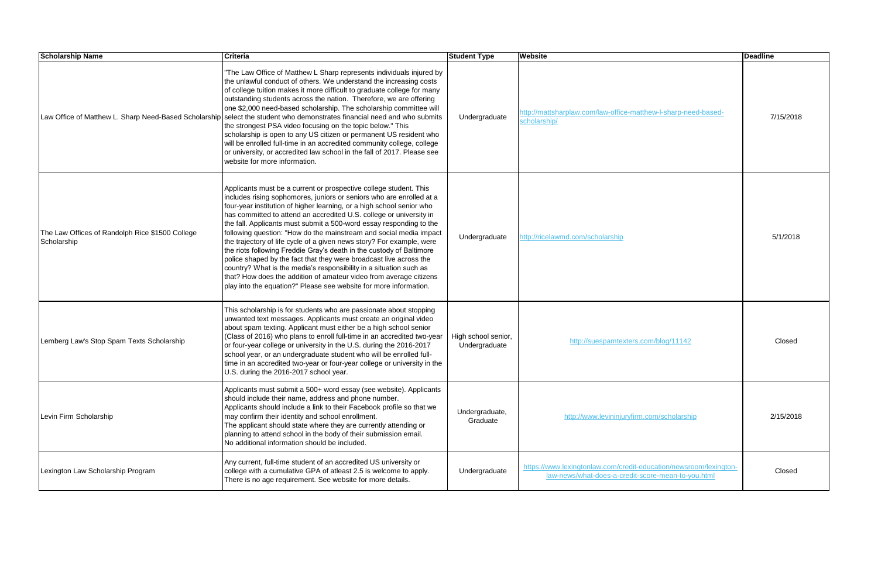| <b>Scholarship Name</b>                                        | <b>Criteria</b>                                                                                                                                                                                                                                                                                                                                                                                                                                                                                                                                                                                                                                                                                                                                                                                                                                                                | <b>Student Type</b>                  | Website                                                                                                                 | <b>Deadline</b> |
|----------------------------------------------------------------|--------------------------------------------------------------------------------------------------------------------------------------------------------------------------------------------------------------------------------------------------------------------------------------------------------------------------------------------------------------------------------------------------------------------------------------------------------------------------------------------------------------------------------------------------------------------------------------------------------------------------------------------------------------------------------------------------------------------------------------------------------------------------------------------------------------------------------------------------------------------------------|--------------------------------------|-------------------------------------------------------------------------------------------------------------------------|-----------------|
|                                                                | 'The Law Office of Matthew L Sharp represents individuals injured by<br>the unlawful conduct of others. We understand the increasing costs<br>of college tuition makes it more difficult to graduate college for many<br>outstanding students across the nation. Therefore, we are offering<br>one \$2,000 need-based scholarship. The scholarship committee will<br>Law Office of Matthew L. Sharp Need-Based Scholarship select the student who demonstrates financial need and who submits<br>the strongest PSA video focusing on the topic below." This<br>scholarship is open to any US citizen or permanent US resident who<br>will be enrolled full-time in an accredited community college, college<br>or university, or accredited law school in the fall of 2017. Please see<br>website for more information.                                                        | Undergraduate                        | http://mattsharplaw.com/law-office-matthew-l-sharp-need-based-<br>scholarship/                                          | 7/15/2018       |
| The Law Offices of Randolph Rice \$1500 College<br>Scholarship | Applicants must be a current or prospective college student. This<br>includes rising sophomores, juniors or seniors who are enrolled at a<br>four-year institution of higher learning, or a high school senior who<br>has committed to attend an accredited U.S. college or university in<br>the fall. Applicants must submit a 500-word essay responding to the<br>following question: "How do the mainstream and social media impact<br>the trajectory of life cycle of a given news story? For example, were<br>the riots following Freddie Gray's death in the custody of Baltimore<br>police shaped by the fact that they were broadcast live across the<br>country? What is the media's responsibility in a situation such as<br>that? How does the addition of amateur video from average citizens<br>play into the equation?" Please see website for more information. | Undergraduate                        | http://ricelawmd.com/scholarship                                                                                        | 5/1/2018        |
| Lemberg Law's Stop Spam Texts Scholarship                      | This scholarship is for students who are passionate about stopping<br>unwanted text messages. Applicants must create an original video<br>about spam texting. Applicant must either be a high school senior<br>(Class of 2016) who plans to enroll full-time in an accredited two-year<br>or four-year college or university in the U.S. during the 2016-2017<br>school year, or an undergraduate student who will be enrolled full-<br>time in an accredited two-year or four-year college or university in the<br>U.S. during the 2016-2017 school year.                                                                                                                                                                                                                                                                                                                     | High school senior,<br>Undergraduate | http://suespamtexters.com/blog/11142                                                                                    | Closed          |
| Levin Firm Scholarship                                         | Applicants must submit a 500+ word essay (see website). Applicants<br>should include their name, address and phone number.<br>Applicants should include a link to their Facebook profile so that we<br>may confirm their identity and school enrollment.<br>The applicant should state where they are currently attending or<br>planning to attend school in the body of their submission email.<br>No additional information should be included.                                                                                                                                                                                                                                                                                                                                                                                                                              | Undergraduate,<br>Graduate           | http://www.levininjuryfirm.com/scholarship                                                                              | 2/15/2018       |
| Lexington Law Scholarship Program                              | Any current, full-time student of an accredited US university or<br>college with a cumulative GPA of atleast 2.5 is welcome to apply.<br>There is no age requirement. See website for more details.                                                                                                                                                                                                                                                                                                                                                                                                                                                                                                                                                                                                                                                                            | Undergraduate                        | https://www.lexingtonlaw.com/credit-education/newsroom/lexington-<br>law-news/what-does-a-credit-score-mean-to-you.html | Closed          |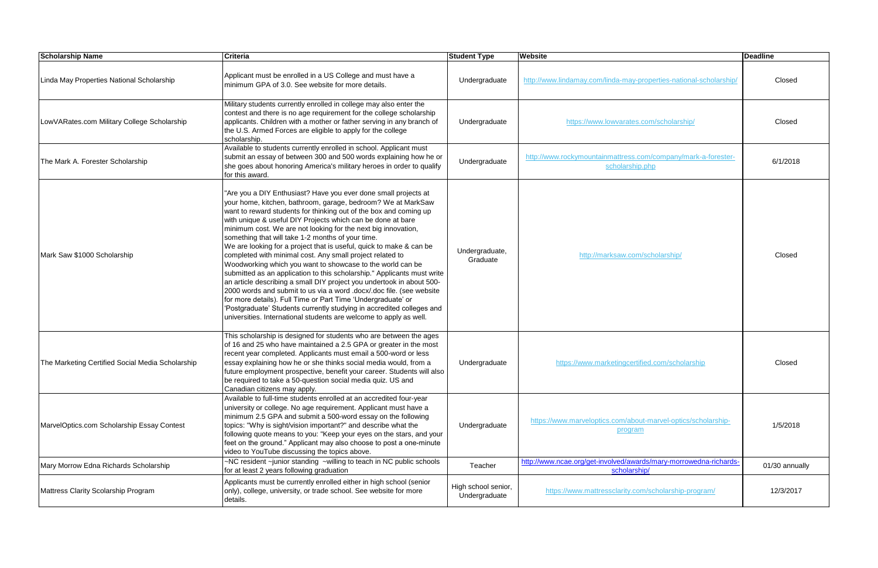| <b>Scholarship Name</b>                          | <b>Criteria</b>                                                                                                                                                                                                                                                                                                                                                                                                                                                                                                                                                                                                                                                                                                                                                                                                                                                                                                                                                                                                                        | <b>Student Type</b>                  | <b>Website</b>                                                                    | <b>Deadline</b> |
|--------------------------------------------------|----------------------------------------------------------------------------------------------------------------------------------------------------------------------------------------------------------------------------------------------------------------------------------------------------------------------------------------------------------------------------------------------------------------------------------------------------------------------------------------------------------------------------------------------------------------------------------------------------------------------------------------------------------------------------------------------------------------------------------------------------------------------------------------------------------------------------------------------------------------------------------------------------------------------------------------------------------------------------------------------------------------------------------------|--------------------------------------|-----------------------------------------------------------------------------------|-----------------|
| Linda May Properties National Scholarship        | Applicant must be enrolled in a US College and must have a<br>minimum GPA of 3.0. See website for more details.                                                                                                                                                                                                                                                                                                                                                                                                                                                                                                                                                                                                                                                                                                                                                                                                                                                                                                                        | Undergraduate                        | http://www.lindamay.com/linda-may-properties-national-scholarship/                | Closed          |
| LowVARates.com Military College Scholarship      | Military students currently enrolled in college may also enter the<br>contest and there is no age requirement for the college scholarship<br>applicants. Children with a mother or father serving in any branch of<br>the U.S. Armed Forces are eligible to apply for the college<br>scholarship.                                                                                                                                                                                                                                                                                                                                                                                                                                                                                                                                                                                                                                                                                                                                      | Undergraduate                        | https://www.lowvarates.com/scholarship/                                           | Closed          |
| The Mark A. Forester Scholarship                 | Available to students currently enrolled in school. Applicant must<br>submit an essay of between 300 and 500 words explaining how he or<br>she goes about honoring America's military heroes in order to qualify<br>for this award.                                                                                                                                                                                                                                                                                                                                                                                                                                                                                                                                                                                                                                                                                                                                                                                                    | Undergraduate                        | http://www.rockymountainmattress.com/company/mark-a-forester-<br>scholarship.php  | 6/1/2018        |
| Mark Saw \$1000 Scholarship                      | "Are you a DIY Enthusiast? Have you ever done small projects at<br>your home, kitchen, bathroom, garage, bedroom? We at MarkSaw<br>want to reward students for thinking out of the box and coming up<br>with unique & useful DIY Projects which can be done at bare<br>minimum cost. We are not looking for the next big innovation,<br>something that will take 1-2 months of your time.<br>We are looking for a project that is useful, quick to make & can be<br>completed with minimal cost. Any small project related to<br>Woodworking which you want to showcase to the world can be<br>submitted as an application to this scholarship." Applicants must write<br>an article describing a small DIY project you undertook in about 500-<br>2000 words and submit to us via a word .docx/.doc file. (see website<br>for more details). Full Time or Part Time 'Undergraduate' or<br>'Postgraduate' Students currently studying in accredited colleges and<br>universities. International students are welcome to apply as well. | Undergraduate,<br>Graduate           | http://marksaw.com/scholarship/                                                   | Closed          |
| The Marketing Certified Social Media Scholarship | This scholarship is designed for students who are between the ages<br>of 16 and 25 who have maintained a 2.5 GPA or greater in the most<br>recent year completed. Applicants must email a 500-word or less<br>essay explaining how he or she thinks social media would, from a<br>future employment prospective, benefit your career. Students will also<br>be required to take a 50-question social media quiz. US and<br>Canadian citizens may apply.                                                                                                                                                                                                                                                                                                                                                                                                                                                                                                                                                                                | Undergraduate                        | https://www.marketingcertified.com/scholarship                                    | Closed          |
| MarvelOptics.com Scholarship Essay Contest       | Available to full-time students enrolled at an accredited four-year<br>university or college. No age requirement. Applicant must have a<br>minimum 2.5 GPA and submit a 500-word essay on the following<br>topics: "Why is sight/vision important?" and describe what the<br>following quote means to you: "Keep your eyes on the stars, and your<br>feet on the ground." Applicant may also choose to post a one-minute<br>video to YouTube discussing the topics above.                                                                                                                                                                                                                                                                                                                                                                                                                                                                                                                                                              | Undergraduate                        | https://www.marveloptics.com/about-marvel-optics/scholarship-<br>program          | 1/5/2018        |
| Mary Morrow Edna Richards Scholarship            | -NC resident ~junior standing ~willing to teach in NC public schools<br>for at least 2 years following graduation                                                                                                                                                                                                                                                                                                                                                                                                                                                                                                                                                                                                                                                                                                                                                                                                                                                                                                                      | Teacher                              | http://www.ncae.org/get-involved/awards/mary-morrowedna-richards-<br>scholarship/ | 01/30 annually  |
| Mattress Clarity Scolarship Program              | Applicants must be currently enrolled either in high school (senior<br>only), college, university, or trade school. See website for more<br>details.                                                                                                                                                                                                                                                                                                                                                                                                                                                                                                                                                                                                                                                                                                                                                                                                                                                                                   | High school senior,<br>Undergraduate | https://www.mattressclarity.com/scholarship-program/                              | 12/3/2017       |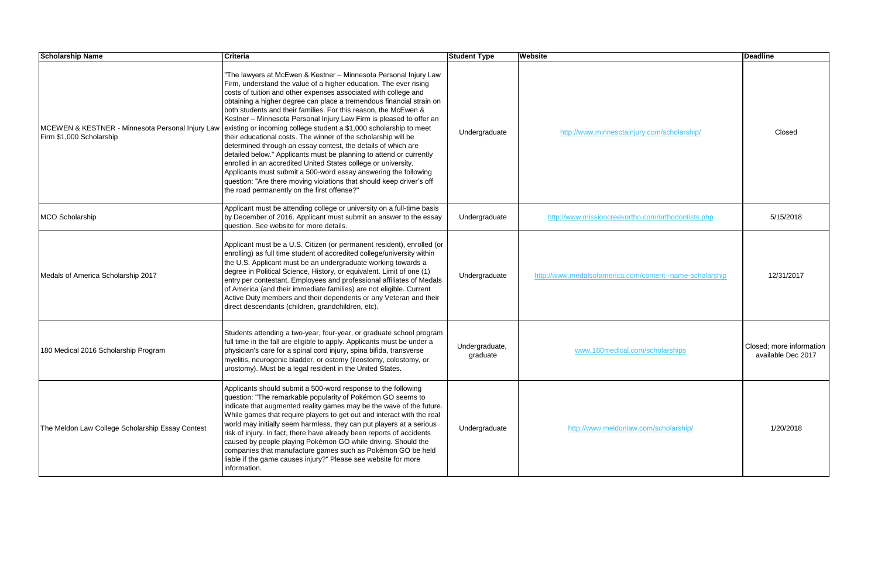| <b>Scholarship Name</b>                                                                 | <b>Criteria</b>                                                                                                                                                                                                                                                                                                                                                                                                                                                                                                                                                                                                                                                                                                                                                                                                                                                                                                                                                        | <b>Student Type</b>        | <b>Website</b>                                           | <b>Deadline</b>                                |
|-----------------------------------------------------------------------------------------|------------------------------------------------------------------------------------------------------------------------------------------------------------------------------------------------------------------------------------------------------------------------------------------------------------------------------------------------------------------------------------------------------------------------------------------------------------------------------------------------------------------------------------------------------------------------------------------------------------------------------------------------------------------------------------------------------------------------------------------------------------------------------------------------------------------------------------------------------------------------------------------------------------------------------------------------------------------------|----------------------------|----------------------------------------------------------|------------------------------------------------|
| <b>MCEWEN &amp; KESTNER - Minnesota Personal Injury Law</b><br>Firm \$1,000 Scholarship | 'The lawyers at McEwen & Kestner - Minnesota Personal Injury Law<br>Firm, understand the value of a higher education. The ever rising<br>costs of tuition and other expenses associated with college and<br>obtaining a higher degree can place a tremendous financial strain on<br>both students and their families. For this reason, the McEwen &<br>Kestner - Minnesota Personal Injury Law Firm is pleased to offer an<br>existing or incoming college student a \$1,000 scholarship to meet<br>their educational costs. The winner of the scholarship will be<br>determined through an essay contest, the details of which are<br>detailed below." Applicants must be planning to attend or currently<br>enrolled in an accredited United States college or university.<br>Applicants must submit a 500-word essay answering the following<br>question: "Are there moving violations that should keep driver's off<br>the road permanently on the first offense?" | Undergraduate              | http://www.minnesotainjury.com/scholarship/              | Closed                                         |
| MCO Scholarship                                                                         | Applicant must be attending college or university on a full-time basis<br>by December of 2016. Applicant must submit an answer to the essay<br>question. See website for more details.                                                                                                                                                                                                                                                                                                                                                                                                                                                                                                                                                                                                                                                                                                                                                                                 | Undergraduate              | http://www.missioncreekortho.com/orthodontists.php       | 5/15/2018                                      |
| Medals of America Scholarship 2017                                                      | Applicant must be a U.S. Citizen (or permanent resident), enrolled (or<br>enrolling) as full time student of accredited college/university within<br>the U.S. Applicant must be an undergraduate working towards a<br>degree in Political Science, History, or equivalent. Limit of one (1)<br>entry per contestant. Employees and professional affiliates of Medals<br>of America (and their immediate families) are not eligible. Current<br>Active Duty members and their dependents or any Veteran and their<br>direct descendants (children, grandchildren, etc).                                                                                                                                                                                                                                                                                                                                                                                                 | Undergraduate              | http://www.medalsofamerica.com/content--name-scholarship | 12/31/2017                                     |
| 180 Medical 2016 Scholarship Program                                                    | Students attending a two-year, four-year, or graduate school program<br>full time in the fall are eligible to apply. Applicants must be under a<br>physician's care for a spinal cord injury, spina bifida, transverse<br>myelitis, neurogenic bladder, or ostomy (ileostomy, colostomy, or<br>urostomy). Must be a legal resident in the United States.                                                                                                                                                                                                                                                                                                                                                                                                                                                                                                                                                                                                               | Undergraduate,<br>graduate | www.180medical.com/scholarships                          | Closed; more information<br>available Dec 2017 |
| The Meldon Law College Scholarship Essay Contest                                        | Applicants should submit a 500-word response to the following<br>question: "The remarkable popularity of Pokémon GO seems to<br>indicate that augmented reality games may be the wave of the future.<br>While games that require players to get out and interact with the real<br>world may initially seem harmless, they can put players at a serious<br>risk of injury. In fact, there have already been reports of accidents<br>caused by people playing Pokémon GO while driving. Should the<br>companies that manufacture games such as Pokémon GO be held<br>liable if the game causes injury?" Please see website for more<br>information.                                                                                                                                                                                                                                                                                                                      | Undergraduate              | http://www.meldonlaw.com/scholarship/                    | 1/20/2018                                      |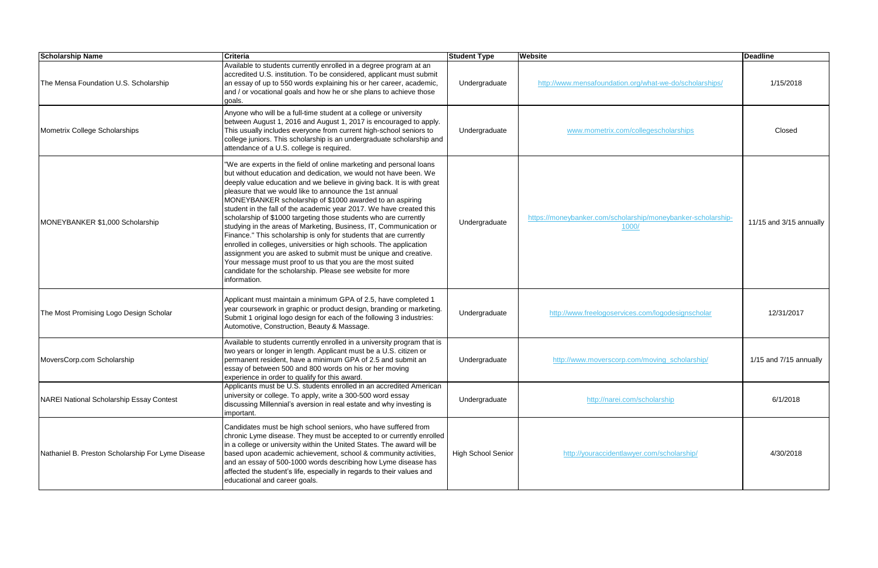| <b>Scholarship Name</b>                           | <b>Criteria</b>                                                                                                                                                                                                                                                                                                                                                                                                                                                                                                                                                                                                                                                                                                                                                                                                                                                                                                      | <b>Student Type</b>       | <b>Website</b>                                                        | <b>Deadline</b>         |
|---------------------------------------------------|----------------------------------------------------------------------------------------------------------------------------------------------------------------------------------------------------------------------------------------------------------------------------------------------------------------------------------------------------------------------------------------------------------------------------------------------------------------------------------------------------------------------------------------------------------------------------------------------------------------------------------------------------------------------------------------------------------------------------------------------------------------------------------------------------------------------------------------------------------------------------------------------------------------------|---------------------------|-----------------------------------------------------------------------|-------------------------|
| The Mensa Foundation U.S. Scholarship             | Available to students currently enrolled in a degree program at an<br>accredited U.S. institution. To be considered, applicant must submit<br>an essay of up to 550 words explaining his or her career, academic,<br>and / or vocational goals and how he or she plans to achieve those<br>qoals.                                                                                                                                                                                                                                                                                                                                                                                                                                                                                                                                                                                                                    | Undergraduate             | http://www.mensafoundation.org/what-we-do/scholarships/               | 1/15/2018               |
| Mometrix College Scholarships                     | Anyone who will be a full-time student at a college or university<br>between August 1, 2016 and August 1, 2017 is encouraged to apply.<br>This usually includes everyone from current high-school seniors to<br>college juniors. This scholarship is an undergraduate scholarship and<br>attendance of a U.S. college is required.                                                                                                                                                                                                                                                                                                                                                                                                                                                                                                                                                                                   | Undergraduate             | www.mometrix.com/collegescholarships                                  | Closed                  |
| MONEYBANKER \$1,000 Scholarship                   | 'We are experts in the field of online marketing and personal loans<br>but without education and dedication, we would not have been. We<br>deeply value education and we believe in giving back. It is with great<br>pleasure that we would like to announce the 1st annual<br>MONEYBANKER scholarship of \$1000 awarded to an aspiring<br>student in the fall of the academic year 2017. We have created this<br>scholarship of \$1000 targeting those students who are currently<br>studying in the areas of Marketing, Business, IT, Communication or<br>Finance." This scholarship is only for students that are currently<br>enrolled in colleges, universities or high schools. The application<br>assignment you are asked to submit must be unique and creative.<br>Your message must proof to us that you are the most suited<br>candidate for the scholarship. Please see website for more<br>information. | Undergraduate             | https://moneybanker.com/scholarship/moneybanker-scholarship-<br>1000/ | 11/15 and 3/15 annually |
| The Most Promising Logo Design Scholar            | Applicant must maintain a minimum GPA of 2.5, have completed 1<br>year coursework in graphic or product design, branding or marketing.<br>Submit 1 original logo design for each of the following 3 industries:<br>Automotive, Construction, Beauty & Massage.                                                                                                                                                                                                                                                                                                                                                                                                                                                                                                                                                                                                                                                       | Undergraduate             | http://www.freelogoservices.com/logodesignscholar                     | 12/31/2017              |
| MoversCorp.com Scholarship                        | Available to students currently enrolled in a university program that is<br>two years or longer in length. Applicant must be a U.S. citizen or<br>permanent resident, have a minimum GPA of 2.5 and submit an<br>essay of between 500 and 800 words on his or her moving<br>experience in order to qualify for this award.                                                                                                                                                                                                                                                                                                                                                                                                                                                                                                                                                                                           | Undergraduate             | http://www.moverscorp.com/moving_scholarship/                         | 1/15 and 7/15 annually  |
| NAREI National Scholarship Essay Contest          | Applicants must be U.S. students enrolled in an accredited American<br>university or college. To apply, write a 300-500 word essay<br>discussing Millennial's aversion in real estate and why investing is<br>important.                                                                                                                                                                                                                                                                                                                                                                                                                                                                                                                                                                                                                                                                                             | Undergraduate             | http://narei.com/scholarship                                          | 6/1/2018                |
| Nathaniel B. Preston Scholarship For Lyme Disease | Candidates must be high school seniors, who have suffered from<br>chronic Lyme disease. They must be accepted to or currently enrolled<br>in a college or university within the United States. The award will be<br>based upon academic achievement, school & community activities,<br>and an essay of 500-1000 words describing how Lyme disease has<br>affected the student's life, especially in regards to their values and<br>educational and career goals.                                                                                                                                                                                                                                                                                                                                                                                                                                                     | <b>High School Senior</b> | http://youraccidentlawyer.com/scholarship/                            | 4/30/2018               |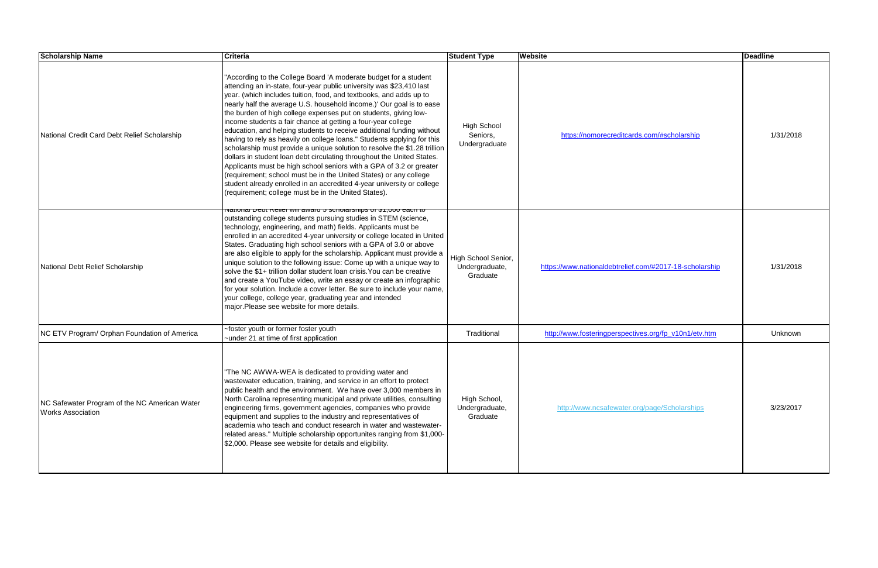| <b>Scholarship Name</b>                                                   | <b>Criteria</b>                                                                                                                                                                                                                                                                                                                                                                                                                                                                                                                                                                                                                                                                                                                                                                                                                                                                                                                                                                                                     | <b>Student Type</b>                               | <b>Website</b>                                          | <b>Deadline</b> |
|---------------------------------------------------------------------------|---------------------------------------------------------------------------------------------------------------------------------------------------------------------------------------------------------------------------------------------------------------------------------------------------------------------------------------------------------------------------------------------------------------------------------------------------------------------------------------------------------------------------------------------------------------------------------------------------------------------------------------------------------------------------------------------------------------------------------------------------------------------------------------------------------------------------------------------------------------------------------------------------------------------------------------------------------------------------------------------------------------------|---------------------------------------------------|---------------------------------------------------------|-----------------|
| National Credit Card Debt Relief Scholarship                              | "According to the College Board 'A moderate budget for a student<br>attending an in-state, four-year public university was \$23,410 last<br>year. (which includes tuition, food, and textbooks, and adds up to<br>nearly half the average U.S. household income.)' Our goal is to ease<br>the burden of high college expenses put on students, giving low-<br>income students a fair chance at getting a four-year college<br>education, and helping students to receive additional funding without<br>having to rely as heavily on college loans." Students applying for this<br>scholarship must provide a unique solution to resolve the \$1.28 trillion<br>dollars in student loan debt circulating throughout the United States.<br>Applicants must be high school seniors with a GPA of 3.2 or greater<br>(requirement; school must be in the United States) or any college<br>student already enrolled in an accredited 4-year university or college<br>(requirement; college must be in the United States). | <b>High School</b><br>Seniors,<br>Undergraduate   | https://nomorecreditcards.com/#scholarship              | 1/31/2018       |
| National Debt Relief Scholarship                                          | <u>ialional Debt Neller will award o scribiarships or <math>\frak{g}</math> r,ood each to </u><br>outstanding college students pursuing studies in STEM (science,<br>technology, engineering, and math) fields. Applicants must be<br>enrolled in an accredited 4-year university or college located in United<br>States. Graduating high school seniors with a GPA of 3.0 or above<br>are also eligible to apply for the scholarship. Applicant must provide a<br>unique solution to the following issue: Come up with a unique way to<br>solve the \$1+ trillion dollar student loan crisis. You can be creative<br>and create a YouTube video, write an essay or create an infographic<br>for your solution. Include a cover letter. Be sure to include your name,<br>your college, college year, graduating year and intended<br>major.Please see website for more details.                                                                                                                                     | High School Senior,<br>Undergraduate,<br>Graduate | https://www.nationaldebtrelief.com/#2017-18-scholarship | 1/31/2018       |
| <b>NC ETV Program/ Orphan Foundation of America</b>                       | -foster youth or former foster youth<br>-under 21 at time of first application                                                                                                                                                                                                                                                                                                                                                                                                                                                                                                                                                                                                                                                                                                                                                                                                                                                                                                                                      | Traditional                                       | http://www.fosteringperspectives.org/fp_v10n1/etv.htm   | Unknown         |
| NC Safewater Program of the NC American Water<br><b>Works Association</b> | "The NC AWWA-WEA is dedicated to providing water and<br>wastewater education, training, and service in an effort to protect<br>public health and the environment. We have over 3,000 members in<br>North Carolina representing municipal and private utilities, consulting<br>engineering firms, government agencies, companies who provide<br>equipment and supplies to the industry and representatives of<br>academia who teach and conduct research in water and wastewater-<br>related areas." Multiple scholarship opportunites ranging from \$1,000-<br>\$2,000. Please see website for details and eligibility.                                                                                                                                                                                                                                                                                                                                                                                             | High School,<br>Undergraduate,<br>Graduate        | http://www.ncsafewater.org/page/Scholarships            | 3/23/2017       |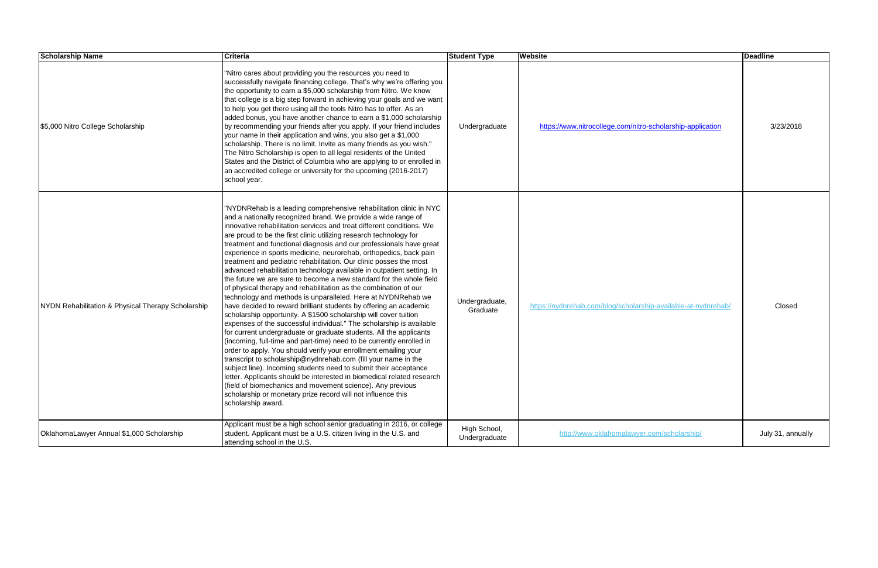| <b>Scholarship Name</b>                            | <b>Criteria</b>                                                                                                                                                                                                                                                                                                                                                                                                                                                                                                                                                                                                                                                                                                                                                                                                                                                                                                                                                                                                                                                                                                                                                                                                                                                                                                                                                                                                                                                                                                                                                                                 | <b>Student Type</b>           | Website                                                        | <b>Deadline</b>   |
|----------------------------------------------------|-------------------------------------------------------------------------------------------------------------------------------------------------------------------------------------------------------------------------------------------------------------------------------------------------------------------------------------------------------------------------------------------------------------------------------------------------------------------------------------------------------------------------------------------------------------------------------------------------------------------------------------------------------------------------------------------------------------------------------------------------------------------------------------------------------------------------------------------------------------------------------------------------------------------------------------------------------------------------------------------------------------------------------------------------------------------------------------------------------------------------------------------------------------------------------------------------------------------------------------------------------------------------------------------------------------------------------------------------------------------------------------------------------------------------------------------------------------------------------------------------------------------------------------------------------------------------------------------------|-------------------------------|----------------------------------------------------------------|-------------------|
| \$5,000 Nitro College Scholarship                  | "Nitro cares about providing you the resources you need to<br>successfully navigate financing college. That's why we're offering you<br>the opportunity to earn a \$5,000 scholarship from Nitro. We know<br>that college is a big step forward in achieving your goals and we want<br>to help you get there using all the tools Nitro has to offer. As an<br>added bonus, you have another chance to earn a \$1,000 scholarship<br>by recommending your friends after you apply. If your friend includes<br>your name in their application and wins, you also get a \$1,000<br>scholarship. There is no limit. Invite as many friends as you wish."<br>The Nitro Scholarship is open to all legal residents of the United<br>States and the District of Columbia who are applying to or enrolled in<br>an accredited college or university for the upcoming (2016-2017)<br>school year.                                                                                                                                                                                                                                                                                                                                                                                                                                                                                                                                                                                                                                                                                                        | Undergraduate                 | https://www.nitrocollege.com/nitro-scholarship-application     | 3/23/2018         |
| NYDN Rehabilitation & Physical Therapy Scholarship | "NYDNRehab is a leading comprehensive rehabilitation clinic in NYC<br>and a nationally recognized brand. We provide a wide range of<br>innovative rehabilitation services and treat different conditions. We<br>are proud to be the first clinic utilizing research technology for<br>treatment and functional diagnosis and our professionals have great<br>experience in sports medicine, neurorehab, orthopedics, back pain<br>treatment and pediatric rehabilitation. Our clinic posses the most<br>advanced rehabilitation technology available in outpatient setting. In<br>the future we are sure to become a new standard for the whole field<br>of physical therapy and rehabilitation as the combination of our<br>technology and methods is unparalleled. Here at NYDNRehab we<br>have decided to reward brilliant students by offering an academic<br>scholarship opportunity. A \$1500 scholarship will cover tuition<br>expenses of the successful individual." The scholarship is available<br>for current undergraduate or graduate students. All the applicants<br>(incoming, full-time and part-time) need to be currently enrolled in<br>order to apply. You should verify your enrollment emailing your<br>transcript to scholarship@nydnrehab.com (fill your name in the<br>subject line). Incoming students need to submit their acceptance<br>letter. Applicants should be interested in biomedical related research<br>(field of biomechanics and movement science). Any previous<br>scholarship or monetary prize record will not influence this<br>scholarship award. | Undergraduate,<br>Graduate    | https://nydnrehab.com/blog/scholarship-available-at-nydnrehab/ | Closed            |
| OklahomaLawyer Annual \$1,000 Scholarship          | Applicant must be a high school senior graduating in 2016, or college<br>student. Applicant must be a U.S. citizen living in the U.S. and<br>attending school in the U.S.                                                                                                                                                                                                                                                                                                                                                                                                                                                                                                                                                                                                                                                                                                                                                                                                                                                                                                                                                                                                                                                                                                                                                                                                                                                                                                                                                                                                                       | High School,<br>Undergraduate | http://www.oklahomalawyer.com/scholarship/                     | July 31, annually |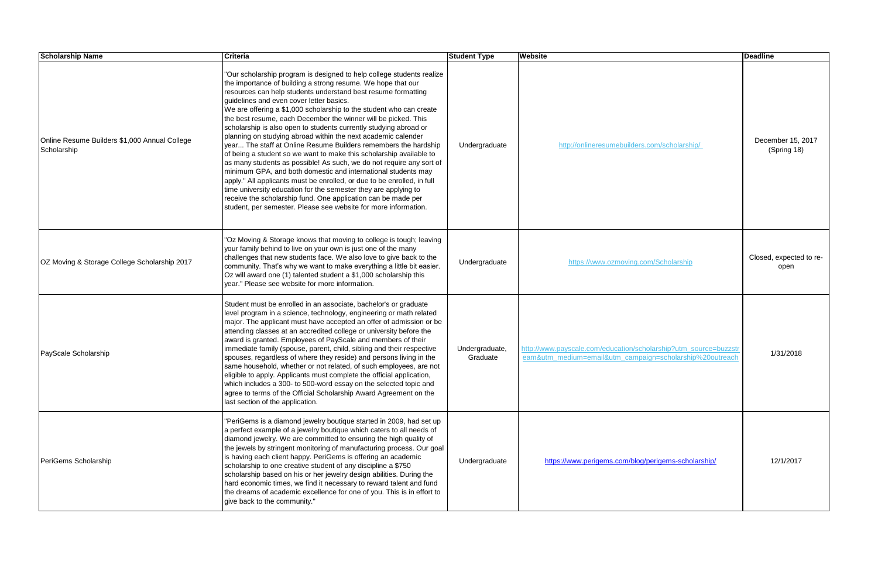| <b>Scholarship Name</b>                                      | <b>Criteria</b>                                                                                                                                                                                                                                                                                                                                                                                                                                                                                                                                                                                                                                                                                                                                                                                                                                                                                                                                                                                                                                                                                        | <b>Student Type</b>        | Website                                                                                                                      | Deadline                         |
|--------------------------------------------------------------|--------------------------------------------------------------------------------------------------------------------------------------------------------------------------------------------------------------------------------------------------------------------------------------------------------------------------------------------------------------------------------------------------------------------------------------------------------------------------------------------------------------------------------------------------------------------------------------------------------------------------------------------------------------------------------------------------------------------------------------------------------------------------------------------------------------------------------------------------------------------------------------------------------------------------------------------------------------------------------------------------------------------------------------------------------------------------------------------------------|----------------------------|------------------------------------------------------------------------------------------------------------------------------|----------------------------------|
| Online Resume Builders \$1,000 Annual College<br>Scholarship | "Our scholarship program is designed to help college students realize<br>the importance of building a strong resume. We hope that our<br>resources can help students understand best resume formatting<br>quidelines and even cover letter basics.<br>We are offering a \$1,000 scholarship to the student who can create<br>the best resume, each December the winner will be picked. This<br>scholarship is also open to students currently studying abroad or<br>planning on studying abroad within the next academic calender<br>year The staff at Online Resume Builders remembers the hardship<br>of being a student so we want to make this scholarship available to<br>as many students as possible! As such, we do not require any sort of<br>minimum GPA, and both domestic and international students may<br>apply." All applicants must be enrolled, or due to be enrolled, in full<br>time university education for the semester they are applying to<br>receive the scholarship fund. One application can be made per<br>student, per semester. Please see website for more information. | Undergraduate              | http://onlineresumebuilders.com/scholarship/                                                                                 | December 15, 2017<br>(Spring 18) |
| OZ Moving & Storage College Scholarship 2017                 | "Oz Moving & Storage knows that moving to college is tough; leaving<br>your family behind to live on your own is just one of the many<br>challenges that new students face. We also love to give back to the<br>community. That's why we want to make everything a little bit easier.<br>Oz will award one (1) talented student a \$1,000 scholarship this<br>year." Please see website for more information.                                                                                                                                                                                                                                                                                                                                                                                                                                                                                                                                                                                                                                                                                          | Undergraduate              | https://www.ozmoving.com/Scholarship                                                                                         | Closed, expected to re-<br>open  |
| PayScale Scholarship                                         | Student must be enrolled in an associate, bachelor's or graduate<br>level program in a science, technology, engineering or math related<br>major. The applicant must have accepted an offer of admission or be<br>attending classes at an accredited college or university before the<br>award is granted. Employees of PayScale and members of their<br>immediate family (spouse, parent, child, sibling and their respective<br>spouses, regardless of where they reside) and persons living in the<br>same household, whether or not related, of such employees, are not<br>eligible to apply. Applicants must complete the official application,<br>which includes a 300- to 500-word essay on the selected topic and<br>agree to terms of the Official Scholarship Award Agreement on the<br>last section of the application.                                                                                                                                                                                                                                                                     | Undergraduate,<br>Graduate | http://www.payscale.com/education/scholarship?utm_source=buzzstr<br>eam&utm_medium=email&utm_campaign=scholarship%20outreach | 1/31/2018                        |
| PeriGems Scholarship                                         | "PeriGems is a diamond jewelry boutique started in 2009, had set up<br>a perfect example of a jewelry boutique which caters to all needs of<br>diamond jewelry. We are committed to ensuring the high quality of<br>the jewels by stringent monitoring of manufacturing process. Our goal<br>is having each client happy. PeriGems is offering an academic<br>scholarship to one creative student of any discipline a \$750<br>scholarship based on his or her jewelry design abilities. During the<br>hard economic times, we find it necessary to reward talent and fund<br>the dreams of academic excellence for one of you. This is in effort to<br>give back to the community."                                                                                                                                                                                                                                                                                                                                                                                                                   | Undergraduate              | https://www.perigems.com/blog/perigems-scholarship/                                                                          | 12/1/2017                        |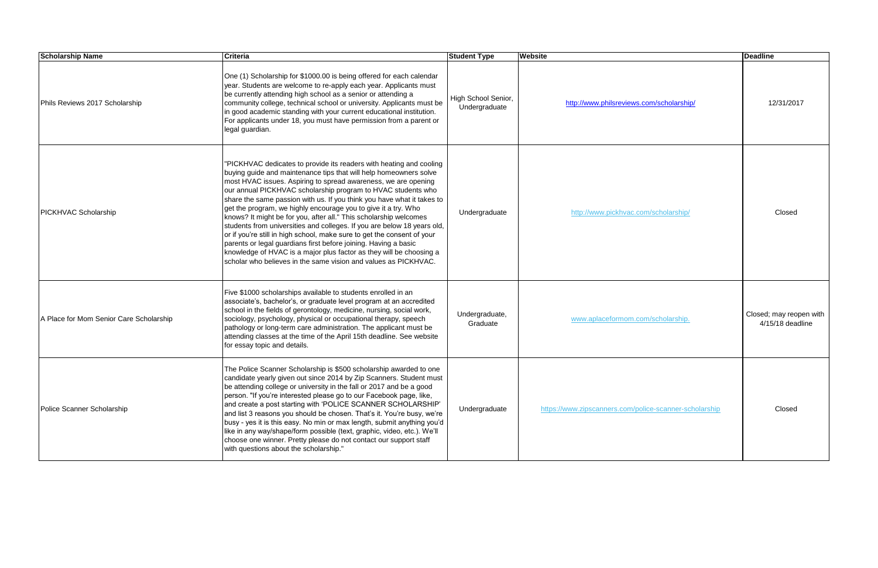| <b>Scholarship Name</b>                 | <b>Criteria</b>                                                                                                                                                                                                                                                                                                                                                                                                                                                                                                                                                                                                                                                                                                                                                                                                                                                | <b>Student Type</b>                  | <b>Website</b>                                         | <b>Deadline</b>                               |
|-----------------------------------------|----------------------------------------------------------------------------------------------------------------------------------------------------------------------------------------------------------------------------------------------------------------------------------------------------------------------------------------------------------------------------------------------------------------------------------------------------------------------------------------------------------------------------------------------------------------------------------------------------------------------------------------------------------------------------------------------------------------------------------------------------------------------------------------------------------------------------------------------------------------|--------------------------------------|--------------------------------------------------------|-----------------------------------------------|
| Phils Reviews 2017 Scholarship          | One (1) Scholarship for \$1000.00 is being offered for each calendar<br>year. Students are welcome to re-apply each year. Applicants must<br>be currently attending high school as a senior or attending a<br>community college, technical school or university. Applicants must be<br>in good academic standing with your current educational institution.<br>For applicants under 18, you must have permission from a parent or<br>legal guardian.                                                                                                                                                                                                                                                                                                                                                                                                           | High School Senior,<br>Undergraduate | http://www.philsreviews.com/scholarship/               | 12/31/2017                                    |
| PICKHVAC Scholarship                    | "PICKHVAC dedicates to provide its readers with heating and cooling<br>buying guide and maintenance tips that will help homeowners solve<br>most HVAC issues. Aspiring to spread awareness, we are opening<br>our annual PICKHVAC scholarship program to HVAC students who<br>share the same passion with us. If you think you have what it takes to<br>get the program, we highly encourage you to give it a try. Who<br>knows? It might be for you, after all." This scholarship welcomes<br>students from universities and colleges. If you are below 18 years old,<br>or if you're still in high school, make sure to get the consent of your<br>parents or legal guardians first before joining. Having a basic<br>knowledge of HVAC is a major plus factor as they will be choosing a<br>scholar who believes in the same vision and values as PICKHVAC. | Undergraduate                        | http://www.pickhvac.com/scholarship/                   | Closed                                        |
| A Place for Mom Senior Care Scholarship | Five \$1000 scholarships available to students enrolled in an<br>associate's, bachelor's, or graduate level program at an accredited<br>school in the fields of gerontology, medicine, nursing, social work,<br>sociology, psychology, physical or occupational therapy, speech<br>pathology or long-term care administration. The applicant must be<br>attending classes at the time of the April 15th deadline. See website<br>for essay topic and details.                                                                                                                                                                                                                                                                                                                                                                                                  | Undergraduate,<br>Graduate           | www.aplaceformom.com/scholarship.                      | Closed; may reopen with<br>$4/15/18$ deadline |
| Police Scanner Scholarship              | The Police Scanner Scholarship is \$500 scholarship awarded to one<br>candidate yearly given out since 2014 by Zip Scanners. Student must<br>be attending college or university in the fall or 2017 and be a good<br>person. "If you're interested please go to our Facebook page, like,<br>and create a post starting with 'POLICE SCANNER SCHOLARSHIP'<br>and list 3 reasons you should be chosen. That's it. You're busy, we're<br>busy - yes it is this easy. No min or max length, submit anything you'd<br>like in any way/shape/form possible (text, graphic, video, etc.). We'll<br>choose one winner. Pretty please do not contact our support staff<br>with questions about the scholarship."                                                                                                                                                        | Undergraduate                        | https://www.zipscanners.com/police-scanner-scholarship | Closed                                        |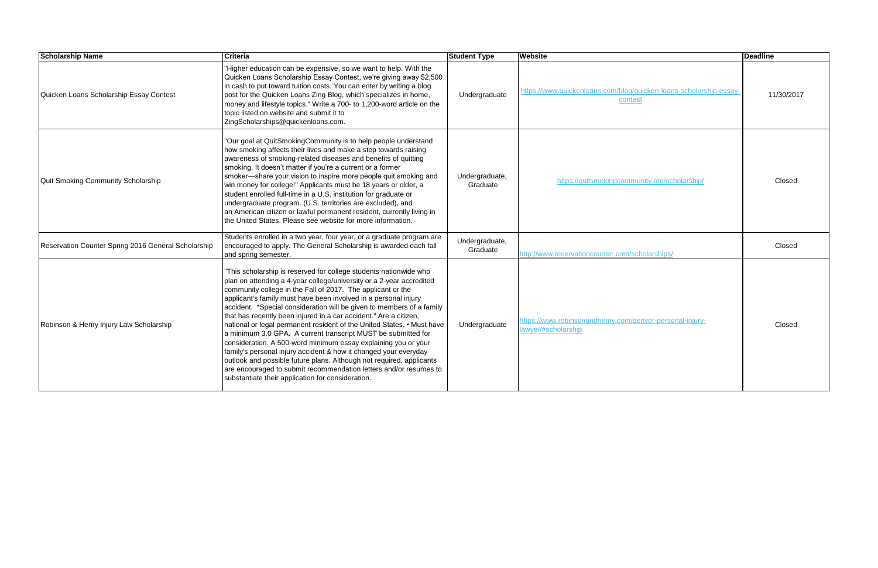| <b>Scholarship Name</b>                             | Criteria                                                                                                                                                                                                                                                                                                                                                                                                                                                                                                                                                                                                                                                                                                                                                                                                                                                                                                     | <b>Student Type</b>        | <b>Website</b>                                                                  | <b>Deadline</b> |
|-----------------------------------------------------|--------------------------------------------------------------------------------------------------------------------------------------------------------------------------------------------------------------------------------------------------------------------------------------------------------------------------------------------------------------------------------------------------------------------------------------------------------------------------------------------------------------------------------------------------------------------------------------------------------------------------------------------------------------------------------------------------------------------------------------------------------------------------------------------------------------------------------------------------------------------------------------------------------------|----------------------------|---------------------------------------------------------------------------------|-----------------|
| Quicken Loans Scholarship Essay Contest             | "Higher education can be expensive, so we want to help. With the<br>Quicken Loans Scholarship Essay Contest, we're giving away \$2,500<br>in cash to put toward tuition costs. You can enter by writing a blog<br>post for the Quicken Loans Zing Blog, which specializes in home,<br>money and lifestyle topics." Write a 700- to 1,200-word article on the<br>topic listed on website and submit it to<br>ZingScholarships@quickenloans.com.                                                                                                                                                                                                                                                                                                                                                                                                                                                               | Undergraduate              | https://www.quickenloans.com/blog/quicken-loans-scholarship-essay-<br>contest   | 11/30/2017      |
| Quit Smoking Community Scholarship                  | "Our goal at QuitSmokingCommunity is to help people understand<br>how smoking affects their lives and make a step towards raising<br>awareness of smoking-related diseases and benefits of quitting<br>smoking. It doesn't matter if you're a current or a former<br>smoker-share your vision to inspire more people quit smoking and<br>win money for college!" Applicants must be 18 years or older, a<br>student enrolled full-time in a U.S. institution for graduate or<br>undergraduate program. (U.S. territories are excluded), and<br>an American citizen or lawful permanent resident, currently living in<br>the United States. Please see website for more information.                                                                                                                                                                                                                          | Undergraduate,<br>Graduate | https://quitsmokingcommunity.org/scholarship/                                   | Closed          |
| Reservation Counter Spring 2016 General Scholarship | Students enrolled in a two year, four year, or a graduate program are<br>encouraged to apply. The General Scholarship is awarded each fall<br>and spring semester.                                                                                                                                                                                                                                                                                                                                                                                                                                                                                                                                                                                                                                                                                                                                           | Undergraduate,<br>Graduate | http://www.reservationcounter.com/scholarships/                                 | Closed          |
| Robinson & Henry Injury Law Scholarship             | "This scholarship is reserved for college students nationwide who<br>plan on attending a 4-year college/university or a 2-year accredited<br>community college in the Fall of 2017. The applicant or the<br>applicant's family must have been involved in a personal injury<br>accident. *Special consideration will be given to members of a family<br>that has recently been injured in a car accident." Are a citizen,<br>national or legal permanent resident of the United States. • Must have<br>a minimum 3.0 GPA. A current transcript MUST be submitted for<br>consideration. A 500-word minimum essay explaining you or your<br>family's personal injury accident & how it changed your everyday<br>outlook and possible future plans. Although not required, applicants<br>are encouraged to submit recommendation letters and/or resumes to<br>substantiate their application for consideration. | Undergraduate              | https://www.robinsonandhenry.com/denver-personal-injury-<br>lawyer/#scholarship | Closed          |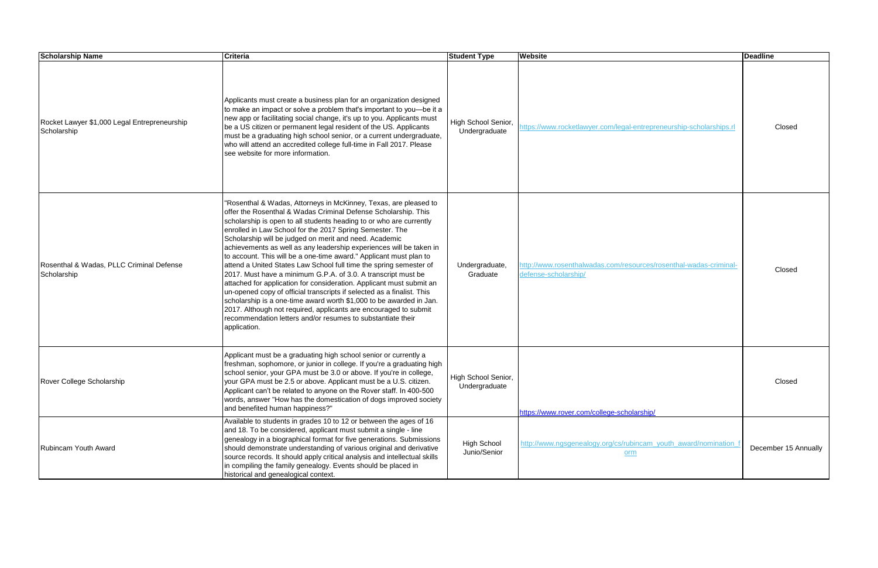| <b>Scholarship Name</b>                                     | <b>Criteria</b>                                                                                                                                                                                                                                                                                                                                                                                                                                                                                                                                                                                                                                                                                                                                                                                                                                                                                                                                                                                 | <b>Student Type</b>                  | <b>Website</b>                                                                            | <b>Deadline</b>      |
|-------------------------------------------------------------|-------------------------------------------------------------------------------------------------------------------------------------------------------------------------------------------------------------------------------------------------------------------------------------------------------------------------------------------------------------------------------------------------------------------------------------------------------------------------------------------------------------------------------------------------------------------------------------------------------------------------------------------------------------------------------------------------------------------------------------------------------------------------------------------------------------------------------------------------------------------------------------------------------------------------------------------------------------------------------------------------|--------------------------------------|-------------------------------------------------------------------------------------------|----------------------|
| Rocket Lawyer \$1,000 Legal Entrepreneurship<br>Scholarship | Applicants must create a business plan for an organization designed<br>to make an impact or solve a problem that's important to you-be it a<br>new app or facilitating social change, it's up to you. Applicants must<br>be a US citizen or permanent legal resident of the US. Applicants<br>must be a graduating high school senior, or a current undergraduate,<br>who will attend an accredited college full-time in Fall 2017. Please<br>see website for more information.                                                                                                                                                                                                                                                                                                                                                                                                                                                                                                                 | High School Senior,<br>Undergraduate | https://www.rocketlawyer.com/legal-entrepreneurship-scholarships.rl                       | Closed               |
| Rosenthal & Wadas, PLLC Criminal Defense<br>Scholarship     | "Rosenthal & Wadas, Attorneys in McKinney, Texas, are pleased to<br>offer the Rosenthal & Wadas Criminal Defense Scholarship. This<br>scholarship is open to all students heading to or who are currently<br>enrolled in Law School for the 2017 Spring Semester. The<br>Scholarship will be judged on merit and need. Academic<br>achievements as well as any leadership experiences will be taken in<br>to account. This will be a one-time award." Applicant must plan to<br>attend a United States Law School full time the spring semester of<br>2017. Must have a minimum G.P.A. of 3.0. A transcript must be<br>attached for application for consideration. Applicant must submit an<br>un-opened copy of official transcripts if selected as a finalist. This<br>scholarship is a one-time award worth \$1,000 to be awarded in Jan.<br>2017. Although not required, applicants are encouraged to submit<br>recommendation letters and/or resumes to substantiate their<br>application. | Undergraduate,<br>Graduate           | http://www.rosenthalwadas.com/resources/rosenthal-wadas-criminal-<br>defense-scholarship/ | Closed               |
| Rover College Scholarship                                   | Applicant must be a graduating high school senior or currently a<br>freshman, sophomore, or junior in college. If you're a graduating high<br>school senior, your GPA must be 3.0 or above. If you're in college,<br>your GPA must be 2.5 or above. Applicant must be a U.S. citizen.<br>Applicant can't be related to anyone on the Rover staff. In 400-500<br>words, answer "How has the domestication of dogs improved society<br>and benefited human happiness?"                                                                                                                                                                                                                                                                                                                                                                                                                                                                                                                            | High School Senior,<br>Undergraduate | https://www.rover.com/college-scholarship/                                                | Closed               |
| Rubincam Youth Award                                        | Available to students in grades 10 to 12 or between the ages of 16<br>and 18. To be considered, applicant must submit a single - line<br>genealogy in a biographical format for five generations. Submissions<br>should demonstrate understanding of various original and derivative<br>source records. It should apply critical analysis and intellectual skills<br>in compiling the family genealogy. Events should be placed in<br>historical and genealogical context.                                                                                                                                                                                                                                                                                                                                                                                                                                                                                                                      | <b>High School</b><br>Junio/Senior   | http://www.ngsgenealogy.org/cs/rubincam_youth_award/nomination_<br>orm                    | December 15 Annually |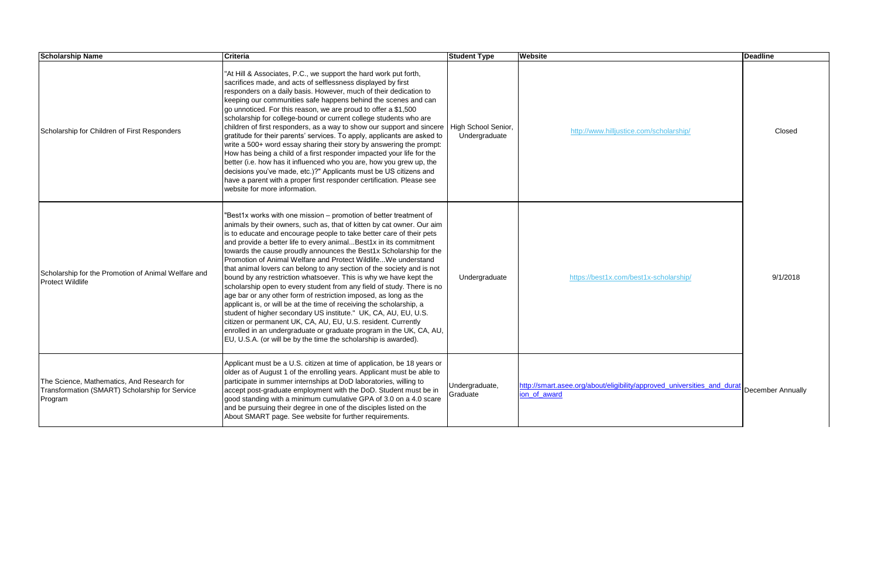| <b>Scholarship Name</b>                                                                                 | <b>Criteria</b>                                                                                                                                                                                                                                                                                                                                                                                                                                                                                                                                                                                                                                                                                                                                                                                                                                                                                                                                                                                                                                                                     | <b>Student Type</b>        | <b>Website</b>                                                                          | <b>Deadline</b>   |
|---------------------------------------------------------------------------------------------------------|-------------------------------------------------------------------------------------------------------------------------------------------------------------------------------------------------------------------------------------------------------------------------------------------------------------------------------------------------------------------------------------------------------------------------------------------------------------------------------------------------------------------------------------------------------------------------------------------------------------------------------------------------------------------------------------------------------------------------------------------------------------------------------------------------------------------------------------------------------------------------------------------------------------------------------------------------------------------------------------------------------------------------------------------------------------------------------------|----------------------------|-----------------------------------------------------------------------------------------|-------------------|
| Scholarship for Children of First Responders                                                            | "At Hill & Associates, P.C., we support the hard work put forth,<br>sacrifices made, and acts of selflessness displayed by first<br>responders on a daily basis. However, much of their dedication to<br>keeping our communities safe happens behind the scenes and can<br>go unnoticed. For this reason, we are proud to offer a \$1,500<br>scholarship for college-bound or current college students who are<br>children of first responders, as a way to show our support and sincere   High School Senior,<br>gratitude for their parents' services. To apply, applicants are asked to<br>write a 500+ word essay sharing their story by answering the prompt:<br>How has being a child of a first responder impacted your life for the<br>better (i.e. how has it influenced who you are, how you grew up, the<br>decisions you've made, etc.)?" Applicants must be US citizens and<br>have a parent with a proper first responder certification. Please see<br>website for more information.                                                                                  | Undergraduate              | http://www.hilljustice.com/scholarship/                                                 | Closed            |
| Scholarship for the Promotion of Animal Welfare and<br><b>Protect Wildlife</b>                          | "Best1x works with one mission - promotion of better treatment of<br>animals by their owners, such as, that of kitten by cat owner. Our aim<br>is to educate and encourage people to take better care of their pets<br>and provide a better life to every animalBest1x in its commitment<br>towards the cause proudly announces the Best1x Scholarship for the<br>Promotion of Animal Welfare and Protect Wildlife We understand<br>that animal lovers can belong to any section of the society and is not<br>bound by any restriction whatsoever. This is why we have kept the<br>scholarship open to every student from any field of study. There is no<br>age bar or any other form of restriction imposed, as long as the<br>applicant is, or will be at the time of receiving the scholarship, a<br>student of higher secondary US institute." UK, CA, AU, EU, U.S.<br>citizen or permanent UK, CA, AU, EU, U.S. resident. Currently<br>enrolled in an undergraduate or graduate program in the UK, CA, AU,<br>EU, U.S.A. (or will be by the time the scholarship is awarded). | Undergraduate              | https://best1x.com/best1x-scholarship/                                                  | 9/1/2018          |
| The Science, Mathematics, And Research for<br>Transformation (SMART) Scholarship for Service<br>Program | Applicant must be a U.S. citizen at time of application, be 18 years or<br>older as of August 1 of the enrolling years. Applicant must be able to<br>participate in summer internships at DoD laboratories, willing to<br>accept post-graduate employment with the DoD. Student must be in<br>good standing with a minimum cumulative GPA of 3.0 on a 4.0 scare<br>and be pursuing their degree in one of the disciples listed on the<br>About SMART page. See website for further requirements.                                                                                                                                                                                                                                                                                                                                                                                                                                                                                                                                                                                    | Undergraduate,<br>Graduate | http://smart.asee.org/about/eligibility/approved_universities_and_durat<br>ion_of_award | December Annually |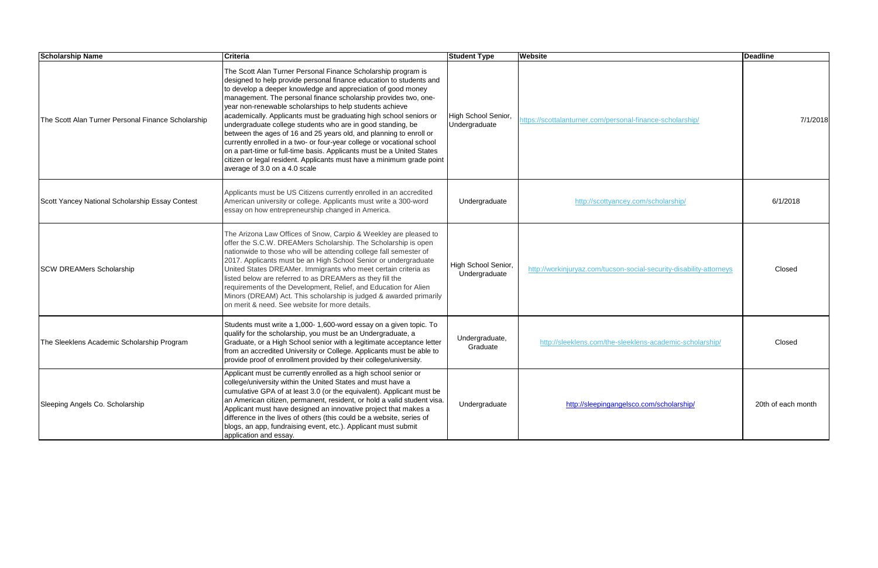| <b>Scholarship Name</b>                            | <b>Criteria</b>                                                                                                                                                                                                                                                                                                                                                                                                                                                                                                                                                                                                                                                                                                                                                                                             | <b>Student Type</b>                  | Website                                                             | <b>Deadline</b>    |
|----------------------------------------------------|-------------------------------------------------------------------------------------------------------------------------------------------------------------------------------------------------------------------------------------------------------------------------------------------------------------------------------------------------------------------------------------------------------------------------------------------------------------------------------------------------------------------------------------------------------------------------------------------------------------------------------------------------------------------------------------------------------------------------------------------------------------------------------------------------------------|--------------------------------------|---------------------------------------------------------------------|--------------------|
| The Scott Alan Turner Personal Finance Scholarship | The Scott Alan Turner Personal Finance Scholarship program is<br>designed to help provide personal finance education to students and<br>to develop a deeper knowledge and appreciation of good money<br>management. The personal finance scholarship provides two, one-<br>year non-renewable scholarships to help students achieve<br>academically. Applicants must be graduating high school seniors or<br>undergraduate college students who are in good standing, be<br>between the ages of 16 and 25 years old, and planning to enroll or<br>currently enrolled in a two- or four-year college or vocational school<br>on a part-time or full-time basis. Applicants must be a United States<br>citizen or legal resident. Applicants must have a minimum grade point<br>average of 3.0 on a 4.0 scale | High School Senior,<br>Undergraduate | https://scottalanturner.com/personal-finance-scholarship/           | 7/1/2018           |
| Scott Yancey National Scholarship Essay Contest    | Applicants must be US Citizens currently enrolled in an accredited<br>American university or college. Applicants must write a 300-word<br>essay on how entrepreneurship changed in America.                                                                                                                                                                                                                                                                                                                                                                                                                                                                                                                                                                                                                 | Undergraduate                        | http://scottyancey.com/scholarship/                                 | 6/1/2018           |
| <b>SCW DREAMers Scholarship</b>                    | The Arizona Law Offices of Snow, Carpio & Weekley are pleased to<br>offer the S.C.W. DREAMers Scholarship. The Scholarship is open<br>nationwide to those who will be attending college fall semester of<br>2017. Applicants must be an High School Senior or undergraduate<br>United States DREAMer. Immigrants who meet certain criteria as<br>listed below are referred to as DREAMers as they fill the<br>requirements of the Development, Relief, and Education for Alien<br>Minors (DREAM) Act. This scholarship is judged & awarded primarily<br>on merit & need. See website for more details.                                                                                                                                                                                                      | High School Senior,<br>Undergraduate | http://workinjuryaz.com/tucson-social-security-disability-attorneys | Closed             |
| The Sleeklens Academic Scholarship Program         | Students must write a 1,000-1,600-word essay on a given topic. To<br>qualify for the scholarship, you must be an Undergraduate, a<br>Graduate, or a High School senior with a legitimate acceptance letter<br>from an accredited University or College. Applicants must be able to<br>provide proof of enrollment provided by their college/university.                                                                                                                                                                                                                                                                                                                                                                                                                                                     | Undergraduate,<br>Graduate           | http://sleeklens.com/the-sleeklens-academic-scholarship/            | Closed             |
| Sleeping Angels Co. Scholarship                    | Applicant must be currently enrolled as a high school senior or<br>college/university within the United States and must have a<br>cumulative GPA of at least 3.0 (or the equivalent). Applicant must be<br>an American citizen, permanent, resident, or hold a valid student visa.<br>Applicant must have designed an innovative project that makes a<br>difference in the lives of others (this could be a website, series of<br>blogs, an app, fundraising event, etc.). Applicant must submit<br>application and essay.                                                                                                                                                                                                                                                                                  | Undergraduate                        | http://sleepingangelsco.com/scholarship/                            | 20th of each month |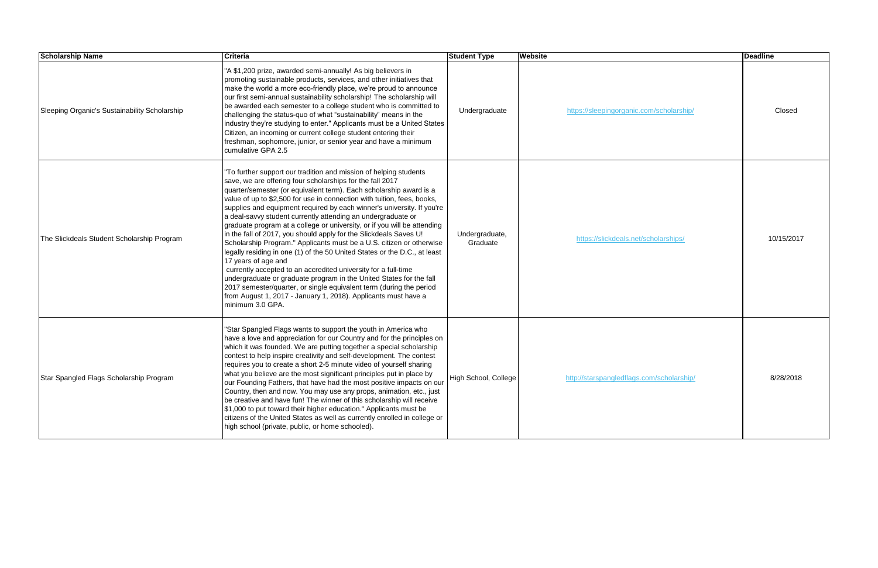| <b>Scholarship Name</b>                       | <b>Criteria</b>                                                                                                                                                                                                                                                                                                                                                                                                                                                                                                                                                                                                                                                                                                                                                                                                                                                                                                                                                                                                                                              | <b>Student Type</b>        | <b>Website</b>                            | <b>Deadline</b> |
|-----------------------------------------------|--------------------------------------------------------------------------------------------------------------------------------------------------------------------------------------------------------------------------------------------------------------------------------------------------------------------------------------------------------------------------------------------------------------------------------------------------------------------------------------------------------------------------------------------------------------------------------------------------------------------------------------------------------------------------------------------------------------------------------------------------------------------------------------------------------------------------------------------------------------------------------------------------------------------------------------------------------------------------------------------------------------------------------------------------------------|----------------------------|-------------------------------------------|-----------------|
| Sleeping Organic's Sustainability Scholarship | "A \$1,200 prize, awarded semi-annually! As big believers in<br>promoting sustainable products, services, and other initiatives that<br>make the world a more eco-friendly place, we're proud to announce<br>our first semi-annual sustainability scholarship! The scholarship will<br>be awarded each semester to a college student who is committed to<br>challenging the status-quo of what "sustainability" means in the<br>industry they're studying to enter." Applicants must be a United States<br>Citizen, an incoming or current college student entering their<br>freshman, sophomore, junior, or senior year and have a minimum<br>cumulative GPA 2.5                                                                                                                                                                                                                                                                                                                                                                                            | Undergraduate              | https://sleepingorganic.com/scholarship/  | Closed          |
| The Slickdeals Student Scholarship Program    | "To further support our tradition and mission of helping students<br>save, we are offering four scholarships for the fall 2017<br>quarter/semester (or equivalent term). Each scholarship award is a<br>value of up to \$2,500 for use in connection with tuition, fees, books,<br>supplies and equipment required by each winner's university. If you're<br>a deal-savvy student currently attending an undergraduate or<br>graduate program at a college or university, or if you will be attending<br>in the fall of 2017, you should apply for the Slickdeals Saves U!<br>Scholarship Program." Applicants must be a U.S. citizen or otherwise<br>legally residing in one (1) of the 50 United States or the D.C., at least<br>17 years of age and<br>currently accepted to an accredited university for a full-time<br>undergraduate or graduate program in the United States for the fall<br>2017 semester/quarter, or single equivalent term (during the period<br>from August 1, 2017 - January 1, 2018). Applicants must have a<br>minimum 3.0 GPA. | Undergraduate,<br>Graduate | https://slickdeals.net/scholarships/      | 10/15/2017      |
| Star Spangled Flags Scholarship Program       | "Star Spangled Flags wants to support the youth in America who<br>have a love and appreciation for our Country and for the principles on<br>which it was founded. We are putting together a special scholarship<br>contest to help inspire creativity and self-development. The contest<br>requires you to create a short 2-5 minute video of yourself sharing<br>what you believe are the most significant principles put in place by<br>our Founding Fathers, that have had the most positive impacts on our<br>Country, then and now. You may use any props, animation, etc., just<br>be creative and have fun! The winner of this scholarship will receive<br>\$1,000 to put toward their higher education." Applicants must be<br>citizens of the United States as well as currently enrolled in college or<br>high school (private, public, or home schooled).                                                                                                                                                                                         | High School, College       | http://starspangledflags.com/scholarship/ | 8/28/2018       |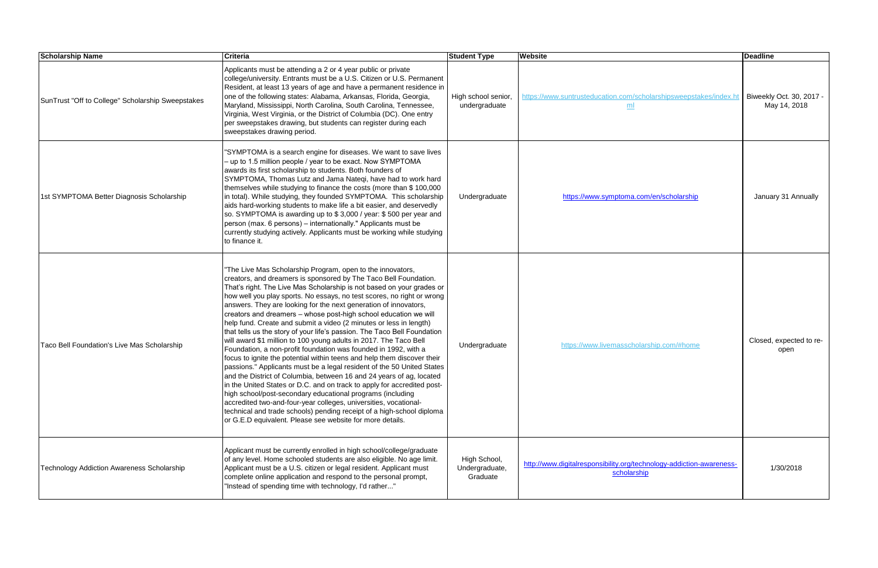| <b>Scholarship Name</b>                           | <b>Criteria</b>                                                                                                                                                                                                                                                                                                                                                                                                                                                                                                                                                                                                                                                                                                                                                                                                                                                                                                                                                                                                                                                                                                                                                                                                                                                                                     | Student Type                               | <b>Website</b>                                                                      | <b>Deadline</b>                          |
|---------------------------------------------------|-----------------------------------------------------------------------------------------------------------------------------------------------------------------------------------------------------------------------------------------------------------------------------------------------------------------------------------------------------------------------------------------------------------------------------------------------------------------------------------------------------------------------------------------------------------------------------------------------------------------------------------------------------------------------------------------------------------------------------------------------------------------------------------------------------------------------------------------------------------------------------------------------------------------------------------------------------------------------------------------------------------------------------------------------------------------------------------------------------------------------------------------------------------------------------------------------------------------------------------------------------------------------------------------------------|--------------------------------------------|-------------------------------------------------------------------------------------|------------------------------------------|
| SunTrust "Off to College" Scholarship Sweepstakes | Applicants must be attending a 2 or 4 year public or private<br>college/university. Entrants must be a U.S. Citizen or U.S. Permanent<br>Resident, at least 13 years of age and have a permanent residence in<br>one of the following states: Alabama, Arkansas, Florida, Georgia,<br>Maryland, Mississippi, North Carolina, South Carolina, Tennessee,<br>Virginia, West Virginia, or the District of Columbia (DC). One entry<br>per sweepstakes drawing, but students can register during each<br>sweepstakes drawing period.                                                                                                                                                                                                                                                                                                                                                                                                                                                                                                                                                                                                                                                                                                                                                                    | High school senior,<br>undergraduate       | https://www.suntrusteducation.com/scholarshipsweepstakes/index.ht<br>ml             | Biweekly Oct. 30, 2017 -<br>May 14, 2018 |
| 1st SYMPTOMA Better Diagnosis Scholarship         | "SYMPTOMA is a search engine for diseases. We want to save lives<br>- up to 1.5 million people / year to be exact. Now SYMPTOMA<br>awards its first scholarship to students. Both founders of<br>SYMPTOMA, Thomas Lutz and Jama Nateqi, have had to work hard<br>themselves while studying to finance the costs (more than \$100,000<br>in total). While studying, they founded SYMPTOMA. This scholarship<br>aids hard-working students to make life a bit easier, and deservedly<br>so. SYMPTOMA is awarding up to \$3,000 / year: \$500 per year and<br>person (max. 6 persons) – internationally." Applicants must be<br>currently studying actively. Applicants must be working while studying<br>to finance it.                                                                                                                                                                                                                                                                                                                                                                                                                                                                                                                                                                               | Undergraduate                              | https://www.symptoma.com/en/scholarship                                             | January 31 Annually                      |
| Taco Bell Foundation's Live Mas Scholarship       | "The Live Mas Scholarship Program, open to the innovators,<br>creators, and dreamers is sponsored by The Taco Bell Foundation.<br>That's right. The Live Mas Scholarship is not based on your grades or<br>how well you play sports. No essays, no test scores, no right or wrong<br>answers. They are looking for the next generation of innovators,<br>creators and dreamers - whose post-high school education we will<br>help fund. Create and submit a video (2 minutes or less in length)<br>that tells us the story of your life's passion. The Taco Bell Foundation<br>will award \$1 million to 100 young adults in 2017. The Taco Bell<br>Foundation, a non-profit foundation was founded in 1992, with a<br>focus to ignite the potential within teens and help them discover their<br>passions." Applicants must be a legal resident of the 50 United States<br>and the District of Columbia, between 16 and 24 years of ag, located<br>in the United States or D.C. and on track to apply for accredited post-<br>high school/post-secondary educational programs (including<br>accredited two-and-four-year colleges, universities, vocational-<br>technical and trade schools) pending receipt of a high-school diploma<br>or G.E.D equivalent. Please see website for more details. | Undergraduate                              | https://www.livemasscholarship.com/#home                                            | Closed, expected to re-<br>open          |
| Technology Addiction Awareness Scholarship        | Applicant must be currently enrolled in high school/college/graduate<br>of any level. Home schooled students are also eligible. No age limit.<br>Applicant must be a U.S. citizen or legal resident. Applicant must<br>complete online application and respond to the personal prompt,<br>"Instead of spending time with technology, I'd rather"                                                                                                                                                                                                                                                                                                                                                                                                                                                                                                                                                                                                                                                                                                                                                                                                                                                                                                                                                    | High School,<br>Undergraduate,<br>Graduate | http://www.digitalresponsibility.org/technology-addiction-awareness-<br>scholarship | 1/30/2018                                |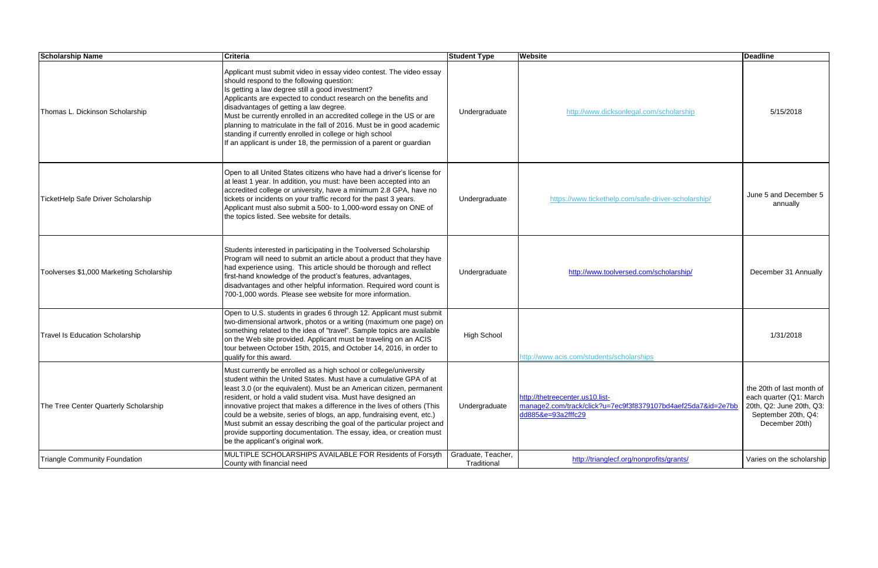| <b>Scholarship Name</b>                  | <b>Criteria</b>                                                                                                                                                                                                                                                                                                                                                                                                                                                                                                                                                                                                             | <b>Student Type</b>               | Website                                                                                                               | <b>Deadline</b>                                                                                                           |
|------------------------------------------|-----------------------------------------------------------------------------------------------------------------------------------------------------------------------------------------------------------------------------------------------------------------------------------------------------------------------------------------------------------------------------------------------------------------------------------------------------------------------------------------------------------------------------------------------------------------------------------------------------------------------------|-----------------------------------|-----------------------------------------------------------------------------------------------------------------------|---------------------------------------------------------------------------------------------------------------------------|
| Thomas L. Dickinson Scholarship          | Applicant must submit video in essay video contest. The video essay<br>should respond to the following question:<br>Is getting a law degree still a good investment?<br>Applicants are expected to conduct research on the benefits and<br>disadvantages of getting a law degree.<br>Must be currently enrolled in an accredited college in the US or are<br>planning to matriculate in the fall of 2016. Must be in good academic<br>standing if currently enrolled in college or high school<br>If an applicant is under 18, the permission of a parent or guardian                                                       | Undergraduate                     | http://www.dicksonlegal.com/scholarship                                                                               | 5/15/2018                                                                                                                 |
| TicketHelp Safe Driver Scholarship       | Open to all United States citizens who have had a driver's license for<br>at least 1 year. In addition, you must: have been accepted into an<br>accredited college or university, have a minimum 2.8 GPA, have no<br>tickets or incidents on your traffic record for the past 3 years.<br>Applicant must also submit a 500- to 1,000-word essay on ONE of<br>the topics listed. See website for details.                                                                                                                                                                                                                    | Undergraduate                     | https://www.tickethelp.com/safe-driver-scholarship/                                                                   | June 5 and December 5<br>annually                                                                                         |
| Toolverses \$1,000 Marketing Scholarship | Students interested in participating in the Toolversed Scholarship<br>Program will need to submit an article about a product that they have<br>had experience using. This article should be thorough and reflect<br>first-hand knowledge of the product's features, advantages,<br>disadvantages and other helpful information. Required word count is<br>700-1,000 words. Please see website for more information.                                                                                                                                                                                                         | Undergraduate                     | http://www.toolversed.com/scholarship/                                                                                | December 31 Annually                                                                                                      |
| Travel Is Education Scholarship          | Open to U.S. students in grades 6 through 12. Applicant must submit<br>two-dimensional artwork, photos or a writing (maximum one page) on<br>something related to the idea of "travel". Sample topics are available<br>on the Web site provided. Applicant must be traveling on an ACIS<br>tour between October 15th, 2015, and October 14, 2016, in order to<br>qualify for this award.                                                                                                                                                                                                                                    | <b>High School</b>                | http://www.acis.com/students/scholarships                                                                             | 1/31/2018                                                                                                                 |
| The Tree Center Quarterly Scholarship    | Must currently be enrolled as a high school or college/university<br>student within the United States. Must have a cumulative GPA of at<br>least 3.0 (or the equivalent). Must be an American citizen, permanent<br>resident, or hold a valid student visa. Must have designed an<br>innovative project that makes a difference in the lives of others (This<br>could be a website, series of blogs, an app, fundraising event, etc.)<br>Must submit an essay describing the goal of the particular project and<br>provide supporting documentation. The essay, idea, or creation must<br>be the applicant's original work. | Undergraduate                     | http://thetreecenter.us10.list-<br>manage2.com/track/click?u=7ec9f3f8379107bd4aef25da7&id=2e7bb<br>dd885&e=93a2fffc29 | the 20th of last month of<br>each quarter (Q1: March<br>20th, Q2: June 20th, Q3:<br>September 20th, Q4:<br>December 20th) |
| Triangle Community Foundation            | MULTIPLE SCHOLARSHIPS AVAILABLE FOR Residents of Forsyth<br>County with financial need                                                                                                                                                                                                                                                                                                                                                                                                                                                                                                                                      | Graduate, Teacher,<br>Traditional | http://trianglecf.org/nonprofits/grants/                                                                              | Varies on the scholarship                                                                                                 |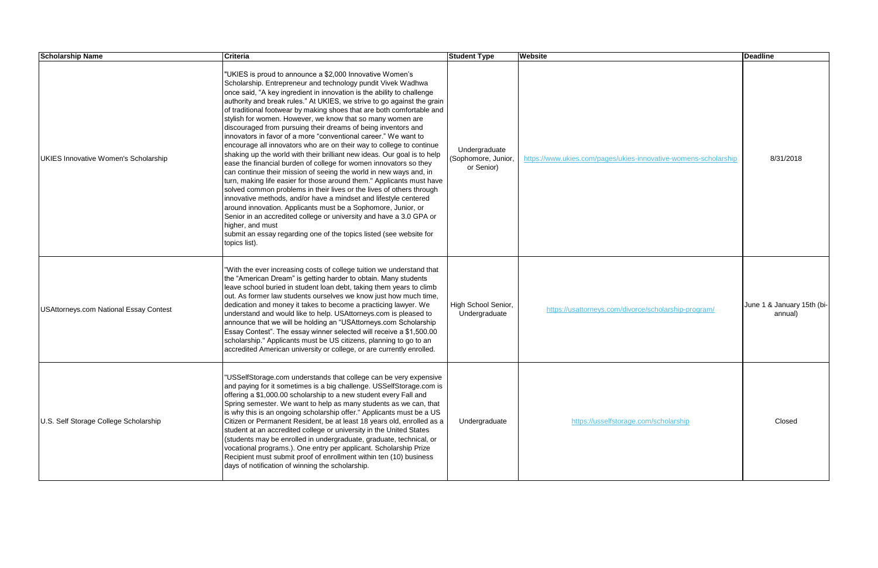| <b>Scholarship Name</b>                | <b>Criteria</b>                                                                                                                                                                                                                                                                                                                                                                                                                                                                                                                                                                                                                                                                                                                                                                                                                                                                                                                                                                                                                                                                                                                                                                                                                                                                                                                  | <b>Student Type</b>                               | <b>Website</b>                                                  | <b>Deadline</b>                       |
|----------------------------------------|----------------------------------------------------------------------------------------------------------------------------------------------------------------------------------------------------------------------------------------------------------------------------------------------------------------------------------------------------------------------------------------------------------------------------------------------------------------------------------------------------------------------------------------------------------------------------------------------------------------------------------------------------------------------------------------------------------------------------------------------------------------------------------------------------------------------------------------------------------------------------------------------------------------------------------------------------------------------------------------------------------------------------------------------------------------------------------------------------------------------------------------------------------------------------------------------------------------------------------------------------------------------------------------------------------------------------------|---------------------------------------------------|-----------------------------------------------------------------|---------------------------------------|
| UKIES Innovative Women's Scholarship   | "UKIES is proud to announce a \$2,000 Innovative Women's<br>Scholarship. Entrepreneur and technology pundit Vivek Wadhwa<br>once said, "A key ingredient in innovation is the ability to challenge<br>authority and break rules." At UKIES, we strive to go against the grain<br>of traditional footwear by making shoes that are both comfortable and<br>stylish for women. However, we know that so many women are<br>discouraged from pursuing their dreams of being inventors and<br>innovators in favor of a more "conventional career." We want to<br>encourage all innovators who are on their way to college to continue<br>shaking up the world with their brilliant new ideas. Our goal is to help<br>ease the financial burden of college for women innovators so they<br>can continue their mission of seeing the world in new ways and, in<br>turn, making life easier for those around them." Applicants must have<br>solved common problems in their lives or the lives of others through<br>innovative methods, and/or have a mindset and lifestyle centered<br>around innovation. Applicants must be a Sophomore, Junior, or<br>Senior in an accredited college or university and have a 3.0 GPA or<br>higher, and must<br>submit an essay regarding one of the topics listed (see website for<br>topics list). | Undergraduate<br>(Sophomore, Junior<br>or Senior) | https://www.ukies.com/pages/ukies-innovative-womens-scholarship | 8/31/2018                             |
| USAttorneys.com National Essay Contest | "With the ever increasing costs of college tuition we understand that<br>the "American Dream" is getting harder to obtain. Many students<br>leave school buried in student loan debt, taking them years to climb<br>out. As former law students ourselves we know just how much time,<br>dedication and money it takes to become a practicing lawyer. We<br>understand and would like to help. USAttorneys.com is pleased to<br>announce that we will be holding an "USAttorneys.com Scholarship<br>Essay Contest". The essay winner selected will receive a \$1,500.00<br>scholarship." Applicants must be US citizens, planning to go to an<br>accredited American university or college, or are currently enrolled.                                                                                                                                                                                                                                                                                                                                                                                                                                                                                                                                                                                                           | High School Senior,<br>Undergraduate              | https://usattorneys.com/divorce/scholarship-program/            | June 1 & January 15th (bi-<br>annual) |
| U.S. Self Storage College Scholarship  | "USSelfStorage.com understands that college can be very expensive<br>and paying for it sometimes is a big challenge. USSelfStorage.com is<br>offering a \$1,000.00 scholarship to a new student every Fall and<br>Spring semester. We want to help as many students as we can, that<br>is why this is an ongoing scholarship offer." Applicants must be a US<br>Citizen or Permanent Resident, be at least 18 years old, enrolled as a<br>student at an accredited college or university in the United States<br>(students may be enrolled in undergraduate, graduate, technical, or<br>vocational programs.). One entry per applicant. Scholarship Prize<br>Recipient must submit proof of enrollment within ten (10) business<br>days of notification of winning the scholarship.                                                                                                                                                                                                                                                                                                                                                                                                                                                                                                                                              | Undergraduate                                     | https://usselfstorage.com/scholarship                           | Closed                                |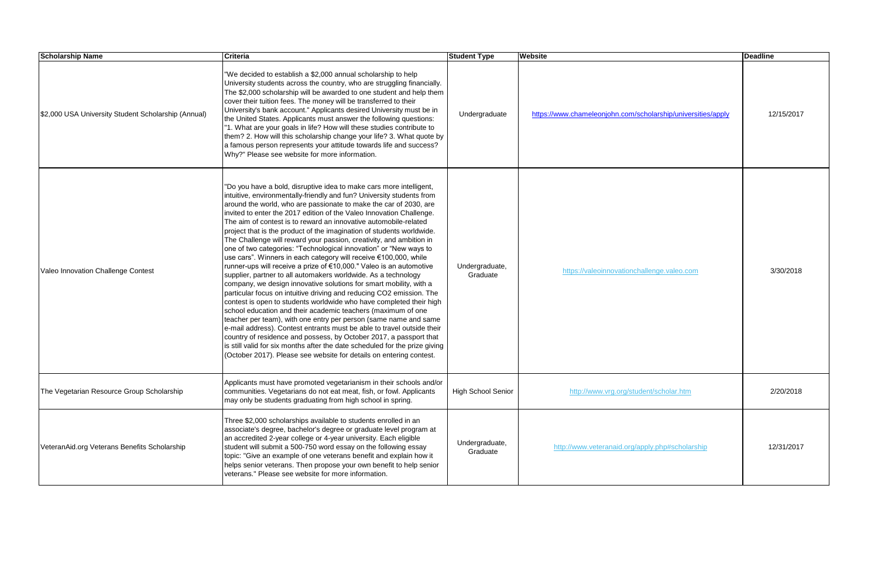| <b>Scholarship Name</b>                             | <b>Criteria</b>                                                                                                                                                                                                                                                                                                                                                                                                                                                                                                                                                                                                                                                                                                                                                                                                                                                                                                                                                                                                                                                                                                                                                                                                                                                                                                                                                                                                                                                | <b>Student Type</b>        | Website                                                      | <b>Deadline</b> |
|-----------------------------------------------------|----------------------------------------------------------------------------------------------------------------------------------------------------------------------------------------------------------------------------------------------------------------------------------------------------------------------------------------------------------------------------------------------------------------------------------------------------------------------------------------------------------------------------------------------------------------------------------------------------------------------------------------------------------------------------------------------------------------------------------------------------------------------------------------------------------------------------------------------------------------------------------------------------------------------------------------------------------------------------------------------------------------------------------------------------------------------------------------------------------------------------------------------------------------------------------------------------------------------------------------------------------------------------------------------------------------------------------------------------------------------------------------------------------------------------------------------------------------|----------------------------|--------------------------------------------------------------|-----------------|
| \$2,000 USA University Student Scholarship (Annual) | "We decided to establish a \$2,000 annual scholarship to help<br>University students across the country, who are struggling financially.<br>The \$2,000 scholarship will be awarded to one student and help them<br>cover their tuition fees. The money will be transferred to their<br>University's bank account." Applicants desired University must be in<br>the United States. Applicants must answer the following questions:<br>"1. What are your goals in life? How will these studies contribute to<br>them? 2. How will this scholarship change your life? 3. What quote by<br>a famous person represents your attitude towards life and success?<br>Why?" Please see website for more information.                                                                                                                                                                                                                                                                                                                                                                                                                                                                                                                                                                                                                                                                                                                                                   | Undergraduate              | https://www.chameleonjohn.com/scholarship/universities/apply | 12/15/2017      |
| Valeo Innovation Challenge Contest                  | "Do you have a bold, disruptive idea to make cars more intelligent,<br>intuitive, environmentally-friendly and fun? University students from<br>around the world, who are passionate to make the car of 2030, are<br>invited to enter the 2017 edition of the Valeo Innovation Challenge.<br>The aim of contest is to reward an innovative automobile-related<br>project that is the product of the imagination of students worldwide.<br>The Challenge will reward your passion, creativity, and ambition in<br>one of two categories: "Technological innovation" or "New ways to<br>use cars". Winners in each category will receive €100,000, while<br>runner-ups will receive a prize of €10,000." Valeo is an automotive<br>supplier, partner to all automakers worldwide. As a technology<br>company, we design innovative solutions for smart mobility, with a<br>particular focus on intuitive driving and reducing CO2 emission. The<br>contest is open to students worldwide who have completed their high<br>school education and their academic teachers (maximum of one<br>teacher per team), with one entry per person (same name and same<br>e-mail address). Contest entrants must be able to travel outside their<br>country of residence and possess, by October 2017, a passport that<br>is still valid for six months after the date scheduled for the prize giving<br>(October 2017). Please see website for details on entering contest. | Undergraduate,<br>Graduate | https://valeoinnovationchallenge.valeo.com                   | 3/30/2018       |
| The Vegetarian Resource Group Scholarship           | Applicants must have promoted vegetarianism in their schools and/or<br>communities. Vegetarians do not eat meat, fish, or fowl. Applicants<br>may only be students graduating from high school in spring.                                                                                                                                                                                                                                                                                                                                                                                                                                                                                                                                                                                                                                                                                                                                                                                                                                                                                                                                                                                                                                                                                                                                                                                                                                                      | <b>High School Senior</b>  | http://www.vrg.org/student/scholar.htm                       | 2/20/2018       |
| VeteranAid.org Veterans Benefits Scholarship        | Three \$2,000 scholarships available to students enrolled in an<br>associate's degree, bachelor's degree or graduate level program at<br>an accredited 2-year college or 4-year university. Each eligible<br>student will submit a 500-750 word essay on the following essay<br>topic: "Give an example of one veterans benefit and explain how it<br>helps senior veterans. Then propose your own benefit to help senior<br>veterans." Please see website for more information.                                                                                                                                                                                                                                                                                                                                                                                                                                                                                                                                                                                                                                                                                                                                                                                                                                                                                                                                                                               | Undergraduate,<br>Graduate | http://www.veteranaid.org/apply.php#scholarship              | 12/31/2017      |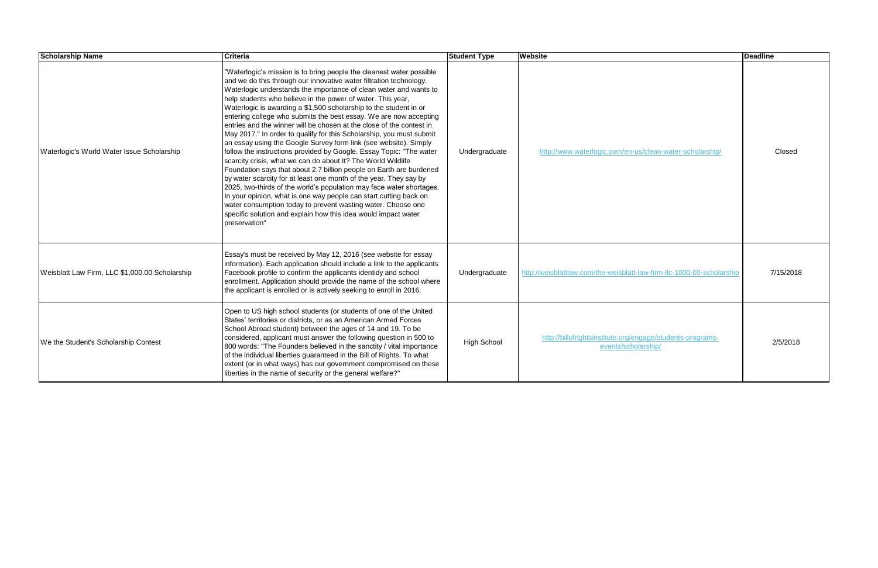| <b>Scholarship Name</b>                        | Criteria                                                                                                                                                                                                                                                                                                                                                                                                                                                                                                                                                                                                                                                                                                                                                                                                                                                                                                                                                                                                                                                                                                                                                                                                                        | <b>Student Type</b> | Website                                                                           | <b>Deadline</b> |
|------------------------------------------------|---------------------------------------------------------------------------------------------------------------------------------------------------------------------------------------------------------------------------------------------------------------------------------------------------------------------------------------------------------------------------------------------------------------------------------------------------------------------------------------------------------------------------------------------------------------------------------------------------------------------------------------------------------------------------------------------------------------------------------------------------------------------------------------------------------------------------------------------------------------------------------------------------------------------------------------------------------------------------------------------------------------------------------------------------------------------------------------------------------------------------------------------------------------------------------------------------------------------------------|---------------------|-----------------------------------------------------------------------------------|-----------------|
| Waterlogic's World Water Issue Scholarship     | "Waterlogic's mission is to bring people the cleanest water possible<br>and we do this through our innovative water filtration technology.<br>Waterlogic understands the importance of clean water and wants to<br>help students who believe in the power of water. This year,<br>Waterlogic is awarding a \$1,500 scholarship to the student in or<br>entering college who submits the best essay. We are now accepting<br>entries and the winner will be chosen at the close of the contest in<br>May 2017." In order to qualify for this Scholarship, you must submit<br>an essay using the Google Survey form link (see website). Simply<br>follow the instructions provided by Google. Essay Topic: "The water<br>scarcity crisis, what we can do about It? The World Wildlife<br>Foundation says that about 2.7 billion people on Earth are burdened<br>by water scarcity for at least one month of the year. They say by<br>2025, two-thirds of the world's population may face water shortages.<br>In your opinion, what is one way people can start cutting back on<br>water consumption today to prevent wasting water. Choose one<br>specific solution and explain how this idea would impact water<br>preservation" | Undergraduate       | http://www.waterlogic.com/en-us/clean-water-scholarship/                          | Closed          |
| Weisblatt Law Firm, LLC \$1,000.00 Scholarship | Essay's must be received by May 12, 2016 (see website for essay<br>information). Each application should include a link to the applicants<br>Facebook profile to confirm the applicants identidy and school<br>enrollment. Application should provide the name of the school where<br>the applicant is enrolled or is actively seeking to enroll in 2016.                                                                                                                                                                                                                                                                                                                                                                                                                                                                                                                                                                                                                                                                                                                                                                                                                                                                       | Undergraduate       | http://weisblattlaw.com/the-weisblatt-law-firm-llc-1000-00-scholarship            | 7/15/2018       |
| We the Student's Scholarship Contest           | Open to US high school students (or students of one of the United<br>States' territories or districts, or as an American Armed Forces<br>School Abroad student) between the ages of 14 and 19. To be<br>considered, applicant must answer the following question in 500 to<br>800 words: "The Founders believed in the sanctity / vital importance<br>of the individual liberties guaranteed in the Bill of Rights. To what<br>extent (or in what ways) has our government compromised on these<br>liberties in the name of security or the general welfare?"                                                                                                                                                                                                                                                                                                                                                                                                                                                                                                                                                                                                                                                                   | <b>High School</b>  | http://billofrightsinstitute.org/engage/students-programs-<br>events/scholarship/ | 2/5/2018        |